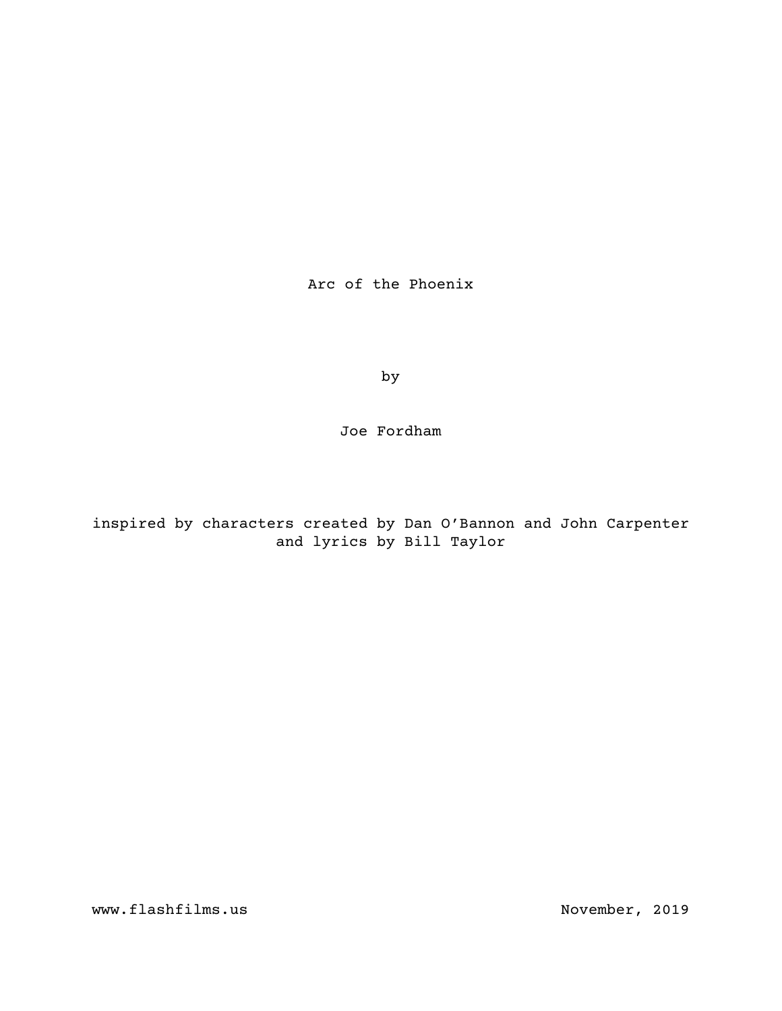Arc of the Phoenix

by

Joe Fordham

inspired by characters created by Dan O'Bannon and John Carpenter and lyrics by Bill Taylor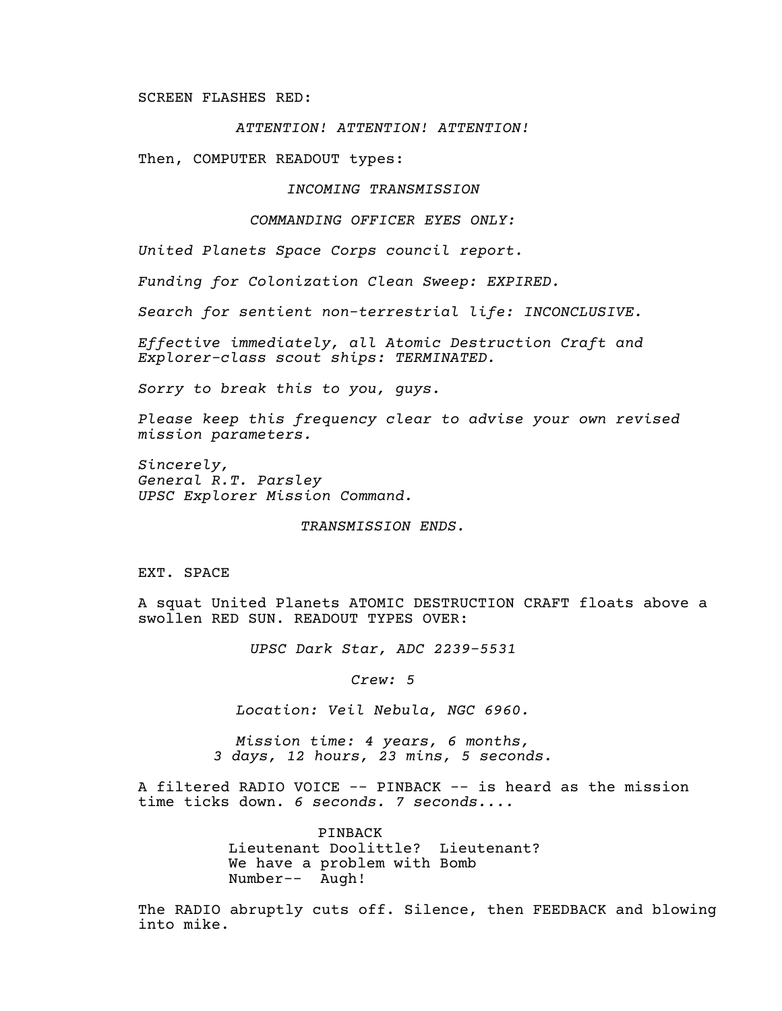#### SCREEN FLASHES RED:

## *ATTENTION! ATTENTION! ATTENTION!*

Then, COMPUTER READOUT types:

## *INCOMING TRANSMISSION*

## *COMMANDING OFFICER EYES ONLY:*

*United Planets Space Corps council report.*

*Funding for Colonization Clean Sweep: EXPIRED.*

*Search for sentient non-terrestrial life: INCONCLUSIVE.*

*Effective immediately, all Atomic Destruction Craft and Explorer-class scout ships: TERMINATED.*

*Sorry to break this to you, guys.*

*Please keep this frequency clear to advise your own revised mission parameters.*

*Sincerely, General R.T. Parsley UPSC Explorer Mission Command.*

*TRANSMISSION ENDS.*

EXT. SPACE

A squat United Planets ATOMIC DESTRUCTION CRAFT floats above a swollen RED SUN. READOUT TYPES OVER:

*UPSC Dark Star, ADC 2239-5531*

*Crew: 5*

*Location: Veil Nebula, NGC 6960.*

*Mission time: 4 years, 6 months, 3 days, 12 hours, 23 mins, 5 seconds.*

A filtered RADIO VOICE -- PINBACK -- is heard as the mission time ticks down. *6 seconds. 7 seconds....*

> PINBACK Lieutenant Doolittle? Lieutenant? We have a problem with Bomb Number-- Augh!

The RADIO abruptly cuts off. Silence, then FEEDBACK and blowing into mike.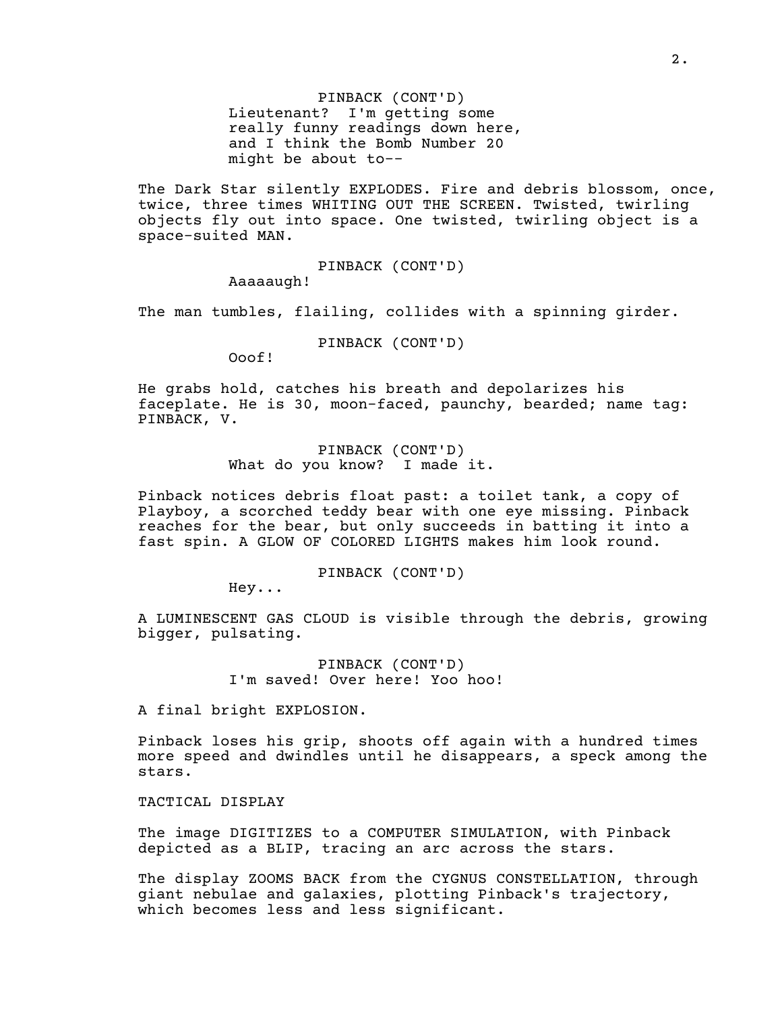PINBACK (CONT'D) Lieutenant? I'm getting some really funny readings down here, and I think the Bomb Number 20 might be about to--

The Dark Star silently EXPLODES. Fire and debris blossom, once, twice, three times WHITING OUT THE SCREEN. Twisted, twirling objects fly out into space. One twisted, twirling object is a space-suited MAN.

## PINBACK (CONT'D)

Aaaaaugh!

The man tumbles, flailing, collides with a spinning girder.

PINBACK (CONT'D)

Ooof!

He grabs hold, catches his breath and depolarizes his faceplate. He is 30, moon-faced, paunchy, bearded; name tag: PINBACK, V.

> PINBACK (CONT'D) What do you know? I made it.

Pinback notices debris float past: a toilet tank, a copy of Playboy, a scorched teddy bear with one eye missing. Pinback reaches for the bear, but only succeeds in batting it into a fast spin. A GLOW OF COLORED LIGHTS makes him look round.

PINBACK (CONT'D)

Hey...

A LUMINESCENT GAS CLOUD is visible through the debris, growing bigger, pulsating.

> PINBACK (CONT'D) I'm saved! Over here! Yoo hoo!

A final bright EXPLOSION.

Pinback loses his grip, shoots off again with a hundred times more speed and dwindles until he disappears, a speck among the stars.

TACTICAL DISPLAY

The image DIGITIZES to a COMPUTER SIMULATION, with Pinback depicted as a BLIP, tracing an arc across the stars.

The display ZOOMS BACK from the CYGNUS CONSTELLATION, through giant nebulae and galaxies, plotting Pinback's trajectory, which becomes less and less significant.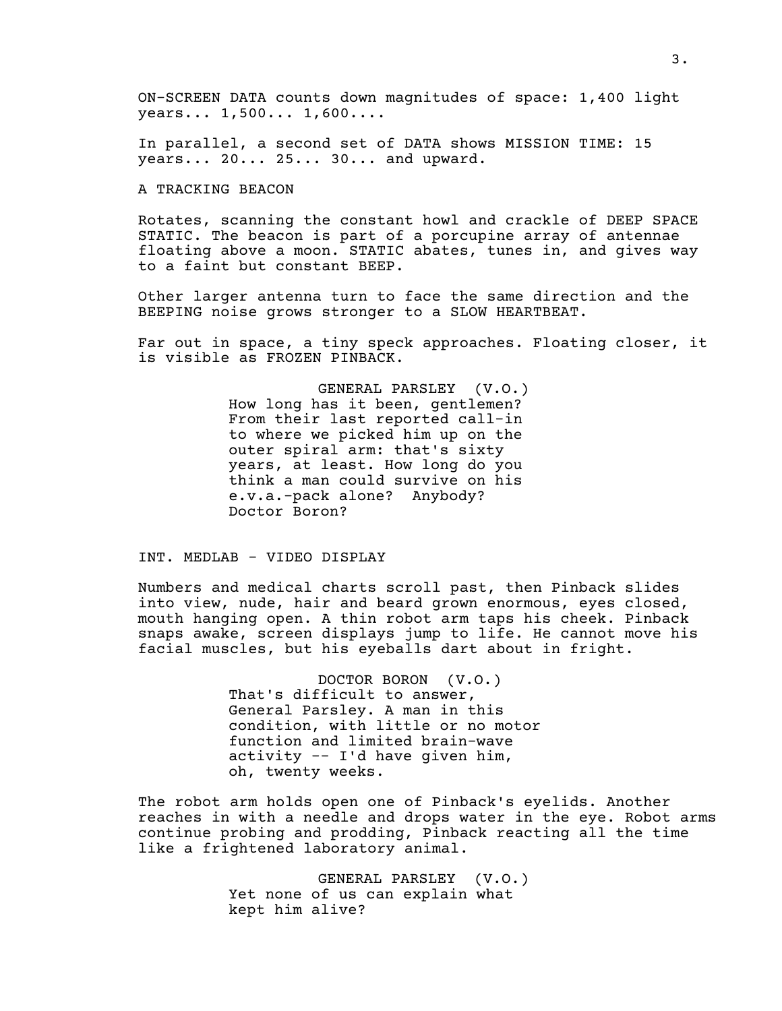ON-SCREEN DATA counts down magnitudes of space: 1,400 light years... 1,500... 1,600....

In parallel, a second set of DATA shows MISSION TIME: 15 years... 20... 25... 30... and upward.

A TRACKING BEACON

Rotates, scanning the constant howl and crackle of DEEP SPACE STATIC. The beacon is part of a porcupine array of antennae floating above a moon. STATIC abates, tunes in, and gives way to a faint but constant BEEP.

Other larger antenna turn to face the same direction and the BEEPING noise grows stronger to a SLOW HEARTBEAT.

Far out in space, a tiny speck approaches. Floating closer, it is visible as FROZEN PINBACK.

> GENERAL PARSLEY (V.O.) How long has it been, gentlemen? From their last reported call-in to where we picked him up on the outer spiral arm: that's sixty years, at least. How long do you think a man could survive on his e.v.a.-pack alone? Anybody? Doctor Boron?

INT. MEDLAB - VIDEO DISPLAY

Numbers and medical charts scroll past, then Pinback slides into view, nude, hair and beard grown enormous, eyes closed, mouth hanging open. A thin robot arm taps his cheek. Pinback snaps awake, screen displays jump to life. He cannot move his facial muscles, but his eyeballs dart about in fright.

> DOCTOR BORON (V.O.) That's difficult to answer, General Parsley. A man in this condition, with little or no motor function and limited brain-wave activity -- I'd have given him, oh, twenty weeks.

The robot arm holds open one of Pinback's eyelids. Another reaches in with a needle and drops water in the eye. Robot arms continue probing and prodding, Pinback reacting all the time like a frightened laboratory animal.

> GENERAL PARSLEY (V.O.) Yet none of us can explain what kept him alive?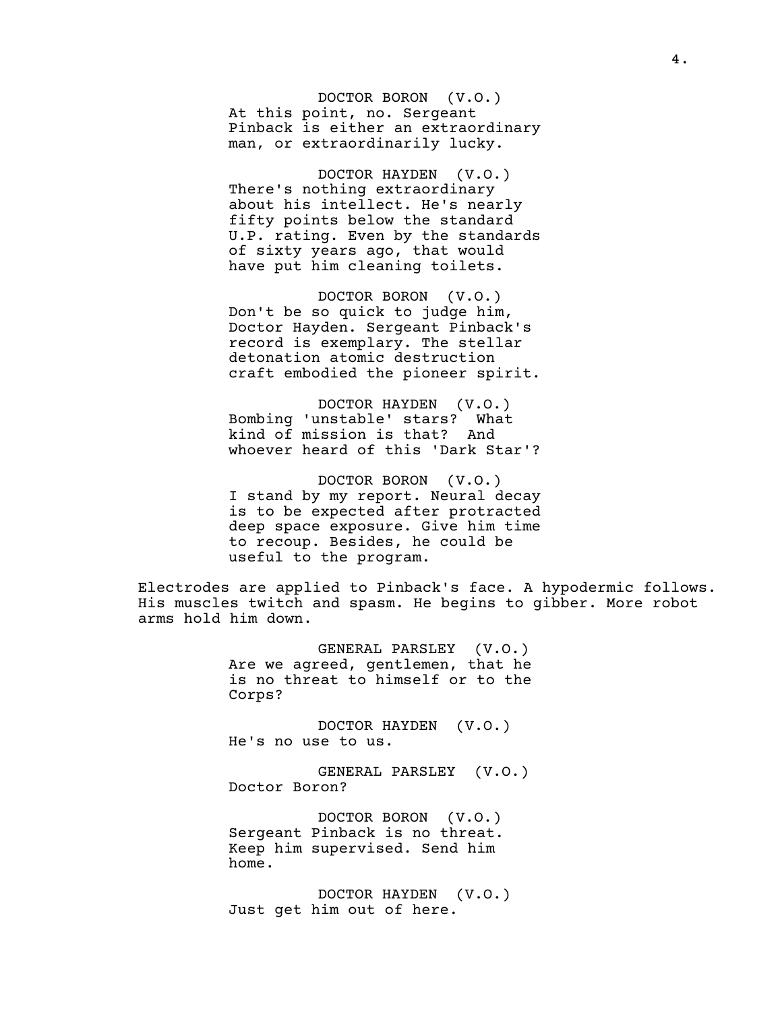DOCTOR BORON (V.O.) At this point, no. Sergeant Pinback is either an extraordinary man, or extraordinarily lucky.

DOCTOR HAYDEN (V.O.) There's nothing extraordinary about his intellect. He's nearly fifty points below the standard U.P. rating. Even by the standards of sixty years ago, that would have put him cleaning toilets.

DOCTOR BORON (V.O.) Don't be so quick to judge him, Doctor Hayden. Sergeant Pinback's record is exemplary. The stellar detonation atomic destruction craft embodied the pioneer spirit.

DOCTOR HAYDEN (V.O.) Bombing 'unstable' stars? What kind of mission is that? And whoever heard of this 'Dark Star'?

DOCTOR BORON (V.O.) I stand by my report. Neural decay is to be expected after protracted deep space exposure. Give him time to recoup. Besides, he could be useful to the program.

Electrodes are applied to Pinback's face. A hypodermic follows. His muscles twitch and spasm. He begins to gibber. More robot arms hold him down.

> GENERAL PARSLEY (V.O.) Are we agreed, gentlemen, that he is no threat to himself or to the Corps?

DOCTOR HAYDEN (V.O.) He's no use to us.

GENERAL PARSLEY (V.O.) Doctor Boron?

DOCTOR BORON (V.O.) Sergeant Pinback is no threat. Keep him supervised. Send him home.

DOCTOR HAYDEN (V.O.) Just get him out of here.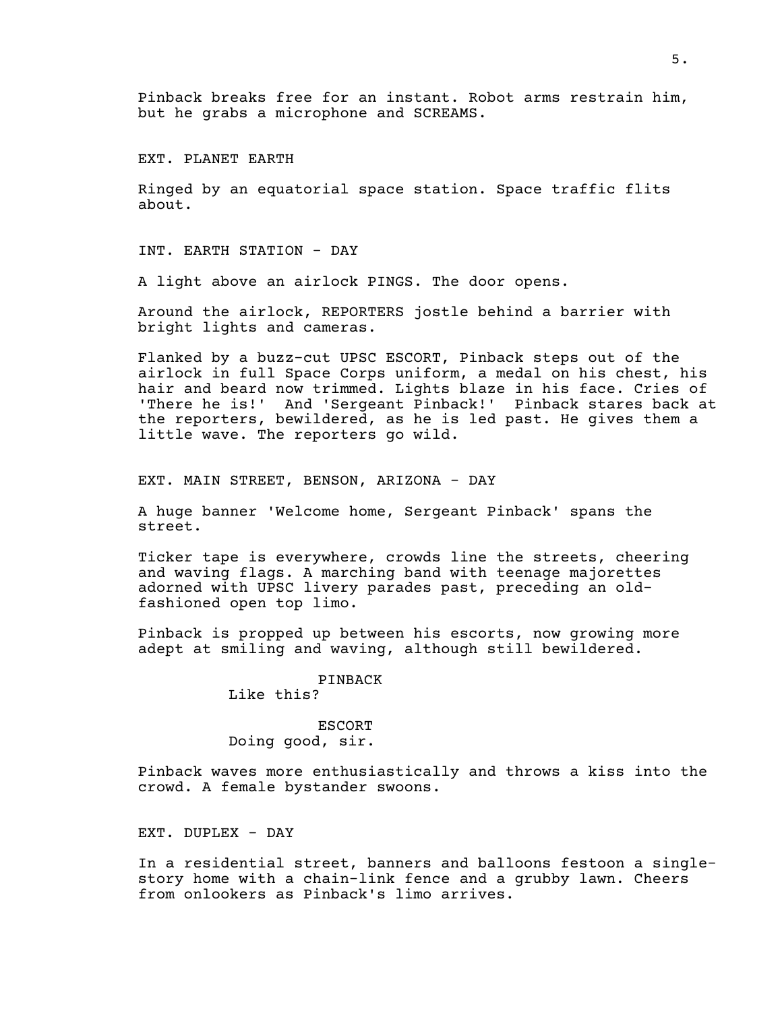Pinback breaks free for an instant. Robot arms restrain him, but he grabs a microphone and SCREAMS.

EXT. PLANET EARTH

Ringed by an equatorial space station. Space traffic flits about.

INT. EARTH STATION - DAY

A light above an airlock PINGS. The door opens.

Around the airlock, REPORTERS jostle behind a barrier with bright lights and cameras.

Flanked by a buzz-cut UPSC ESCORT, Pinback steps out of the airlock in full Space Corps uniform, a medal on his chest, his hair and beard now trimmed. Lights blaze in his face. Cries of 'There he is!' And 'Sergeant Pinback!' Pinback stares back at the reporters, bewildered, as he is led past. He gives them a little wave. The reporters go wild.

EXT. MAIN STREET, BENSON, ARIZONA - DAY

A huge banner 'Welcome home, Sergeant Pinback' spans the street.

Ticker tape is everywhere, crowds line the streets, cheering and waving flags. A marching band with teenage majorettes adorned with UPSC livery parades past, preceding an oldfashioned open top limo.

Pinback is propped up between his escorts, now growing more adept at smiling and waving, although still bewildered.

> PINBACK Like this?

ESCORT Doing good, sir.

Pinback waves more enthusiastically and throws a kiss into the crowd. A female bystander swoons.

EXT. DUPLEX - DAY

In a residential street, banners and balloons festoon a singlestory home with a chain-link fence and a grubby lawn. Cheers from onlookers as Pinback's limo arrives.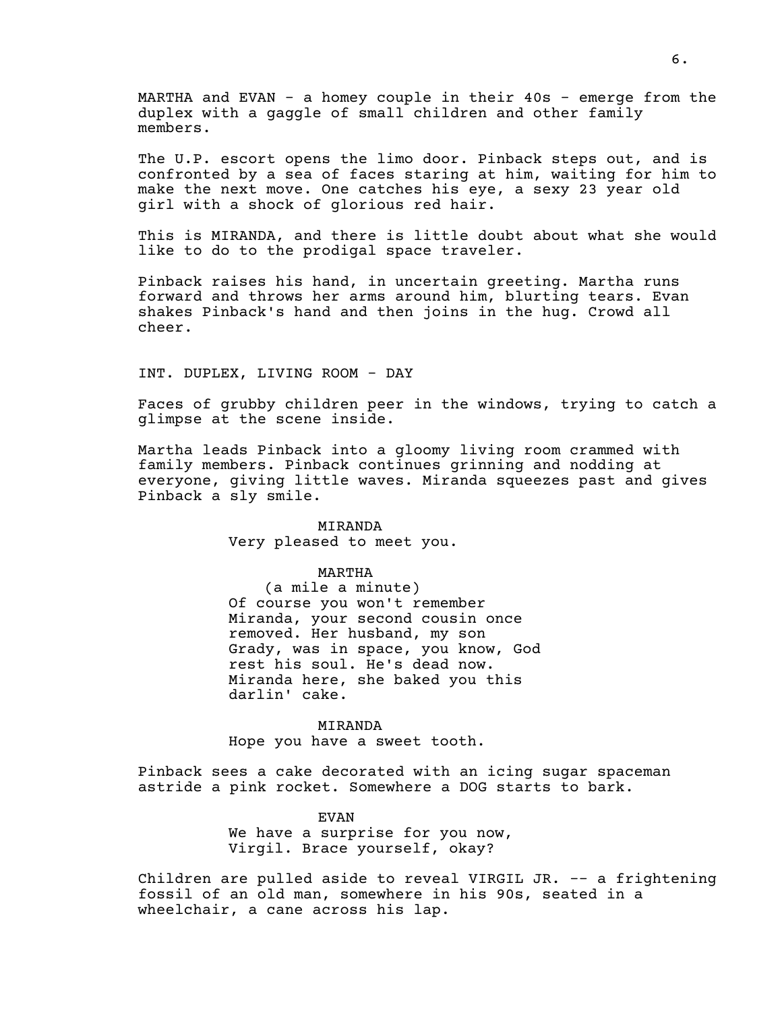MARTHA and EVAN - a homey couple in their 40s - emerge from the duplex with a gaggle of small children and other family members.

The U.P. escort opens the limo door. Pinback steps out, and is confronted by a sea of faces staring at him, waiting for him to make the next move. One catches his eye, a sexy 23 year old girl with a shock of glorious red hair.

This is MIRANDA, and there is little doubt about what she would like to do to the prodigal space traveler.

Pinback raises his hand, in uncertain greeting. Martha runs forward and throws her arms around him, blurting tears. Evan shakes Pinback's hand and then joins in the hug. Crowd all cheer.

INT. DUPLEX, LIVING ROOM - DAY

Faces of grubby children peer in the windows, trying to catch a glimpse at the scene inside.

Martha leads Pinback into a gloomy living room crammed with family members. Pinback continues grinning and nodding at everyone, giving little waves. Miranda squeezes past and gives Pinback a sly smile.

## MIRANDA

Very pleased to meet you.

#### MARTHA

(a mile a minute) Of course you won't remember Miranda, your second cousin once removed. Her husband, my son Grady, was in space, you know, God rest his soul. He's dead now. Miranda here, she baked you this darlin' cake.

# MIRANDA

Hope you have a sweet tooth.

Pinback sees a cake decorated with an icing sugar spaceman astride a pink rocket. Somewhere a DOG starts to bark.

> EVAN We have a surprise for you now, Virgil. Brace yourself, okay?

Children are pulled aside to reveal VIRGIL JR. –– a frightening fossil of an old man, somewhere in his 90s, seated in a wheelchair, a cane across his lap.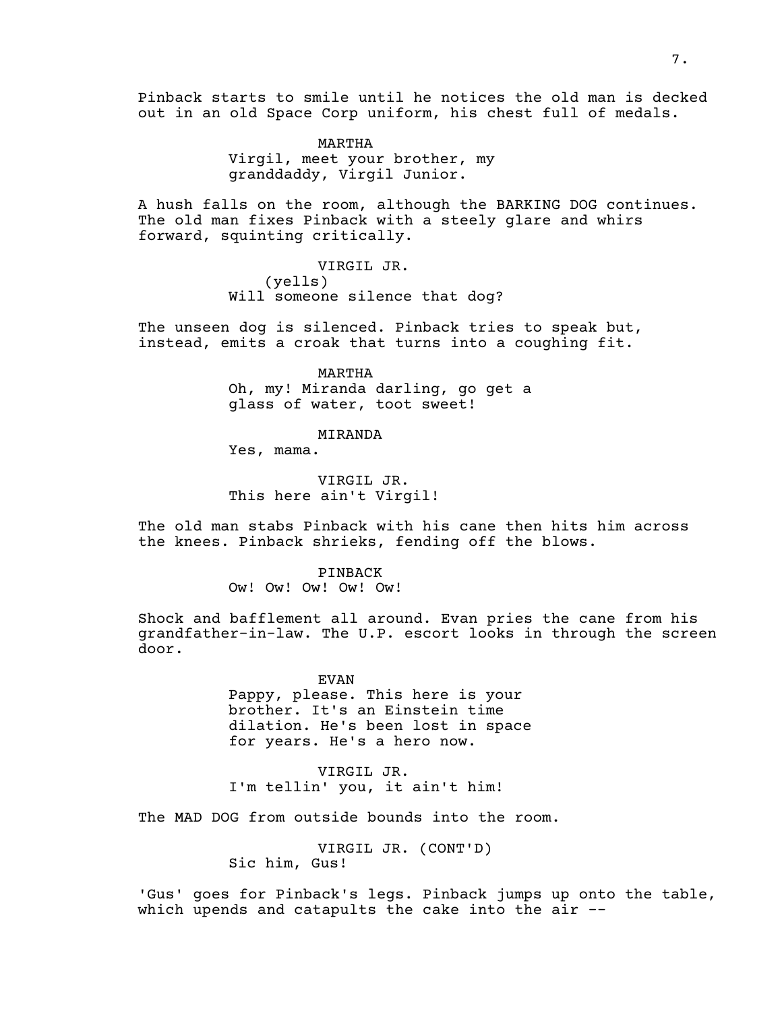Pinback starts to smile until he notices the old man is decked out in an old Space Corp uniform, his chest full of medals.

> MARTHA Virgil, meet your brother, my granddaddy, Virgil Junior.

A hush falls on the room, although the BARKING DOG continues. The old man fixes Pinback with a steely glare and whirs forward, squinting critically.

> VIRGIL JR. (yells) Will someone silence that dog?

The unseen dog is silenced. Pinback tries to speak but, instead, emits a croak that turns into a coughing fit.

> MARTHA Oh, my! Miranda darling, go get a glass of water, toot sweet!

#### MIRANDA

Yes, mama.

VIRGIL JR. This here ain't Virgil!

The old man stabs Pinback with his cane then hits him across the knees. Pinback shrieks, fending off the blows.

> PINBACK Ow! Ow! Ow! Ow! Ow!

Shock and bafflement all around. Evan pries the cane from his grandfather-in-law. The U.P. escort looks in through the screen door.

> EVAN Pappy, please. This here is your brother. It's an Einstein time dilation. He's been lost in space for years. He's a hero now.

VIRGIL JR. I'm tellin' you, it ain't him!

The MAD DOG from outside bounds into the room.

VIRGIL JR. (CONT'D) Sic him, Gus!

'Gus' goes for Pinback's legs. Pinback jumps up onto the table, which upends and catapults the cake into the air --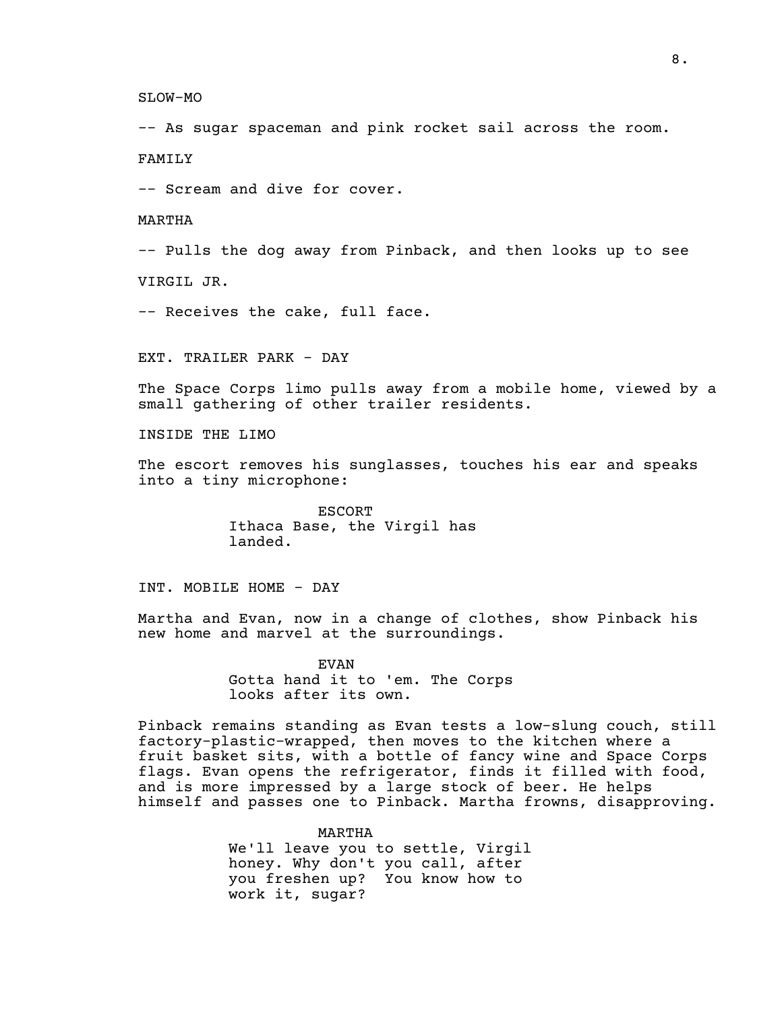SLOW-MO

-- As sugar spaceman and pink rocket sail across the room.

FAMILY

-- Scream and dive for cover.

MARTHA

-- Pulls the dog away from Pinback, and then looks up to see

VIRGIL JR.

-- Receives the cake, full face.

EXT. TRAILER PARK - DAY

The Space Corps limo pulls away from a mobile home, viewed by a small gathering of other trailer residents.

INSIDE THE LIMO

The escort removes his sunglasses, touches his ear and speaks into a tiny microphone:

> ESCORT Ithaca Base, the Virgil has landed.

INT. MOBILE HOME - DAY

Martha and Evan, now in a change of clothes, show Pinback his new home and marvel at the surroundings.

> EVAN Gotta hand it to 'em. The Corps looks after its own.

Pinback remains standing as Evan tests a low-slung couch, still factory-plastic-wrapped, then moves to the kitchen where a fruit basket sits, with a bottle of fancy wine and Space Corps flags. Evan opens the refrigerator, finds it filled with food, and is more impressed by a large stock of beer. He helps himself and passes one to Pinback. Martha frowns, disapproving.

> MARTHA We'll leave you to settle, Virgil honey. Why don't you call, after you freshen up? You know how to work it, sugar?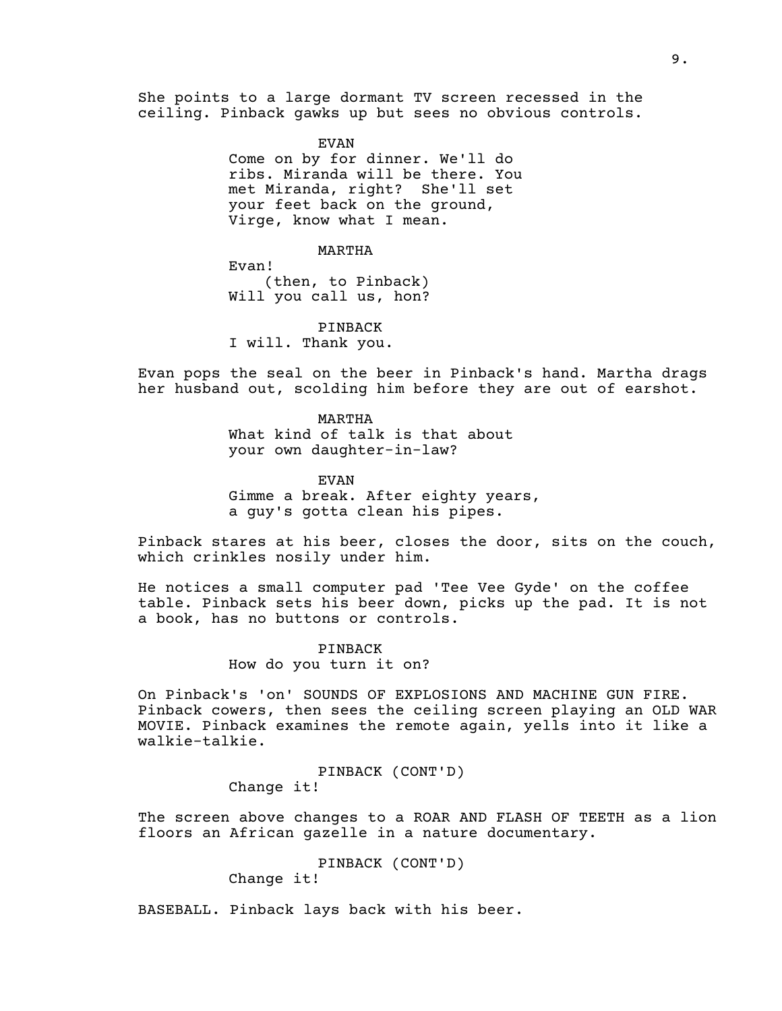She points to a large dormant TV screen recessed in the ceiling. Pinback gawks up but sees no obvious controls.

> EVAN Come on by for dinner. We'll do ribs. Miranda will be there. You met Miranda, right? She'll set your feet back on the ground, Virge, know what I mean.

> > MARTHA

Evan! (then, to Pinback) Will you call us, hon?

PINBACK I will. Thank you.

Evan pops the seal on the beer in Pinback's hand. Martha drags her husband out, scolding him before they are out of earshot.

> MARTHA What kind of talk is that about your own daughter-in-law?

EVAN Gimme a break. After eighty years, a guy's gotta clean his pipes.

Pinback stares at his beer, closes the door, sits on the couch, which crinkles nosily under him.

He notices a small computer pad 'Tee Vee Gyde' on the coffee table. Pinback sets his beer down, picks up the pad. It is not a book, has no buttons or controls.

> PINBACK How do you turn it on?

On Pinback's 'on' SOUNDS OF EXPLOSIONS AND MACHINE GUN FIRE. Pinback cowers, then sees the ceiling screen playing an OLD WAR MOVIE. Pinback examines the remote again, yells into it like a walkie-talkie.

> PINBACK (CONT'D) Change it!

The screen above changes to a ROAR AND FLASH OF TEETH as a lion floors an African gazelle in a nature documentary.

PINBACK (CONT'D)

Change it!

BASEBALL. Pinback lays back with his beer.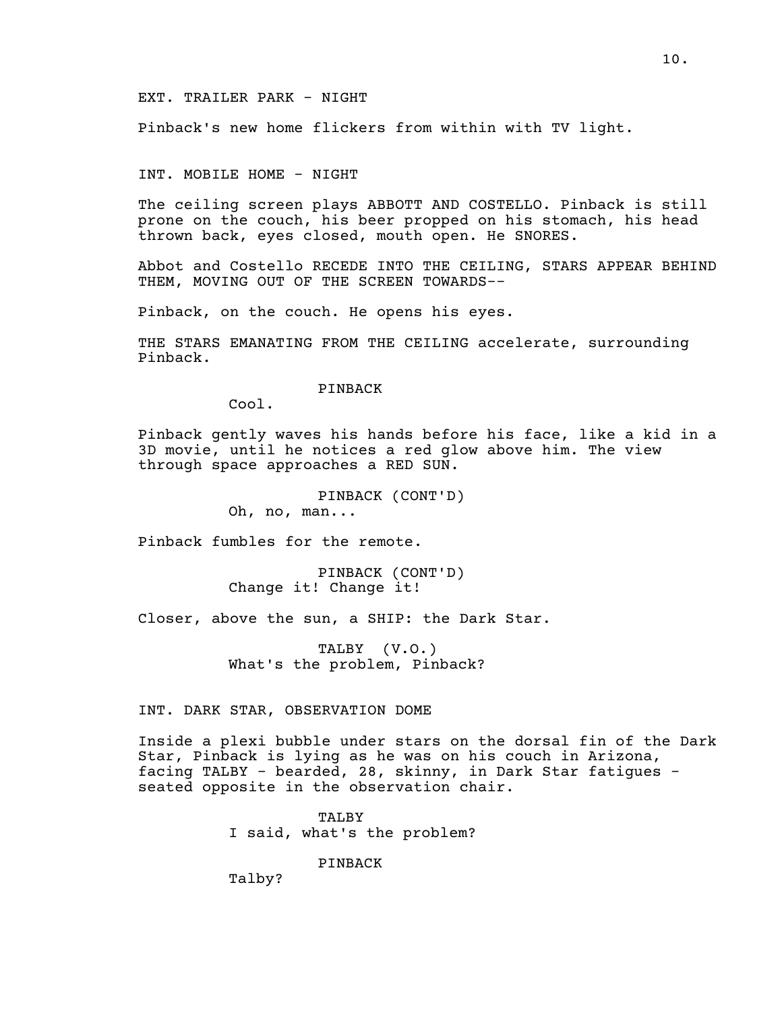#### EXT. TRAILER PARK - NIGHT

Pinback's new home flickers from within with TV light.

INT. MOBILE HOME - NIGHT

The ceiling screen plays ABBOTT AND COSTELLO. Pinback is still prone on the couch, his beer propped on his stomach, his head thrown back, eyes closed, mouth open. He SNORES.

Abbot and Costello RECEDE INTO THE CEILING, STARS APPEAR BEHIND THEM, MOVING OUT OF THE SCREEN TOWARDS--

Pinback, on the couch. He opens his eyes.

THE STARS EMANATING FROM THE CEILING accelerate, surrounding Pinback.

#### PINBACK

Cool.

Pinback gently waves his hands before his face, like a kid in a 3D movie, until he notices a red glow above him. The view through space approaches a RED SUN.

PINBACK (CONT'D)

Oh, no, man...

Pinback fumbles for the remote.

PINBACK (CONT'D) Change it! Change it!

Closer, above the sun, a SHIP: the Dark Star.

TALBY (V.O.) What's the problem, Pinback?

INT. DARK STAR, OBSERVATION DOME

Inside a plexi bubble under stars on the dorsal fin of the Dark Star, Pinback is lying as he was on his couch in Arizona, facing TALBY - bearded, 28, skinny, in Dark Star fatigues seated opposite in the observation chair.

> TALBY I said, what's the problem?

> > PINBACK

Talby?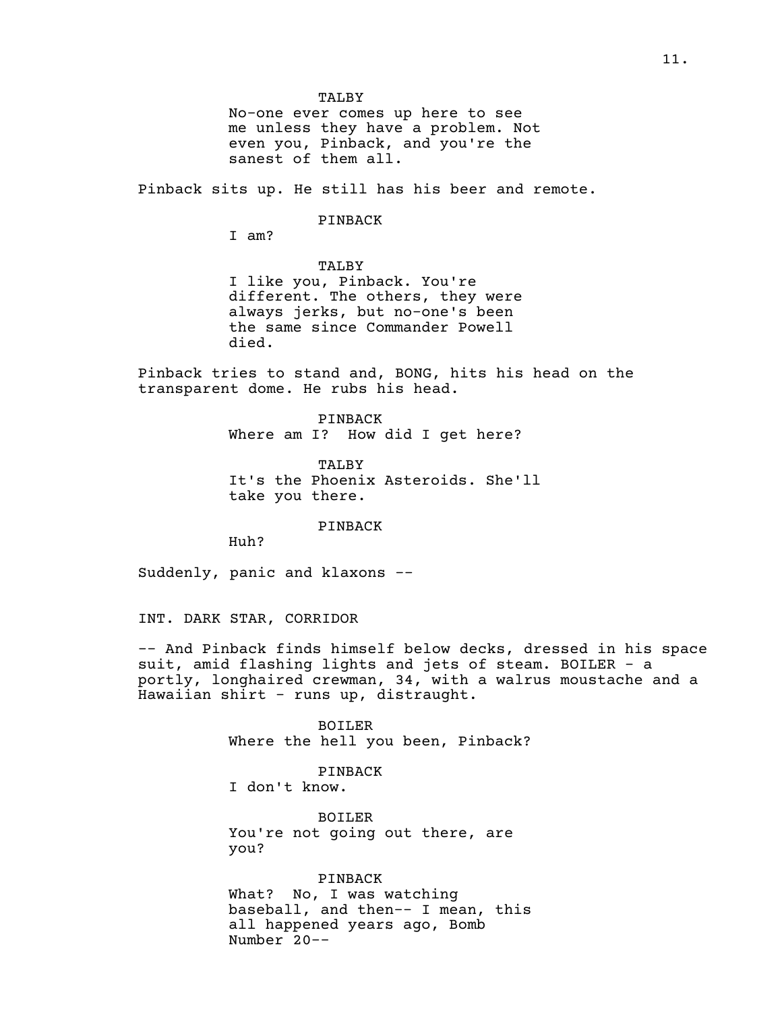TALBY

No-one ever comes up here to see me unless they have a problem. Not even you, Pinback, and you're the sanest of them all.

Pinback sits up. He still has his beer and remote.

#### PINBACK

I am?

TALBY I like you, Pinback. You're different. The others, they were always jerks, but no-one's been the same since Commander Powell died.

Pinback tries to stand and, BONG, hits his head on the transparent dome. He rubs his head.

> PINBACK Where am I? How did I get here?

TALBY It's the Phoenix Asteroids. She'll take you there.

PINBACK

Huh?

Suddenly, panic and klaxons --

INT. DARK STAR, CORRIDOR

-- And Pinback finds himself below decks, dressed in his space suit, amid flashing lights and jets of steam. BOILER - a portly, longhaired crewman, 34, with a walrus moustache and a Hawaiian shirt - runs up, distraught.

> BOILER Where the hell you been, Pinback?

> > PINBACK

I don't know.

BOILER You're not going out there, are you?

PINBACK What? No, I was watching baseball, and then-- I mean, this all happened years ago, Bomb Number 20--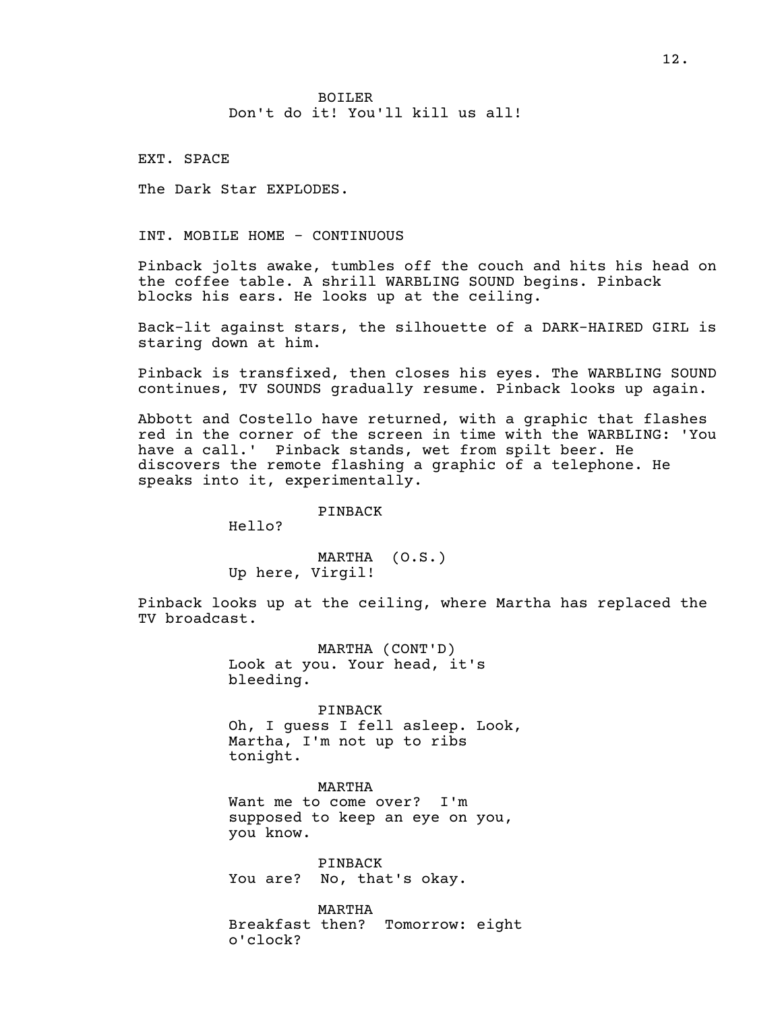EXT. SPACE

The Dark Star EXPLODES.

INT. MOBILE HOME - CONTINUOUS

Pinback jolts awake, tumbles off the couch and hits his head on the coffee table. A shrill WARBLING SOUND begins. Pinback blocks his ears. He looks up at the ceiling.

Back-lit against stars, the silhouette of a DARK-HAIRED GIRL is staring down at him.

Pinback is transfixed, then closes his eyes. The WARBLING SOUND continues, TV SOUNDS gradually resume. Pinback looks up again.

Abbott and Costello have returned, with a graphic that flashes red in the corner of the screen in time with the WARBLING: 'You have a call.' Pinback stands, wet from spilt beer. He discovers the remote flashing a graphic of a telephone. He speaks into it, experimentally.

PINBACK

Hello?

MARTHA (O.S.) Up here, Virgil!

Pinback looks up at the ceiling, where Martha has replaced the TV broadcast.

> MARTHA (CONT'D) Look at you. Your head, it's bleeding.

PINBACK Oh, I guess I fell asleep. Look, Martha, I'm not up to ribs tonight.

MARTHA Want me to come over? I'm supposed to keep an eye on you, you know.

PINBACK You are? No, that's okay.

MARTHA Breakfast then? Tomorrow: eight o'clock?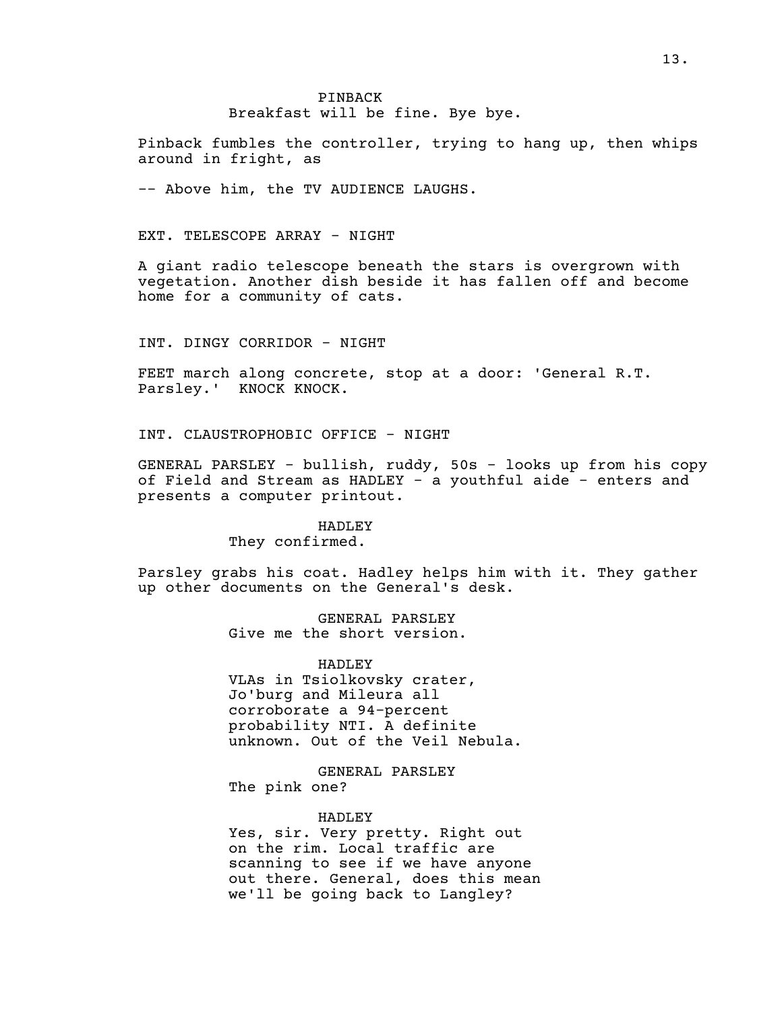## PINBACK Breakfast will be fine. Bye bye.

Pinback fumbles the controller, trying to hang up, then whips around in fright, as

-- Above him, the TV AUDIENCE LAUGHS.

#### EXT. TELESCOPE ARRAY - NIGHT

A giant radio telescope beneath the stars is overgrown with vegetation. Another dish beside it has fallen off and become home for a community of cats.

INT. DINGY CORRIDOR - NIGHT

FEET march along concrete, stop at a door: 'General R.T. Parsley.' KNOCK KNOCK.

INT. CLAUSTROPHOBIC OFFICE - NIGHT

GENERAL PARSLEY - bullish, ruddy, 50s - looks up from his copy of Field and Stream as HADLEY - a youthful aide - enters and presents a computer printout.

> HADLEY They confirmed.

Parsley grabs his coat. Hadley helps him with it. They gather up other documents on the General's desk.

> GENERAL PARSLEY Give me the short version.

HADLEY VLAs in Tsiolkovsky crater, Jo'burg and Mileura all corroborate a 94-percent probability NTI. A definite unknown. Out of the Veil Nebula.

GENERAL PARSLEY The pink one?

### HADLEY

Yes, sir. Very pretty. Right out on the rim. Local traffic are scanning to see if we have anyone out there. General, does this mean we'll be going back to Langley?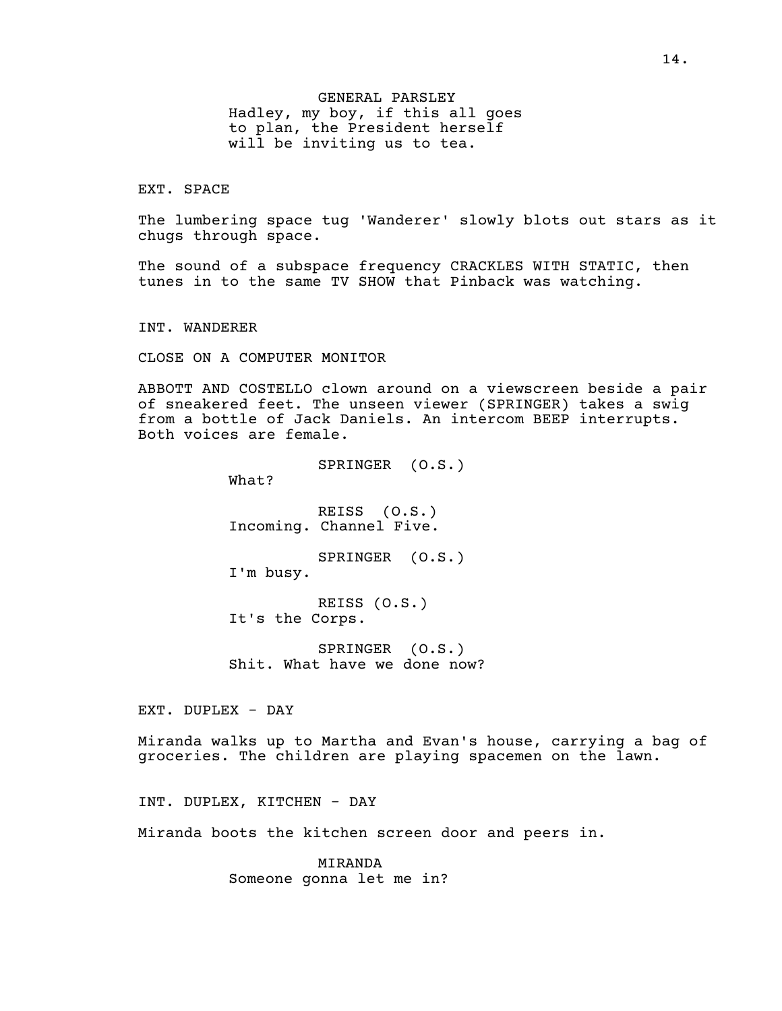GENERAL PARSLEY Hadley, my boy, if this all goes to plan, the President herself will be inviting us to tea.

#### EXT. SPACE

The lumbering space tug 'Wanderer' slowly blots out stars as it chugs through space.

The sound of a subspace frequency CRACKLES WITH STATIC, then tunes in to the same TV SHOW that Pinback was watching.

INT. WANDERER

CLOSE ON A COMPUTER MONITOR

ABBOTT AND COSTELLO clown around on a viewscreen beside a pair of sneakered feet. The unseen viewer (SPRINGER) takes a swig from a bottle of Jack Daniels. An intercom BEEP interrupts. Both voices are female.

> SPRINGER (O.S.) What? REISS (O.S.) Incoming. Channel Five. SPRINGER (O.S.) I'm busy.

REISS (O.S.) It's the Corps.

SPRINGER (O.S.) Shit. What have we done now?

EXT. DUPLEX - DAY

Miranda walks up to Martha and Evan's house, carrying a bag of groceries. The children are playing spacemen on the lawn.

INT. DUPLEX, KITCHEN - DAY

Miranda boots the kitchen screen door and peers in.

MIRANDA Someone gonna let me in?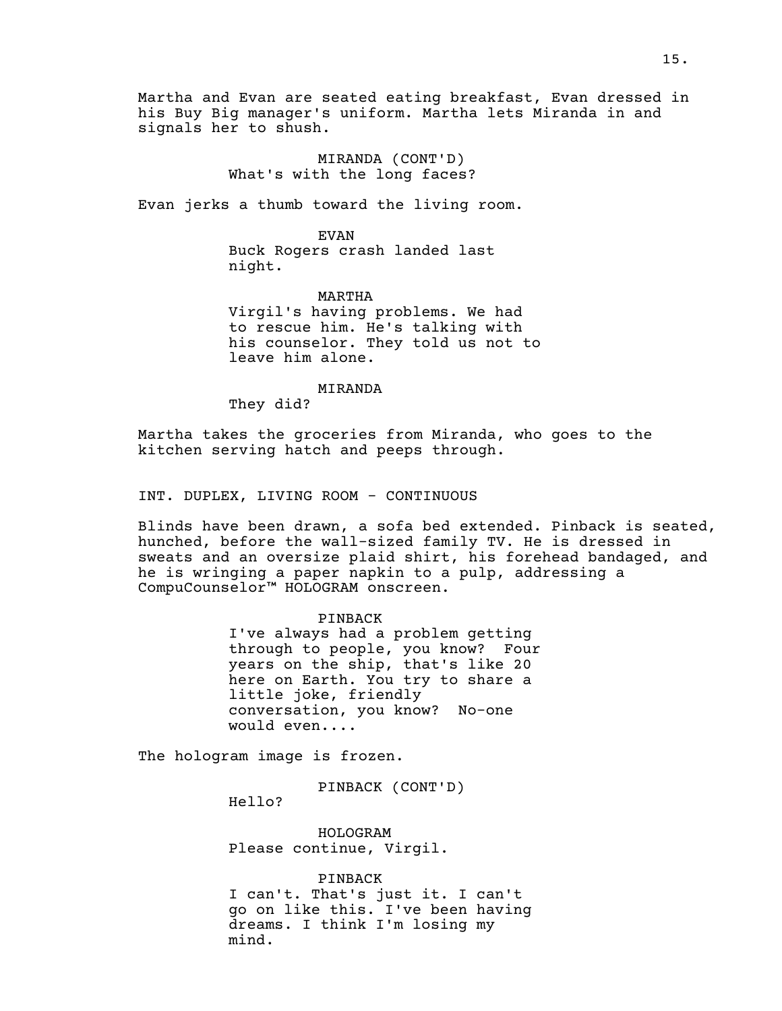Martha and Evan are seated eating breakfast, Evan dressed in his Buy Big manager's uniform. Martha lets Miranda in and signals her to shush.

> MIRANDA (CONT'D) What's with the long faces?

Evan jerks a thumb toward the living room.

EVAN Buck Rogers crash landed last night.

MARTHA Virgil's having problems. We had to rescue him. He's talking with his counselor. They told us not to leave him alone.

#### MIRANDA

They did?

Martha takes the groceries from Miranda, who goes to the kitchen serving hatch and peeps through.

INT. DUPLEX, LIVING ROOM - CONTINUOUS

Blinds have been drawn, a sofa bed extended. Pinback is seated, hunched, before the wall-sized family TV. He is dressed in sweats and an oversize plaid shirt, his forehead bandaged, and he is wringing a paper napkin to a pulp, addressing a CompuCounselor™ HOLOGRAM onscreen.

> PINBACK I've always had a problem getting through to people, you know? Four years on the ship, that's like 20 here on Earth. You try to share a little joke, friendly conversation, you know? No-one would even....

The hologram image is frozen.

PINBACK (CONT'D)

Hello?

HOLOGRAM Please continue, Virgil.

PINBACK I can't. That's just it. I can't go on like this. I've been having dreams. I think I'm losing my mind.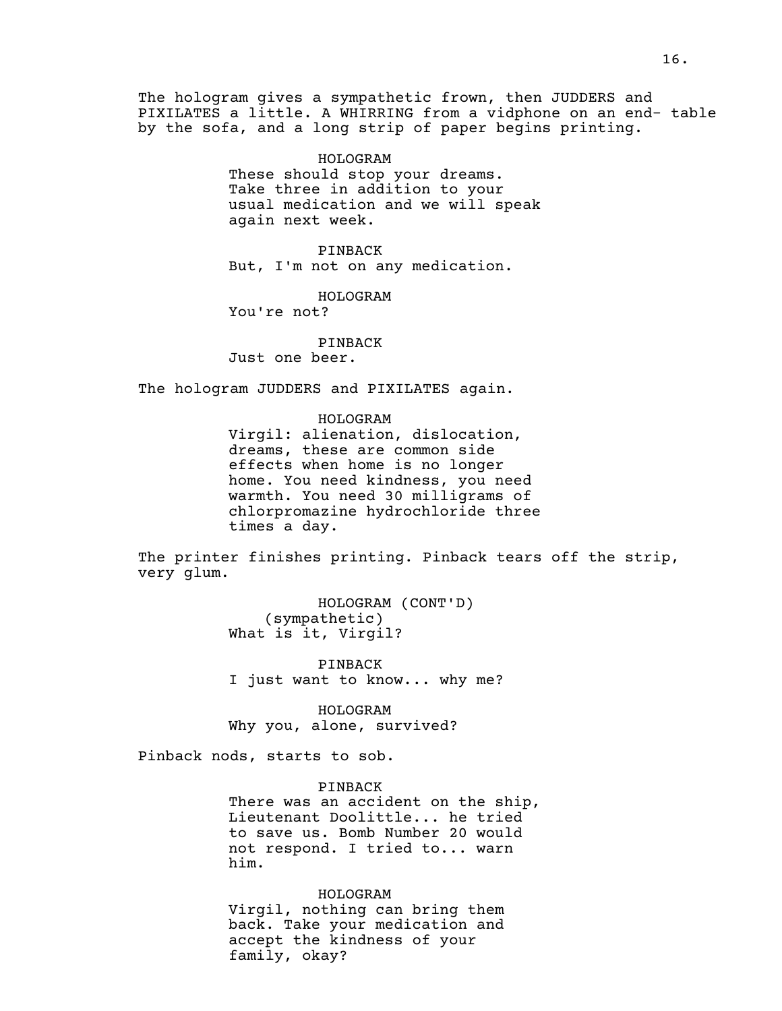The hologram gives a sympathetic frown, then JUDDERS and PIXILATES a little. A WHIRRING from a vidphone on an end- table by the sofa, and a long strip of paper begins printing.

> HOLOGRAM These should stop your dreams. Take three in addition to your usual medication and we will speak again next week.

PINBACK But, I'm not on any medication.

HOLOGRAM

You're not?

PINBACK Just one beer.

The hologram JUDDERS and PIXILATES again.

HOLOGRAM

Virgil: alienation, dislocation, dreams, these are common side effects when home is no longer home. You need kindness, you need warmth. You need 30 milligrams of chlorpromazine hydrochloride three times a day.

The printer finishes printing. Pinback tears off the strip, very glum.

> HOLOGRAM (CONT'D) (sympathetic) What is it, Virgil?

PINBACK I just want to know... why me?

HOLOGRAM Why you, alone, survived?

Pinback nods, starts to sob.

PINBACK

There was an accident on the ship, Lieutenant Doolittle... he tried to save us. Bomb Number 20 would not respond. I tried to... warn him.

HOLOGRAM Virgil, nothing can bring them back. Take your medication and accept the kindness of your family, okay?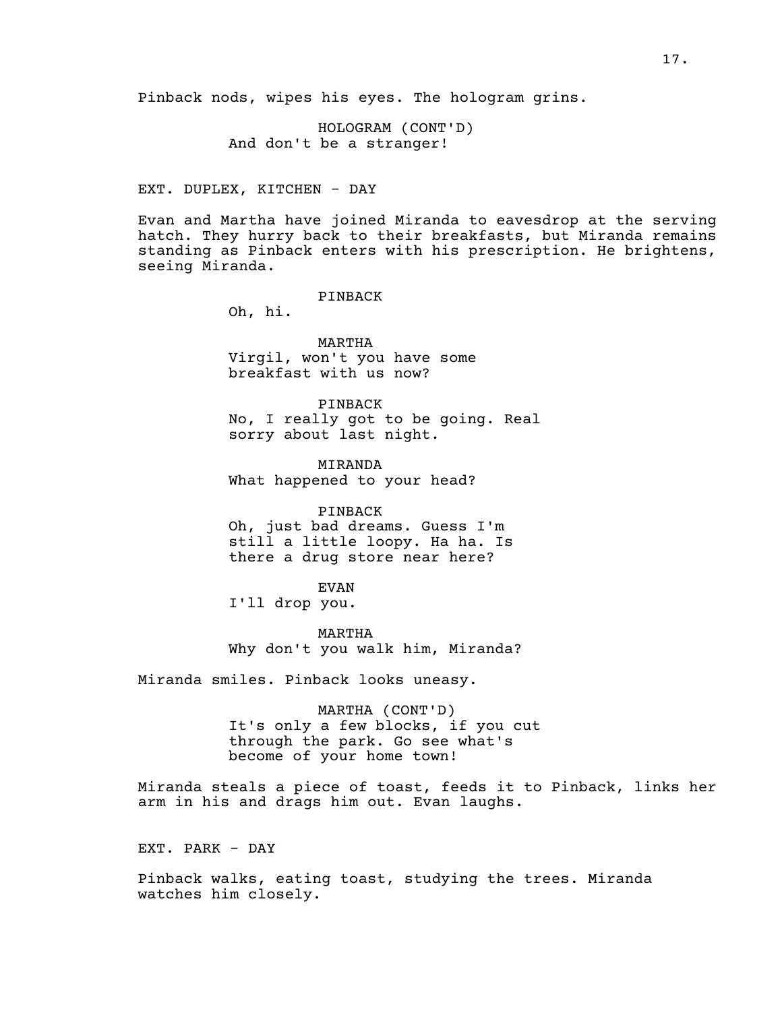Pinback nods, wipes his eyes. The hologram grins.

HOLOGRAM (CONT'D) And don't be a stranger!

EXT. DUPLEX, KITCHEN - DAY

Evan and Martha have joined Miranda to eavesdrop at the serving hatch. They hurry back to their breakfasts, but Miranda remains standing as Pinback enters with his prescription. He brightens, seeing Miranda.

PINBACK

Oh, hi.

MARTHA Virgil, won't you have some breakfast with us now?

PINBACK No, I really got to be going. Real sorry about last night.

MIRANDA What happened to your head?

PINBACK Oh, just bad dreams. Guess I'm still a little loopy. Ha ha. Is there a drug store near here?

EVAN I'll drop you.

MARTHA Why don't you walk him, Miranda?

Miranda smiles. Pinback looks uneasy.

MARTHA (CONT'D) It's only a few blocks, if you cut through the park. Go see what's become of your home town!

Miranda steals a piece of toast, feeds it to Pinback, links her arm in his and drags him out. Evan laughs.

EXT. PARK - DAY

Pinback walks, eating toast, studying the trees. Miranda watches him closely.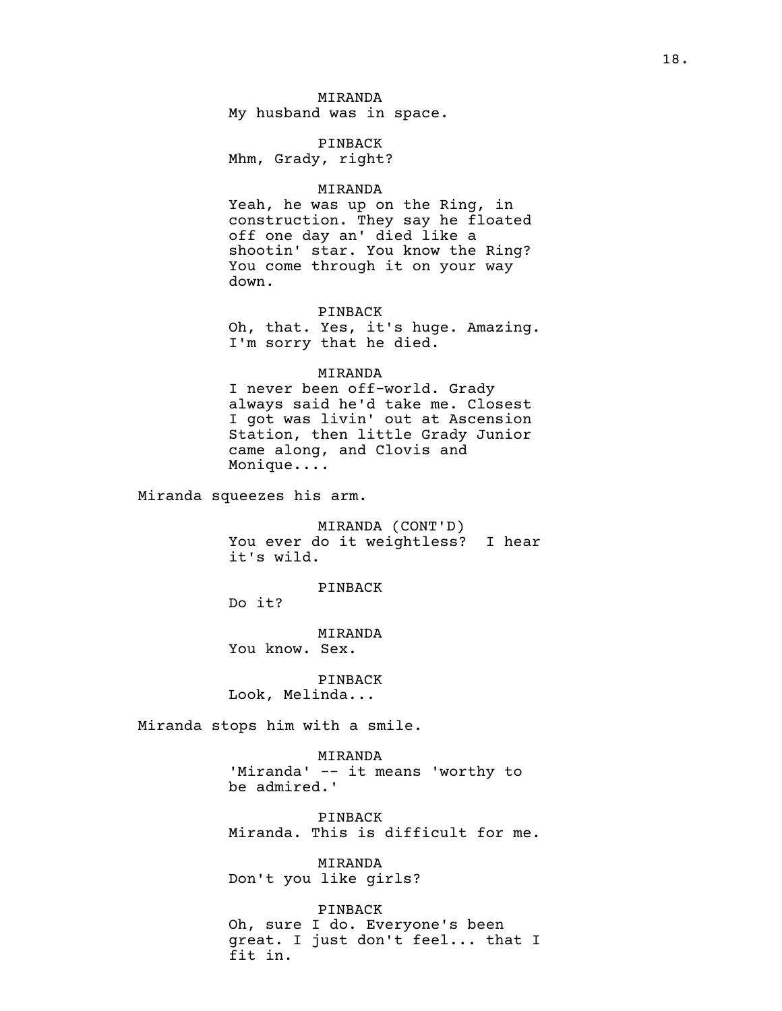## MIRANDA

My husband was in space.

#### PINBACK

Mhm, Grady, right?

#### MIRANDA

Yeah, he was up on the Ring, in construction. They say he floated off one day an' died like a shootin' star. You know the Ring? You come through it on your way down.

#### PINBACK

Oh, that. Yes, it's huge. Amazing. I'm sorry that he died.

#### MIRANDA

I never been off-world. Grady always said he'd take me. Closest I got was livin' out at Ascension Station, then little Grady Junior came along, and Clovis and Monique....

Miranda squeezes his arm.

MIRANDA (CONT'D) You ever do it weightless? I hear it's wild.

PINBACK

Do it?

MIRANDA You know. Sex.

## PINBACK Look, Melinda...

Miranda stops him with a smile.

MIRANDA

'Miranda' -- it means 'worthy to be admired.'

PINBACK Miranda. This is difficult for me.

MIRANDA Don't you like girls?

PINBACK Oh, sure I do. Everyone's been great. I just don't feel... that I fit in.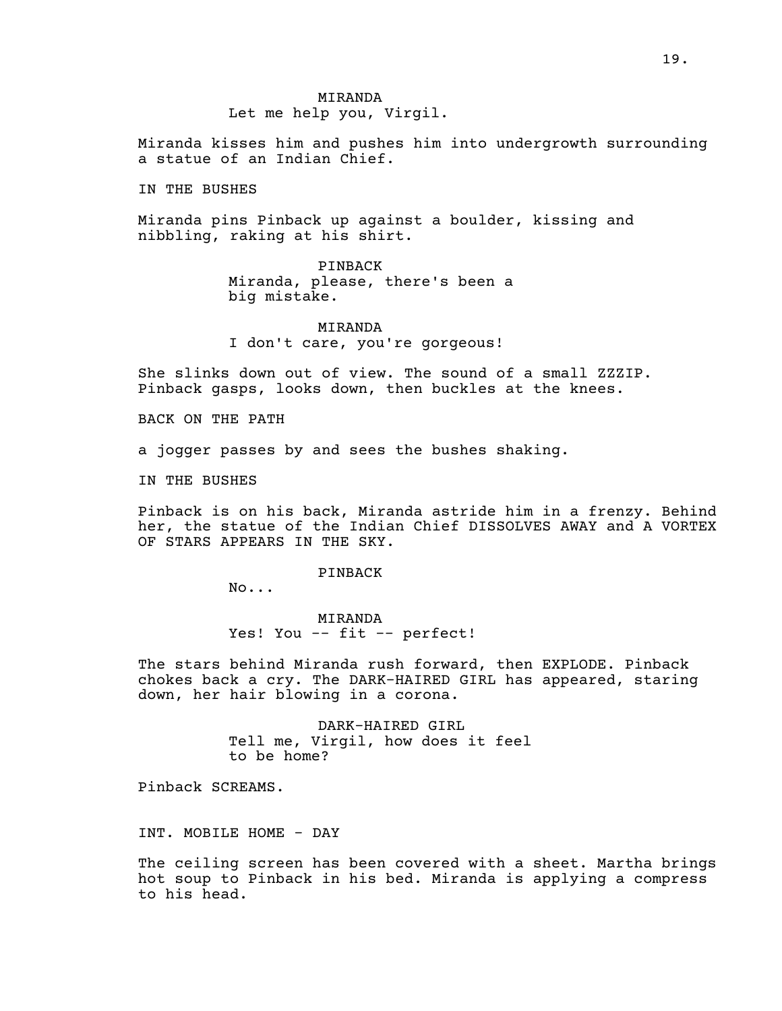Miranda kisses him and pushes him into undergrowth surrounding a statue of an Indian Chief.

IN THE BUSHES

Miranda pins Pinback up against a boulder, kissing and nibbling, raking at his shirt.

> PINBACK Miranda, please, there's been a big mistake.

MIRANDA I don't care, you're gorgeous!

She slinks down out of view. The sound of a small ZZZIP. Pinback gasps, looks down, then buckles at the knees.

BACK ON THE PATH

a jogger passes by and sees the bushes shaking.

IN THE BUSHES

Pinback is on his back, Miranda astride him in a frenzy. Behind her, the statue of the Indian Chief DISSOLVES AWAY and A VORTEX OF STARS APPEARS IN THE SKY.

#### PINBACK

No...

MIRANDA Yes! You -- fit -- perfect!

The stars behind Miranda rush forward, then EXPLODE. Pinback chokes back a cry. The DARK-HAIRED GIRL has appeared, staring down, her hair blowing in a corona.

> DARK-HAIRED GIRL Tell me, Virgil, how does it feel to be home?

Pinback SCREAMS.

INT. MOBILE HOME - DAY

The ceiling screen has been covered with a sheet. Martha brings hot soup to Pinback in his bed. Miranda is applying a compress to his head.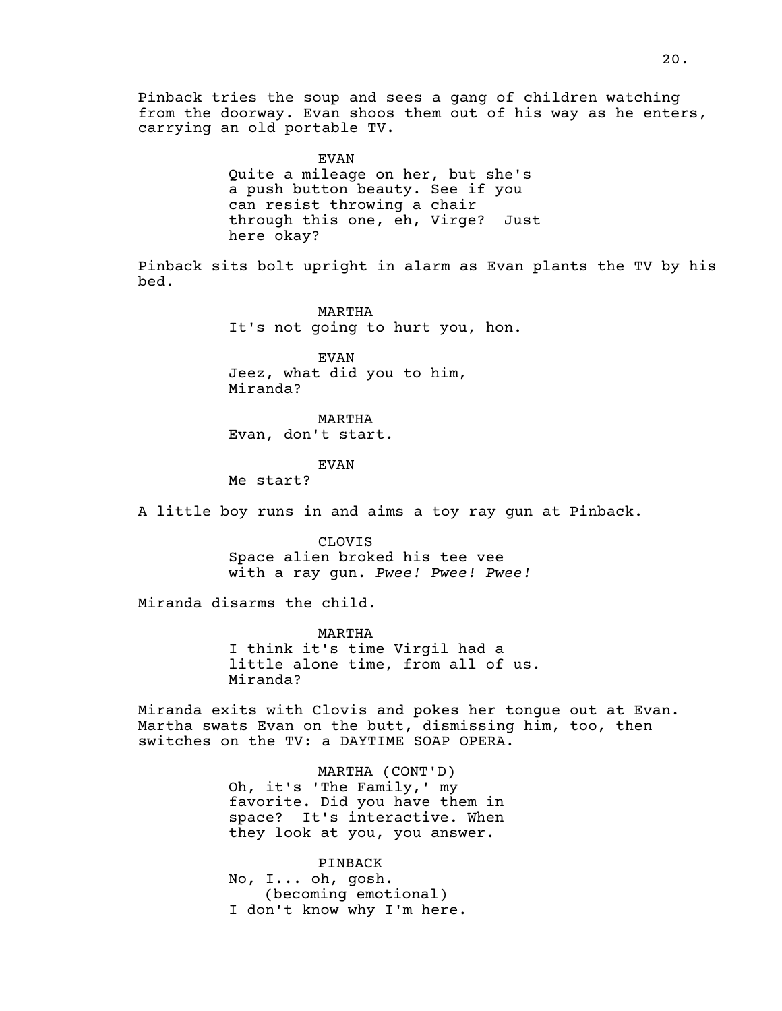Pinback tries the soup and sees a gang of children watching from the doorway. Evan shoos them out of his way as he enters, carrying an old portable TV.

> EVAN Quite a mileage on her, but she's a push button beauty. See if you can resist throwing a chair through this one, eh, Virge? Just here okay?

Pinback sits bolt upright in alarm as Evan plants the TV by his bed.

> MARTHA It's not going to hurt you, hon.

EVAN Jeez, what did you to him, Miranda?

MARTHA Evan, don't start.

EVAN

Me start?

A little boy runs in and aims a toy ray gun at Pinback.

CLOVIS Space alien broked his tee vee with a ray gun. *Pwee! Pwee! Pwee!*

Miranda disarms the child.

MARTHA I think it's time Virgil had a little alone time, from all of us. Miranda?

Miranda exits with Clovis and pokes her tongue out at Evan. Martha swats Evan on the butt, dismissing him, too, then switches on the TV: a DAYTIME SOAP OPERA.

> MARTHA (CONT'D) Oh, it's 'The Family,' my favorite. Did you have them in space? It's interactive. When they look at you, you answer.

PINBACK No, I... oh, gosh. (becoming emotional) I don't know why I'm here.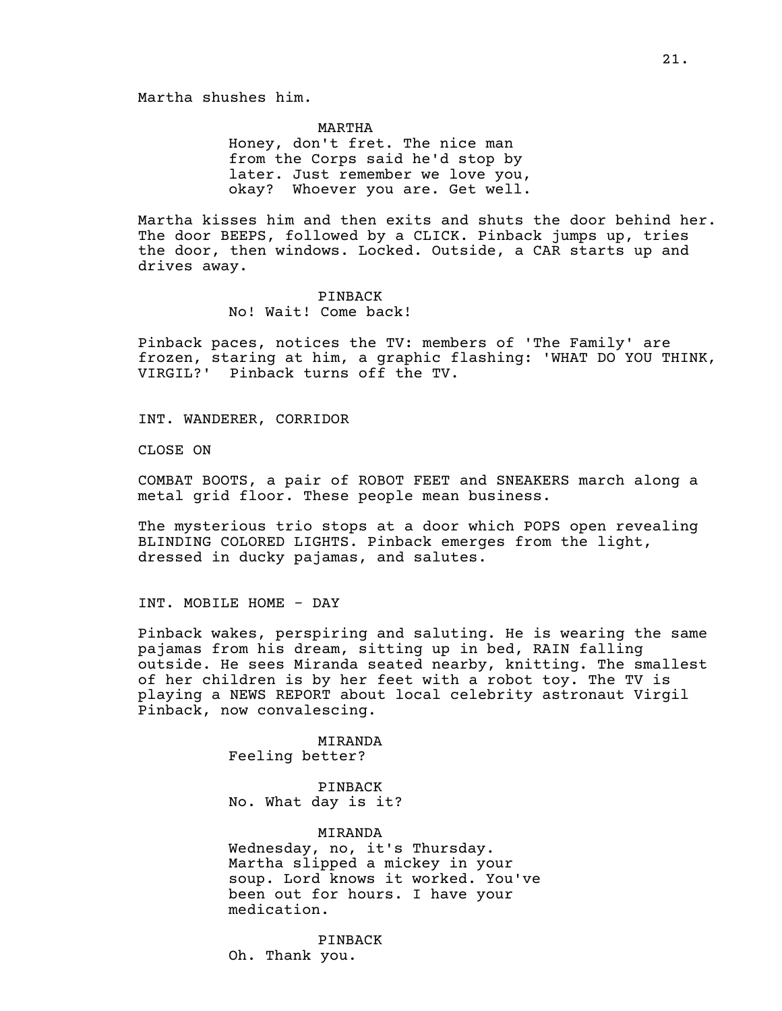MARTHA Honey, don't fret. The nice man from the Corps said he'd stop by later. Just remember we love you, okay? Whoever you are. Get well.

Martha kisses him and then exits and shuts the door behind her. The door BEEPS, followed by a CLICK. Pinback jumps up, tries the door, then windows. Locked. Outside, a CAR starts up and drives away.

## PINBACK No! Wait! Come back!

Pinback paces, notices the TV: members of 'The Family' are frozen, staring at him, a graphic flashing: 'WHAT DO YOU THINK, VIRGIL?' Pinback turns off the TV.

INT. WANDERER, CORRIDOR

CLOSE ON

COMBAT BOOTS, a pair of ROBOT FEET and SNEAKERS march along a metal grid floor. These people mean business.

The mysterious trio stops at a door which POPS open revealing BLINDING COLORED LIGHTS. Pinback emerges from the light, dressed in ducky pajamas, and salutes.

INT. MOBILE HOME - DAY

Pinback wakes, perspiring and saluting. He is wearing the same pajamas from his dream, sitting up in bed, RAIN falling outside. He sees Miranda seated nearby, knitting. The smallest of her children is by her feet with a robot toy. The TV is playing a NEWS REPORT about local celebrity astronaut Virgil Pinback, now convalescing.

> MIRANDA Feeling better?

PINBACK No. What day is it?

MIRANDA Wednesday, no, it's Thursday. Martha slipped a mickey in your soup. Lord knows it worked. You've been out for hours. I have your medication.

PINBACK Oh. Thank you.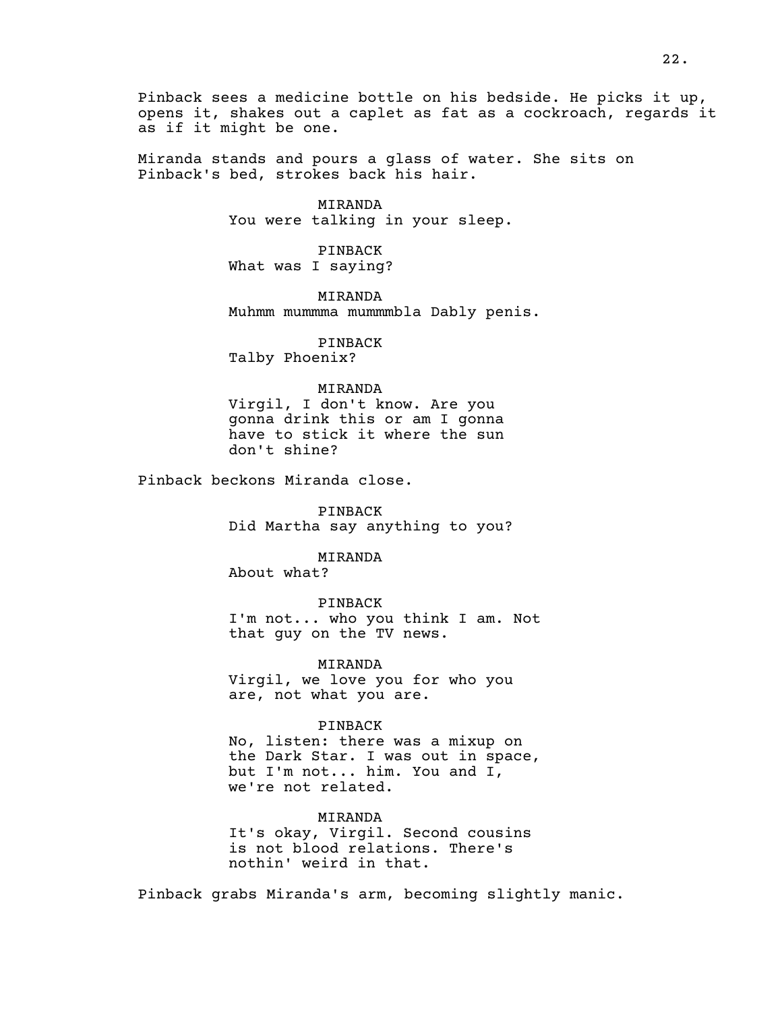Pinback sees a medicine bottle on his bedside. He picks it up, opens it, shakes out a caplet as fat as a cockroach, regards it as if it might be one.

Miranda stands and pours a glass of water. She sits on Pinback's bed, strokes back his hair.

> MIRANDA You were talking in your sleep.

PINBACK What was I saying?

MIRANDA Muhmm mummma mummmbla Dably penis.

# PINBACK

Talby Phoenix?

# MIRANDA

Virgil, I don't know. Are you gonna drink this or am I gonna have to stick it where the sun don't shine?

Pinback beckons Miranda close.

PINBACK Did Martha say anything to you?

## MIRANDA

About what?

#### PINBACK

I'm not... who you think I am. Not that guy on the TV news.

MIRANDA

Virgil, we love you for who you are, not what you are.

# PINBACK

No, listen: there was a mixup on the Dark Star. I was out in space, but I'm not... him. You and I, we're not related.

### MIRANDA

It's okay, Virgil. Second cousins is not blood relations. There's nothin' weird in that.

Pinback grabs Miranda's arm, becoming slightly manic.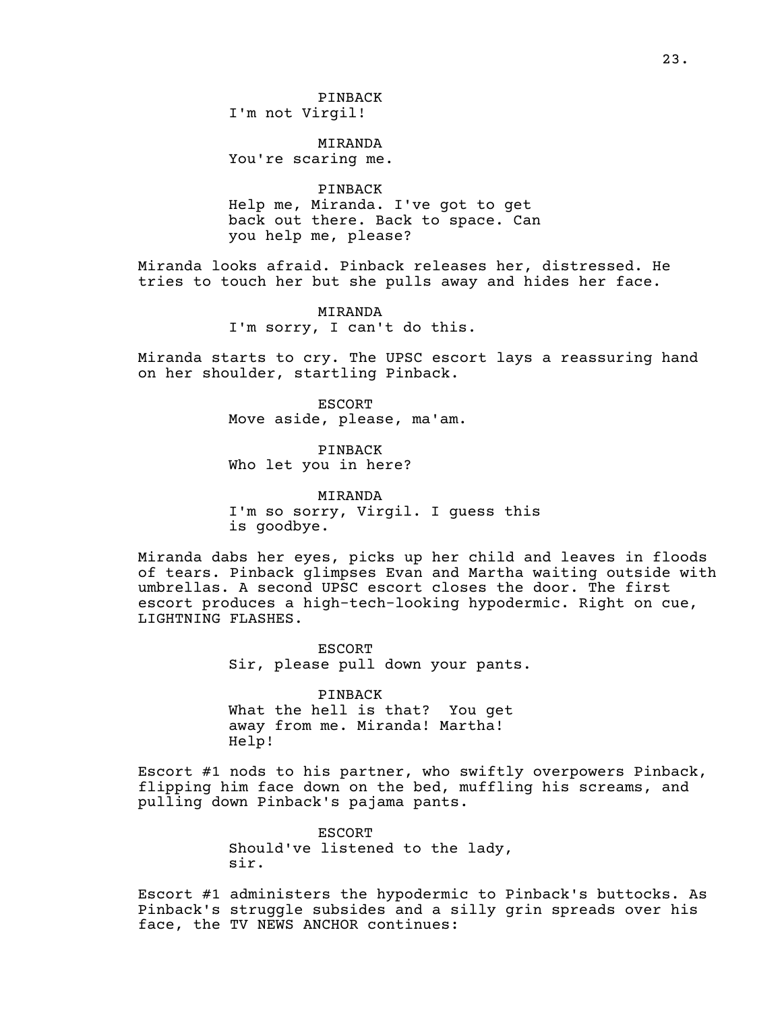MIRANDA You're scaring me.

PINBACK Help me, Miranda. I've got to get back out there. Back to space. Can you help me, please?

Miranda looks afraid. Pinback releases her, distressed. He tries to touch her but she pulls away and hides her face.

> MIRANDA I'm sorry, I can't do this.

Miranda starts to cry. The UPSC escort lays a reassuring hand on her shoulder, startling Pinback.

> ESCORT Move aside, please, ma'am.

PINBACK Who let you in here?

MIRANDA I'm so sorry, Virgil. I guess this is goodbye.

Miranda dabs her eyes, picks up her child and leaves in floods of tears. Pinback glimpses Evan and Martha waiting outside with umbrellas. A second UPSC escort closes the door. The first escort produces a high-tech-looking hypodermic. Right on cue, LIGHTNING FLASHES.

> ESCORT Sir, please pull down your pants.

PINBACK What the hell is that? You get away from me. Miranda! Martha! Help!

Escort #1 nods to his partner, who swiftly overpowers Pinback, flipping him face down on the bed, muffling his screams, and pulling down Pinback's pajama pants.

> ESCORT Should've listened to the lady, sir.

Escort #1 administers the hypodermic to Pinback's buttocks. As Pinback's struggle subsides and a silly grin spreads over his face, the TV NEWS ANCHOR continues: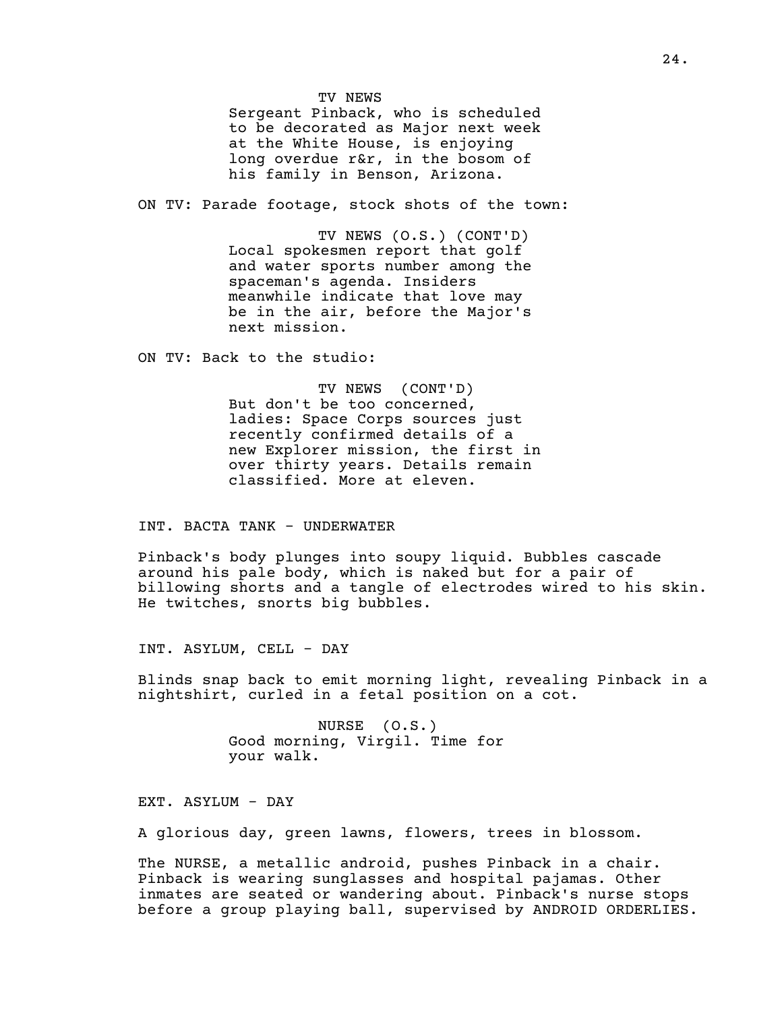TV NEWS Sergeant Pinback, who is scheduled to be decorated as Major next week at the White House, is enjoying long overdue r&r, in the bosom of his family in Benson, Arizona.

ON TV: Parade footage, stock shots of the town:

TV NEWS (O.S.) (CONT'D) Local spokesmen report that golf and water sports number among the spaceman's agenda. Insiders meanwhile indicate that love may be in the air, before the Major's next mission.

ON TV: Back to the studio:

TV NEWS (CONT'D) But don't be too concerned, ladies: Space Corps sources just recently confirmed details of a new Explorer mission, the first in over thirty years. Details remain classified. More at eleven.

INT. BACTA TANK - UNDERWATER

Pinback's body plunges into soupy liquid. Bubbles cascade around his pale body, which is naked but for a pair of billowing shorts and a tangle of electrodes wired to his skin. He twitches, snorts big bubbles.

INT. ASYLUM, CELL - DAY

Blinds snap back to emit morning light, revealing Pinback in a nightshirt, curled in a fetal position on a cot.

> NURSE (O.S.) Good morning, Virgil. Time for your walk.

EXT. ASYLUM - DAY

A glorious day, green lawns, flowers, trees in blossom.

The NURSE, a metallic android, pushes Pinback in a chair. Pinback is wearing sunglasses and hospital pajamas. Other inmates are seated or wandering about. Pinback's nurse stops before a group playing ball, supervised by ANDROID ORDERLIES.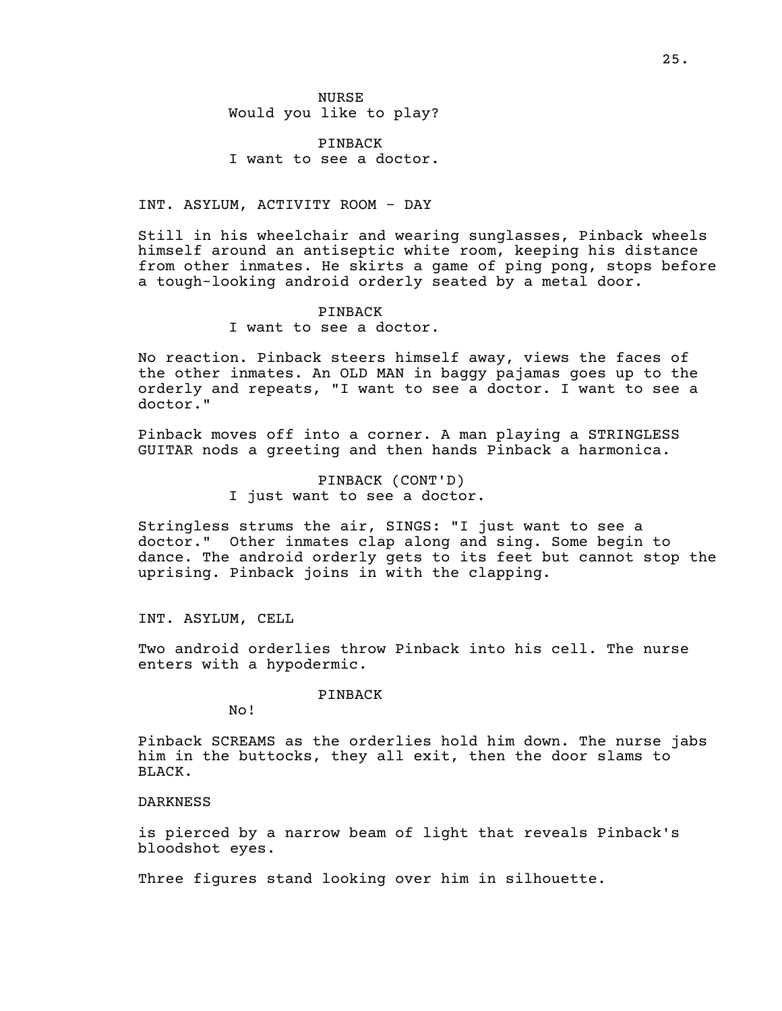NURSE Would you like to play?

PINBACK I want to see a doctor.

INT. ASYLUM, ACTIVITY ROOM - DAY

Still in his wheelchair and wearing sunglasses, Pinback wheels himself around an antiseptic white room, keeping his distance from other inmates. He skirts a game of ping pong, stops before a tough-looking android orderly seated by a metal door.

#### PINBACK

I want to see a doctor.

No reaction. Pinback steers himself away, views the faces of the other inmates. An OLD MAN in baggy pajamas goes up to the orderly and repeats, "I want to see a doctor. I want to see a doctor."

Pinback moves off into a corner. A man playing a STRINGLESS GUITAR nods a greeting and then hands Pinback a harmonica.

> PINBACK (CONT'D) I just want to see a doctor.

Stringless strums the air, SINGS: "I just want to see a doctor." Other inmates clap along and sing. Some begin to dance. The android orderly gets to its feet but cannot stop the uprising. Pinback joins in with the clapping.

INT. ASYLUM, CELL

Two android orderlies throw Pinback into his cell. The nurse enters with a hypodermic.

PINBACK

No!

Pinback SCREAMS as the orderlies hold him down. The nurse jabs him in the buttocks, they all exit, then the door slams to BLACK.

### DARKNESS

is pierced by a narrow beam of light that reveals Pinback's bloodshot eyes.

Three figures stand looking over him in silhouette.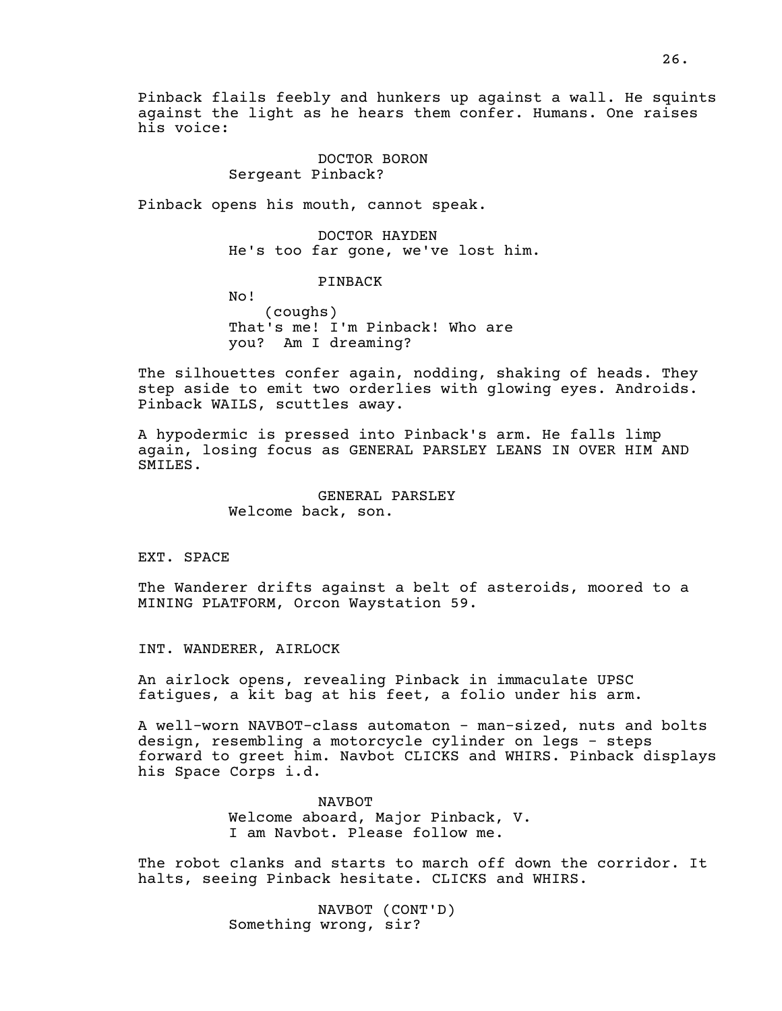Pinback flails feebly and hunkers up against a wall. He squints against the light as he hears them confer. Humans. One raises his voice:

#### DOCTOR BORON Sergeant Pinback?

Pinback opens his mouth, cannot speak.

DOCTOR HAYDEN He's too far gone, we've lost him.

PINBACK

No! (coughs) That's me! I'm Pinback! Who are you? Am I dreaming?

The silhouettes confer again, nodding, shaking of heads. They step aside to emit two orderlies with glowing eyes. Androids. Pinback WAILS, scuttles away.

A hypodermic is pressed into Pinback's arm. He falls limp again, losing focus as GENERAL PARSLEY LEANS IN OVER HIM AND SMILES.

## GENERAL PARSLEY Welcome back, son.

## EXT. SPACE

The Wanderer drifts against a belt of asteroids, moored to a MINING PLATFORM, Orcon Waystation 59.

INT. WANDERER, AIRLOCK

An airlock opens, revealing Pinback in immaculate UPSC fatigues, a kit bag at his feet, a folio under his arm.

A well-worn NAVBOT-class automaton - man-sized, nuts and bolts design, resembling a motorcycle cylinder on legs - steps forward to greet him. Navbot CLICKS and WHIRS. Pinback displays his Space Corps i.d.

> NAVBOT Welcome aboard, Major Pinback, V. I am Navbot. Please follow me.

The robot clanks and starts to march off down the corridor. It halts, seeing Pinback hesitate. CLICKS and WHIRS.

> NAVBOT (CONT'D) Something wrong, sir?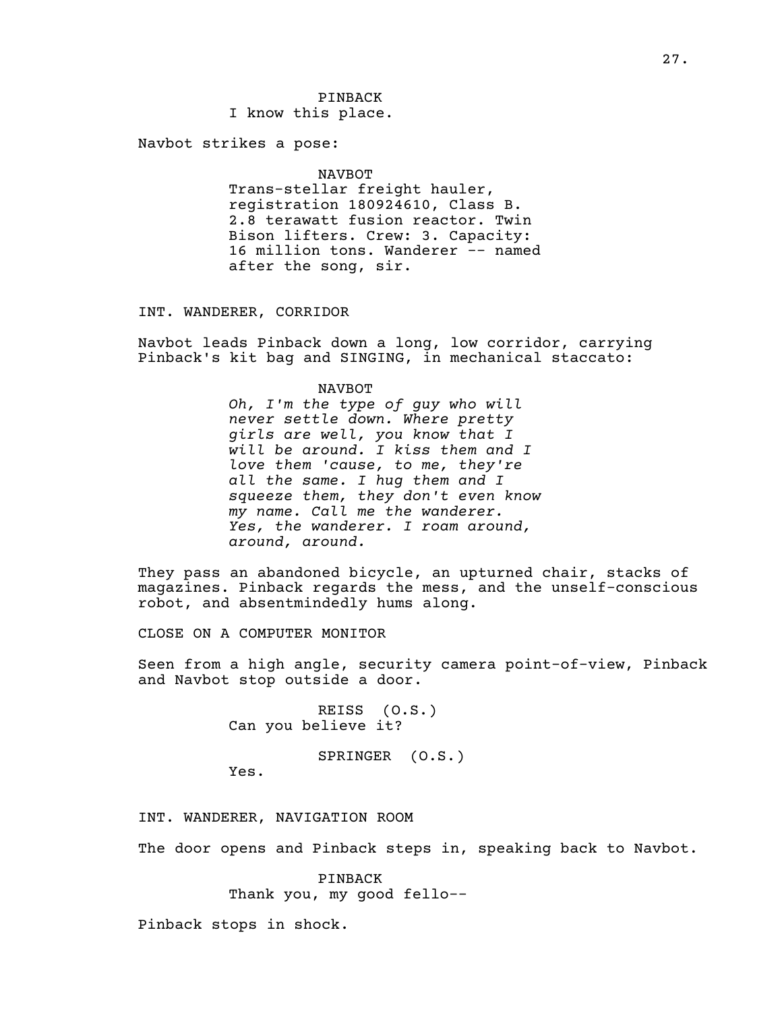I know this place.

Navbot strikes a pose:

#### NAVBOT

Trans-stellar freight hauler, registration 180924610, Class B. 2.8 terawatt fusion reactor. Twin Bison lifters. Crew: 3. Capacity: 16 million tons. Wanderer -- named after the song, sir.

#### INT. WANDERER, CORRIDOR

Navbot leads Pinback down a long, low corridor, carrying Pinback's kit bag and SINGING, in mechanical staccato:

> NAVBOT *Oh, I'm the type of guy who will never settle down. Where pretty girls are well, you know that I will be around. I kiss them and I love them 'cause, to me, they're all the same. I hug them and I squeeze them, they don't even know my name. Call me the wanderer. Yes, the wanderer. I roam around, around, around.*

They pass an abandoned bicycle, an upturned chair, stacks of magazines. Pinback regards the mess, and the unself-conscious robot, and absentmindedly hums along.

CLOSE ON A COMPUTER MONITOR

Seen from a high angle, security camera point-of-view, Pinback and Navbot stop outside a door.

> REISS (O.S.) Can you believe it?

> > SPRINGER (O.S.)

Yes.

INT. WANDERER, NAVIGATION ROOM

The door opens and Pinback steps in, speaking back to Navbot.

PINBACK Thank you, my good fello--

Pinback stops in shock.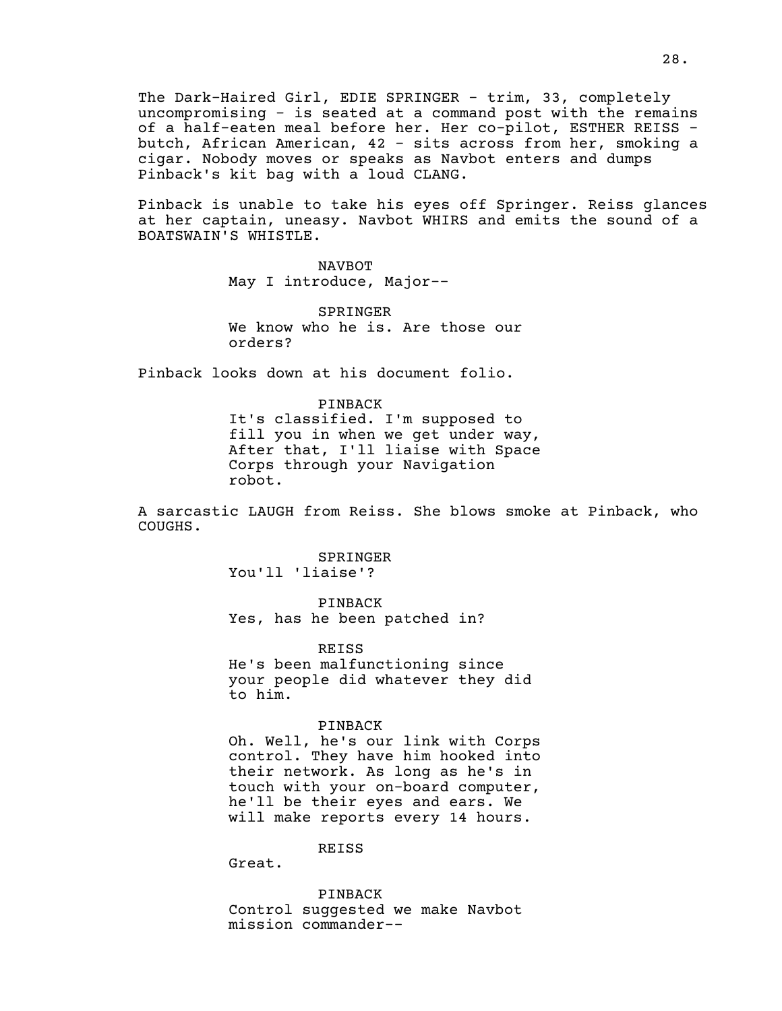The Dark-Haired Girl, EDIE SPRINGER - trim, 33, completely uncompromising - is seated at a command post with the remains of a half-eaten meal before her. Her co-pilot, ESTHER REISS butch, African American, 42 - sits across from her, smoking a cigar. Nobody moves or speaks as Navbot enters and dumps Pinback's kit bag with a loud CLANG.

Pinback is unable to take his eyes off Springer. Reiss glances at her captain, uneasy. Navbot WHIRS and emits the sound of a BOATSWAIN'S WHISTLE.

> NAVBOT May I introduce, Major--

SPRINGER We know who he is. Are those our orders?

Pinback looks down at his document folio.

PINBACK It's classified. I'm supposed to fill you in when we get under way, After that, I'll liaise with Space Corps through your Navigation robot.

A sarcastic LAUGH from Reiss. She blows smoke at Pinback, who COUGHS.

> SPRINGER You'll 'liaise'?

PINBACK Yes, has he been patched in?

REISS

He's been malfunctioning since your people did whatever they did to him.

#### PINBACK

Oh. Well, he's our link with Corps control. They have him hooked into their network. As long as he's in touch with your on-board computer, he'll be their eyes and ears. We will make reports every 14 hours.

REISS

Great.

PINBACK Control suggested we make Navbot mission commander--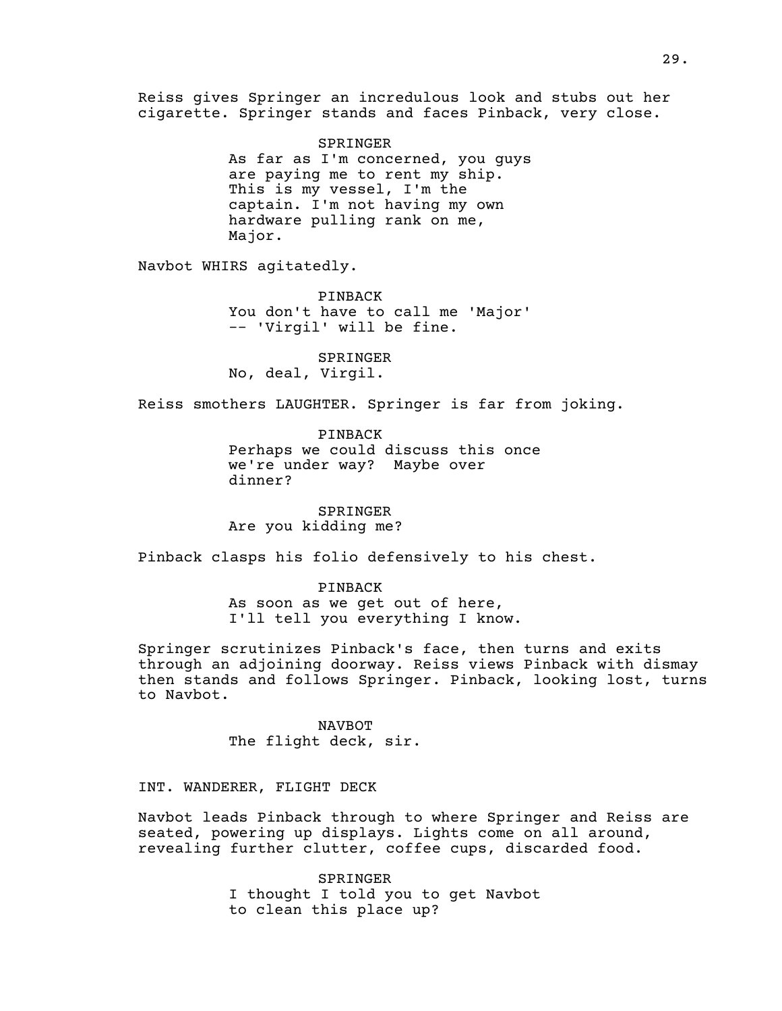Reiss gives Springer an incredulous look and stubs out her cigarette. Springer stands and faces Pinback, very close.

#### SPRINGER

As far as I'm concerned, you guys are paying me to rent my ship. This is my vessel, I'm the captain. I'm not having my own hardware pulling rank on me, Major.

Navbot WHIRS agitatedly.

PINBACK You don't have to call me 'Major' -- 'Virgil' will be fine.

SPRINGER No, deal, Virgil.

Reiss smothers LAUGHTER. Springer is far from joking.

PINBACK Perhaps we could discuss this once we're under way? Maybe over dinner?

SPRINGER Are you kidding me?

Pinback clasps his folio defensively to his chest.

#### PINBACK

As soon as we get out of here, I'll tell you everything I know.

Springer scrutinizes Pinback's face, then turns and exits through an adjoining doorway. Reiss views Pinback with dismay then stands and follows Springer. Pinback, looking lost, turns to Navbot.

> NAVBOT The flight deck, sir.

INT. WANDERER, FLIGHT DECK

Navbot leads Pinback through to where Springer and Reiss are seated, powering up displays. Lights come on all around, revealing further clutter, coffee cups, discarded food.

> SPRINGER I thought I told you to get Navbot to clean this place up?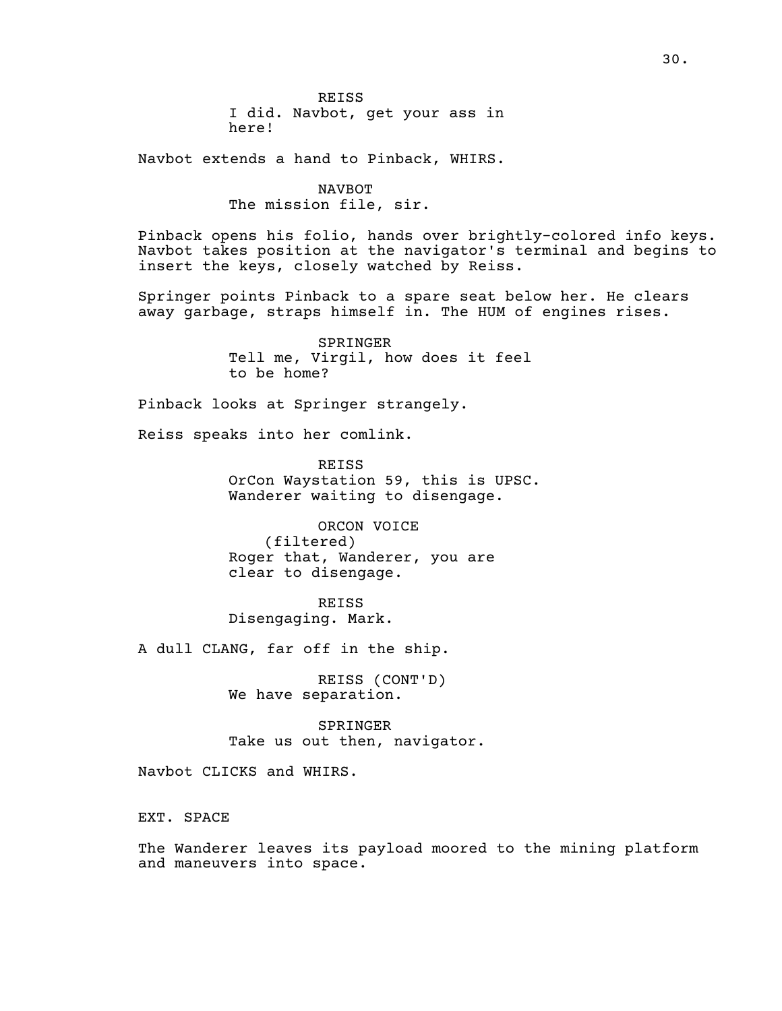Navbot extends a hand to Pinback, WHIRS.

NAVBOT The mission file, sir.

Pinback opens his folio, hands over brightly-colored info keys. Navbot takes position at the navigator's terminal and begins to insert the keys, closely watched by Reiss.

Springer points Pinback to a spare seat below her. He clears away garbage, straps himself in. The HUM of engines rises.

> SPRINGER Tell me, Virgil, how does it feel to be home?

Pinback looks at Springer strangely.

Reiss speaks into her comlink.

REISS OrCon Waystation 59, this is UPSC. Wanderer waiting to disengage.

ORCON VOICE (filtered) Roger that, Wanderer, you are clear to disengage.

REISS Disengaging. Mark.

A dull CLANG, far off in the ship.

REISS (CONT'D) We have separation.

SPRINGER Take us out then, navigator.

Navbot CLICKS and WHIRS.

EXT. SPACE

The Wanderer leaves its payload moored to the mining platform and maneuvers into space.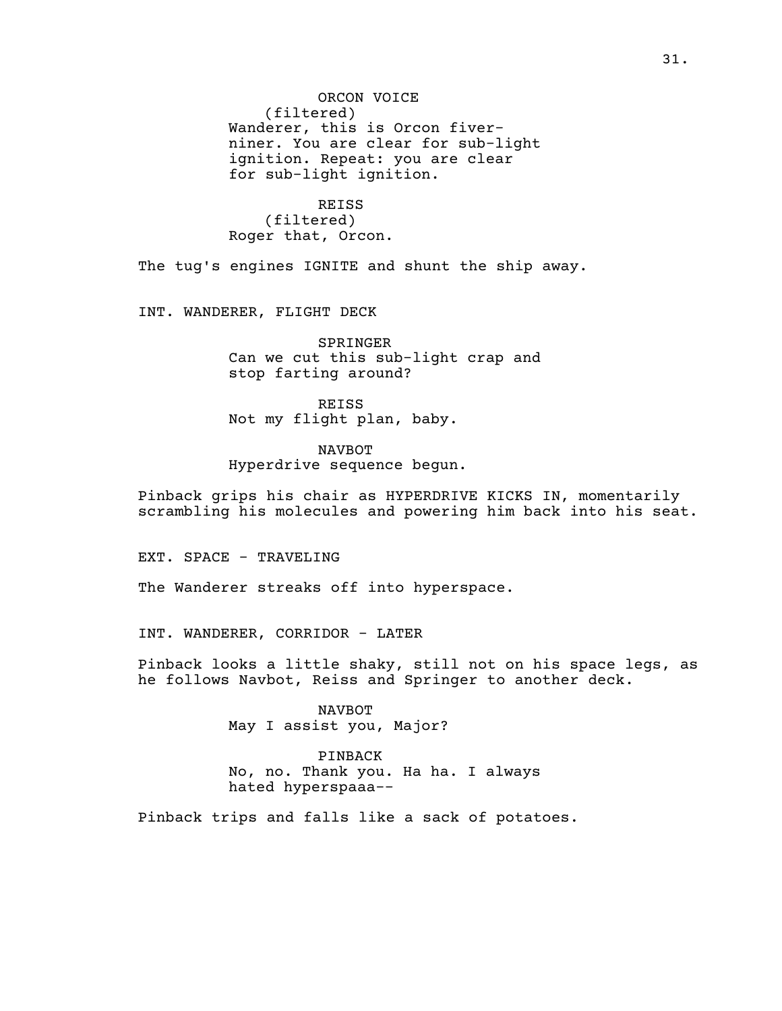ORCON VOICE (filtered) Wanderer, this is Orcon fiverniner. You are clear for sub-light ignition. Repeat: you are clear for sub-light ignition.

REISS (filtered) Roger that, Orcon.

The tug's engines IGNITE and shunt the ship away.

INT. WANDERER, FLIGHT DECK

SPRINGER Can we cut this sub-light crap and stop farting around?

REISS Not my flight plan, baby.

NAVBOT Hyperdrive sequence begun.

Pinback grips his chair as HYPERDRIVE KICKS IN, momentarily scrambling his molecules and powering him back into his seat.

EXT. SPACE - TRAVELING

The Wanderer streaks off into hyperspace.

INT. WANDERER, CORRIDOR - LATER

Pinback looks a little shaky, still not on his space legs, as he follows Navbot, Reiss and Springer to another deck.

> NAVBOT May I assist you, Major?

PINBACK No, no. Thank you. Ha ha. I always hated hyperspaaa--

Pinback trips and falls like a sack of potatoes.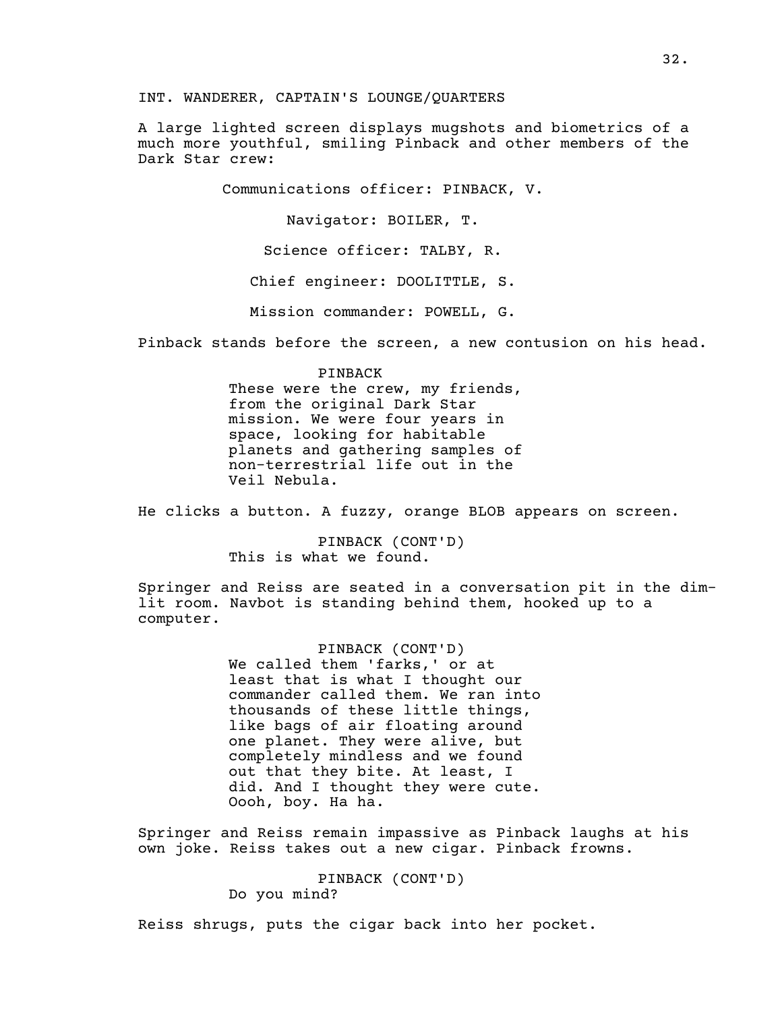INT. WANDERER, CAPTAIN'S LOUNGE/QUARTERS

A large lighted screen displays mugshots and biometrics of a much more youthful, smiling Pinback and other members of the Dark Star crew:

Communications officer: PINBACK, V.

Navigator: BOILER, T.

Science officer: TALBY, R.

Chief engineer: DOOLITTLE, S.

Mission commander: POWELL, G.

Pinback stands before the screen, a new contusion on his head.

PINBACK

These were the crew, my friends, from the original Dark Star mission. We were four years in space, looking for habitable planets and gathering samples of non-terrestrial life out in the Veil Nebula.

He clicks a button. A fuzzy, orange BLOB appears on screen.

PINBACK (CONT'D) This is what we found.

Springer and Reiss are seated in a conversation pit in the dimlit room. Navbot is standing behind them, hooked up to a computer.

> PINBACK (CONT'D) We called them 'farks,' or at least that is what I thought our commander called them. We ran into thousands of these little things, like bags of air floating around one planet. They were alive, but completely mindless and we found out that they bite. At least, I did. And I thought they were cute. Oooh, boy. Ha ha.

Springer and Reiss remain impassive as Pinback laughs at his own joke. Reiss takes out a new cigar. Pinback frowns.

> PINBACK (CONT'D) Do you mind?

Reiss shrugs, puts the cigar back into her pocket.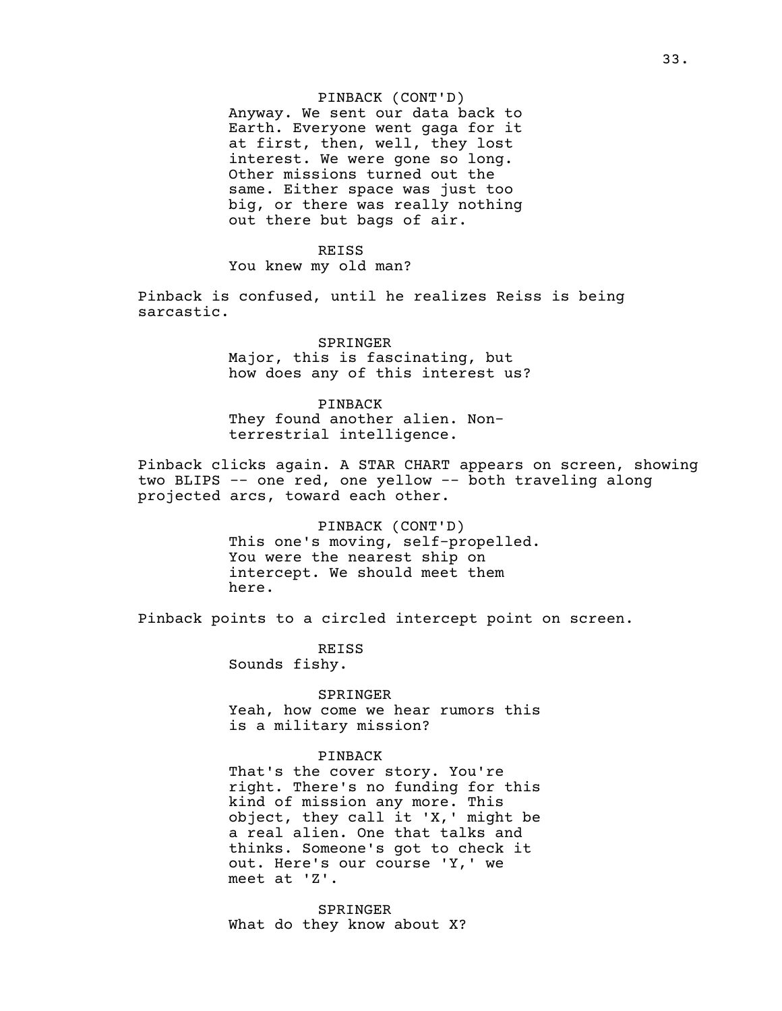## PINBACK (CONT'D)

Anyway. We sent our data back to Earth. Everyone went gaga for it at first, then, well, they lost interest. We were gone so long. Other missions turned out the same. Either space was just too big, or there was really nothing out there but bags of air.

REISS You knew my old man?

Pinback is confused, until he realizes Reiss is being sarcastic.

> SPRINGER Major, this is fascinating, but how does any of this interest us?

PINBACK They found another alien. Nonterrestrial intelligence.

Pinback clicks again. A STAR CHART appears on screen, showing two BLIPS -- one red, one yellow -- both traveling along projected arcs, toward each other.

> PINBACK (CONT'D) This one's moving, self-propelled. You were the nearest ship on intercept. We should meet them here.

Pinback points to a circled intercept point on screen.

REISS Sounds fishy.

SPRINGER Yeah, how come we hear rumors this is a military mission?

#### PINBACK

That's the cover story. You're right. There's no funding for this kind of mission any more. This object, they call it 'X,' might be a real alien. One that talks and thinks. Someone's got to check it out. Here's our course 'Y,' we meet at 'Z'.

SPRINGER What do they know about X?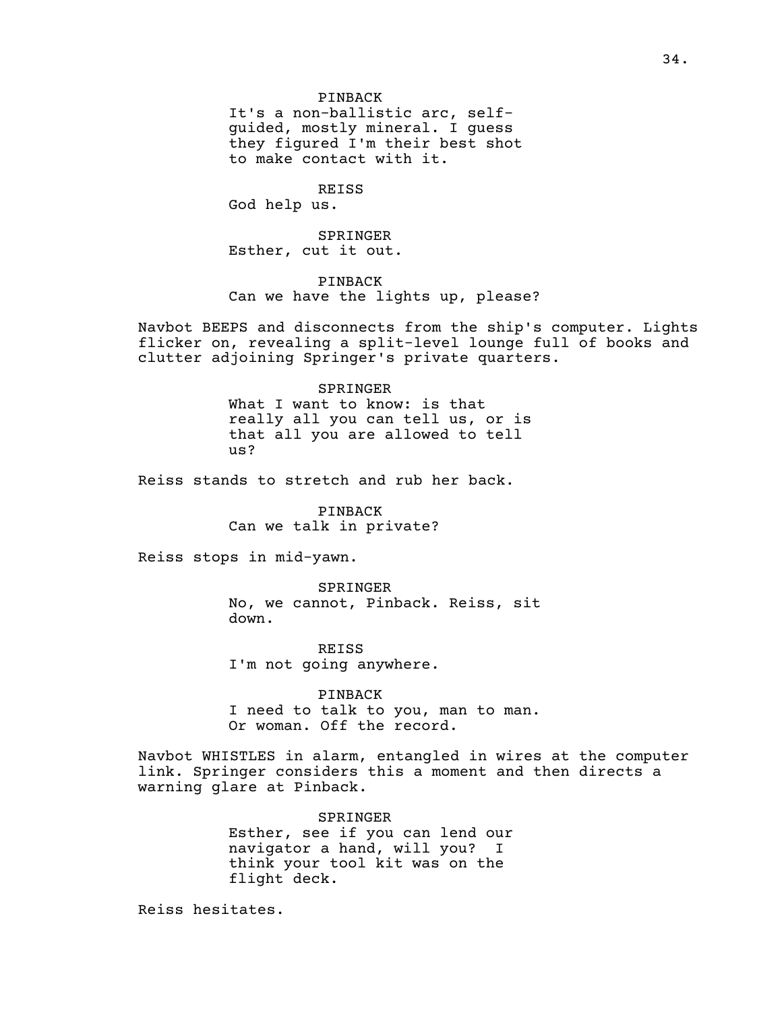#### PINBACK

It's a non-ballistic arc, selfguided, mostly mineral. I guess they figured I'm their best shot to make contact with it.

REISS God help us.

SPRINGER Esther, cut it out.

PINBACK Can we have the lights up, please?

Navbot BEEPS and disconnects from the ship's computer. Lights flicker on, revealing a split-level lounge full of books and clutter adjoining Springer's private quarters.

> SPRINGER What I want to know: is that really all you can tell us, or is that all you are allowed to tell us?

Reiss stands to stretch and rub her back.

PINBACK Can we talk in private?

Reiss stops in mid-yawn.

SPRINGER No, we cannot, Pinback. Reiss, sit down.

REISS I'm not going anywhere.

PINBACK I need to talk to you, man to man. Or woman. Off the record.

Navbot WHISTLES in alarm, entangled in wires at the computer link. Springer considers this a moment and then directs a warning glare at Pinback.

> SPRINGER Esther, see if you can lend our navigator a hand, will you? I think your tool kit was on the flight deck.

Reiss hesitates.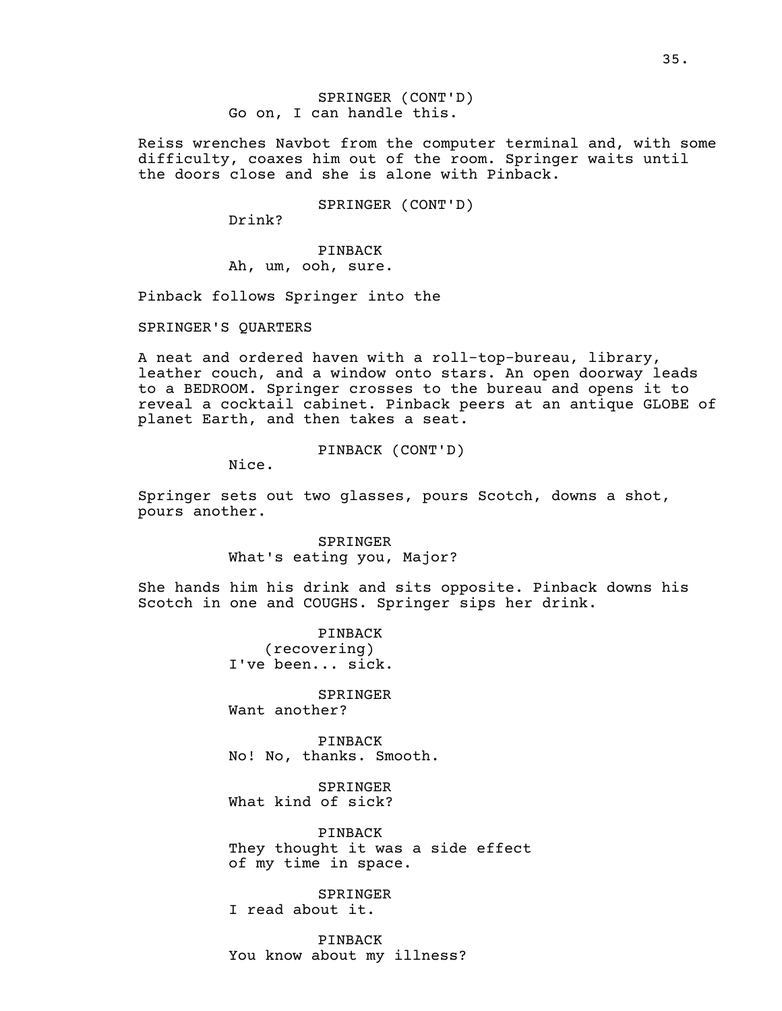SPRINGER (CONT'D) Go on, I can handle this.

Reiss wrenches Navbot from the computer terminal and, with some difficulty, coaxes him out of the room. Springer waits until the doors close and she is alone with Pinback.

SPRINGER (CONT'D)

Drink?

PINBACK Ah, um, ooh, sure.

Pinback follows Springer into the

SPRINGER'S QUARTERS

A neat and ordered haven with a roll-top-bureau, library, leather couch, and a window onto stars. An open doorway leads to a BEDROOM. Springer crosses to the bureau and opens it to reveal a cocktail cabinet. Pinback peers at an antique GLOBE of planet Earth, and then takes a seat.

PINBACK (CONT'D)

Nice.

Springer sets out two glasses, pours Scotch, downs a shot, pours another.

> SPRINGER What's eating you, Major?

She hands him his drink and sits opposite. Pinback downs his Scotch in one and COUGHS. Springer sips her drink.

> PINBACK (recovering) I've been... sick.

> SPRINGER Want another?

PINBACK No! No, thanks. Smooth.

SPRINGER What kind of sick?

PINBACK They thought it was a side effect of my time in space.

SPRINGER I read about it.

PINBACK You know about my illness?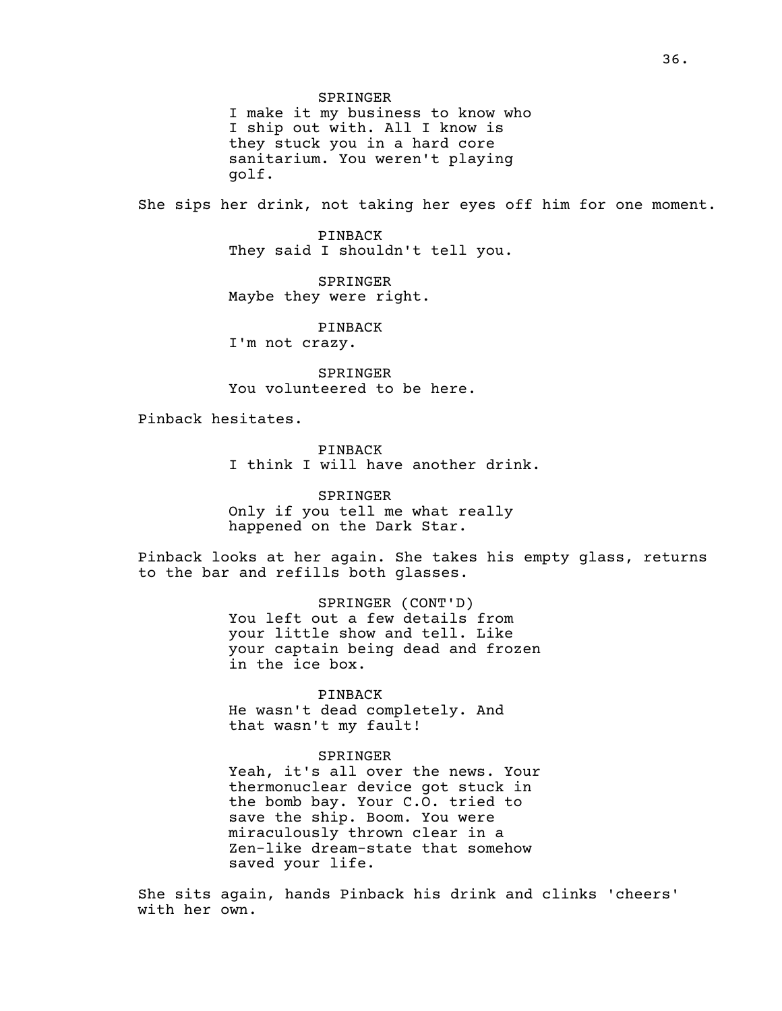SPRINGER

I make it my business to know who I ship out with. All I know is they stuck you in a hard core sanitarium. You weren't playing golf.

She sips her drink, not taking her eyes off him for one moment.

PINBACK They said I shouldn't tell you.

SPRINGER Maybe they were right.

PINBACK

I'm not crazy.

SPRINGER You volunteered to be here.

Pinback hesitates.

PINBACK I think I will have another drink.

SPRINGER Only if you tell me what really happened on the Dark Star.

Pinback looks at her again. She takes his empty glass, returns to the bar and refills both glasses.

> SPRINGER (CONT'D) You left out a few details from your little show and tell. Like your captain being dead and frozen in the ice box.

### PINBACK

He wasn't dead completely. And that wasn't my fault!

#### SPRINGER

Yeah, it's all over the news. Your thermonuclear device got stuck in the bomb bay. Your C.O. tried to save the ship. Boom. You were miraculously thrown clear in a Zen-like dream-state that somehow saved your life.

She sits again, hands Pinback his drink and clinks 'cheers' with her own.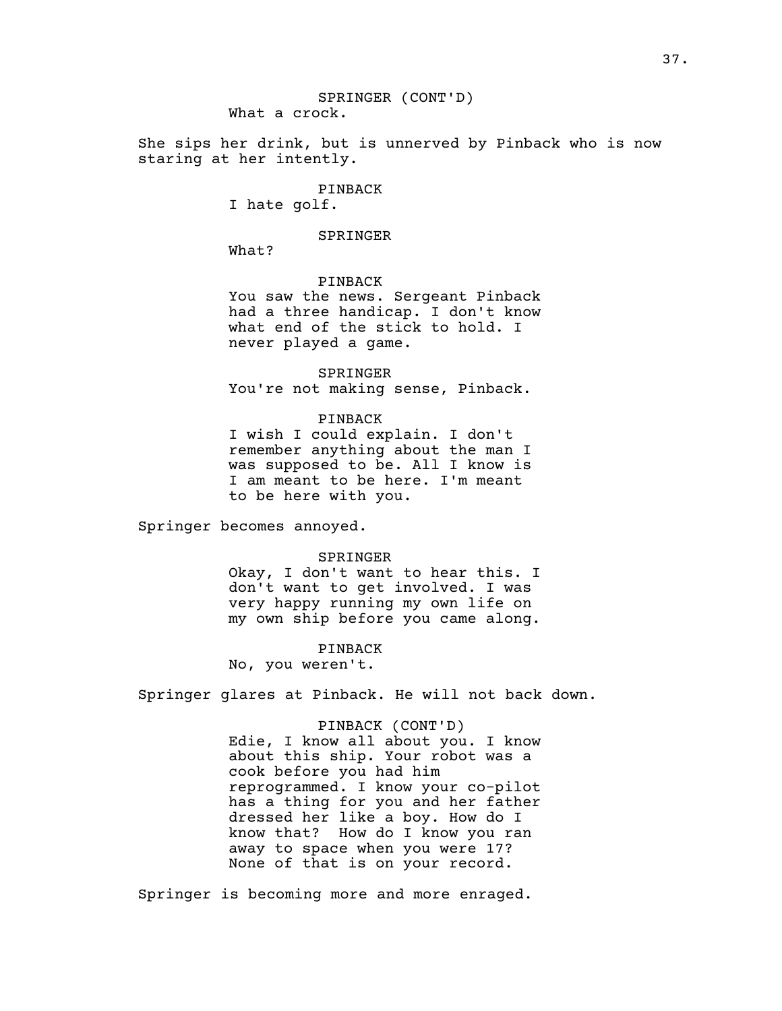She sips her drink, but is unnerved by Pinback who is now staring at her intently.

# PINBACK I hate golf.

#### SPRINGER

What?

PINBACK

You saw the news. Sergeant Pinback had a three handicap. I don't know what end of the stick to hold. I never played a game.

#### SPRINGER

You're not making sense, Pinback.

#### PINBACK

I wish I could explain. I don't remember anything about the man I was supposed to be. All I know is I am meant to be here. I'm meant to be here with you.

Springer becomes annoyed.

#### SPRINGER

Okay, I don't want to hear this. I don't want to get involved. I was very happy running my own life on my own ship before you came along.

PINBACK

No, you weren't.

Springer glares at Pinback. He will not back down.

#### PINBACK (CONT'D)

Edie, I know all about you. I know about this ship. Your robot was a cook before you had him reprogrammed. I know your co-pilot has a thing for you and her father dressed her like a boy. How do I know that? How do I know you ran away to space when you were 17? None of that is on your record.

Springer is becoming more and more enraged.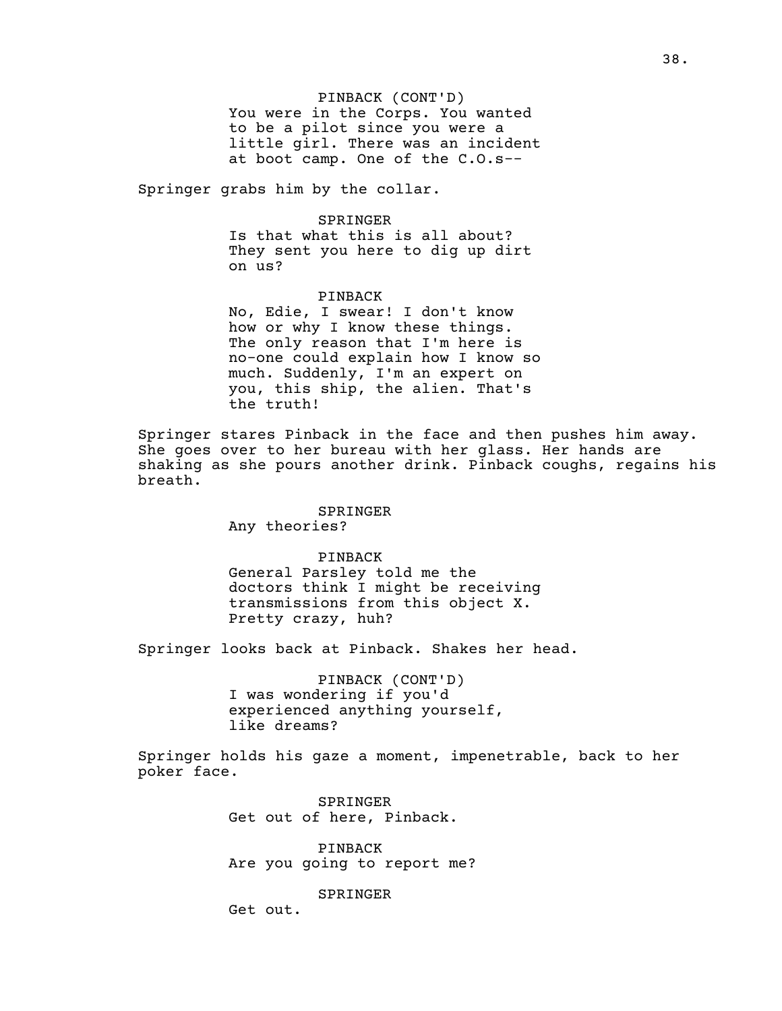PINBACK (CONT'D) You were in the Corps. You wanted to be a pilot since you were a little girl. There was an incident at boot camp. One of the C.O.s--

Springer grabs him by the collar.

#### SPRINGER

Is that what this is all about? They sent you here to dig up dirt on us?

#### PINBACK

No, Edie, I swear! I don't know how or why I know these things. The only reason that I'm here is no-one could explain how I know so much. Suddenly, I'm an expert on you, this ship, the alien. That's the truth!

Springer stares Pinback in the face and then pushes him away. She goes over to her bureau with her glass. Her hands are shaking as she pours another drink. Pinback coughs, regains his breath.

### SPRINGER Any theories?

#### PINBACK

General Parsley told me the doctors think I might be receiving transmissions from this object X. Pretty crazy, huh?

Springer looks back at Pinback. Shakes her head.

PINBACK (CONT'D) I was wondering if you'd experienced anything yourself, like dreams?

Springer holds his gaze a moment, impenetrable, back to her poker face.

> SPRINGER Get out of here, Pinback.

PINBACK Are you going to report me?

SPRINGER

Get out.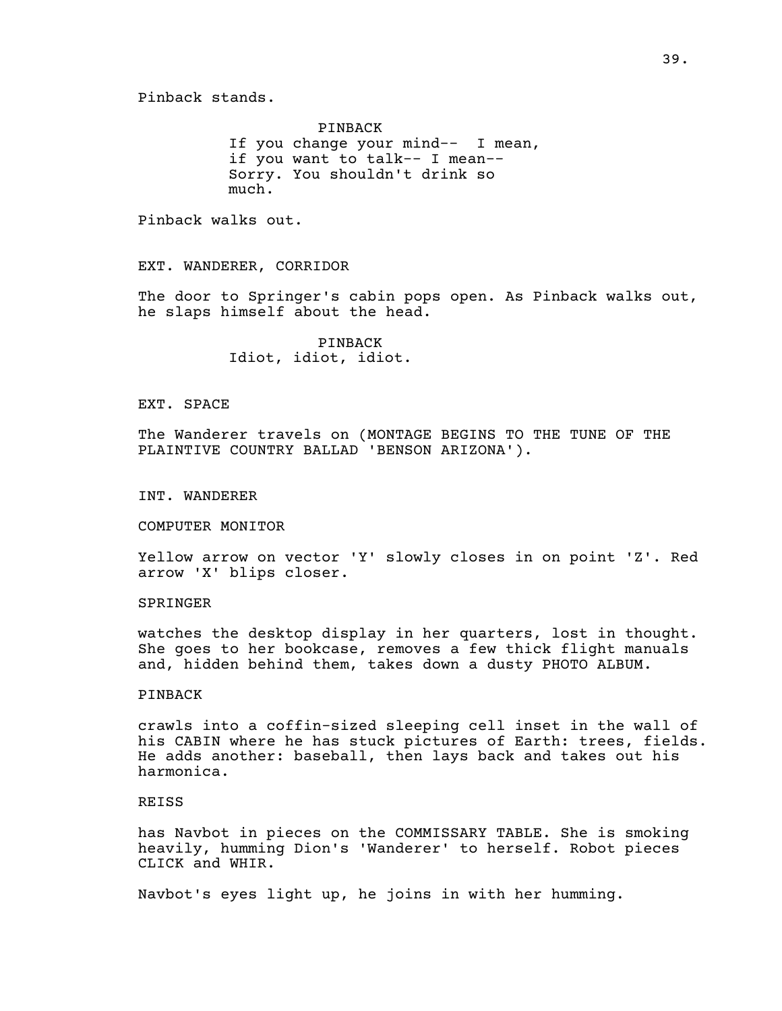PINBACK If you change your mind-- I mean, if you want to talk-- I mean-- Sorry. You shouldn't drink so much.

Pinback walks out.

#### EXT. WANDERER, CORRIDOR

The door to Springer's cabin pops open. As Pinback walks out, he slaps himself about the head.

> PINBACK Idiot, idiot, idiot.

#### EXT. SPACE

The Wanderer travels on (MONTAGE BEGINS TO THE TUNE OF THE PLAINTIVE COUNTRY BALLAD 'BENSON ARIZONA').

#### INT. WANDERER

COMPUTER MONITOR

Yellow arrow on vector 'Y' slowly closes in on point 'Z'. Red arrow 'X' blips closer.

### SPRINGER

watches the desktop display in her quarters, lost in thought. She goes to her bookcase, removes a few thick flight manuals and, hidden behind them, takes down a dusty PHOTO ALBUM.

### PINBACK

crawls into a coffin-sized sleeping cell inset in the wall of his CABIN where he has stuck pictures of Earth: trees, fields. He adds another: baseball, then lays back and takes out his harmonica.

### REISS

has Navbot in pieces on the COMMISSARY TABLE. She is smoking heavily, humming Dion's 'Wanderer' to herself. Robot pieces CLICK and WHIR.

Navbot's eyes light up, he joins in with her humming.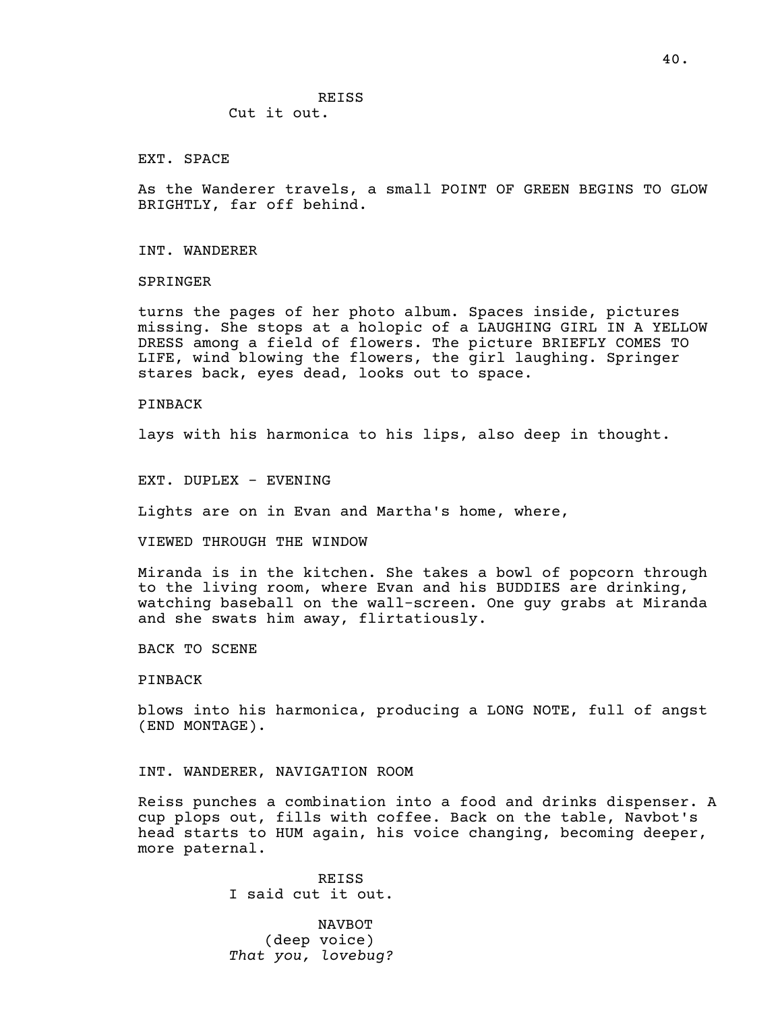#### EXT. SPACE

As the Wanderer travels, a small POINT OF GREEN BEGINS TO GLOW BRIGHTLY, far off behind.

#### INT. WANDERER

SPRINGER

turns the pages of her photo album. Spaces inside, pictures missing. She stops at a holopic of a LAUGHING GIRL IN A YELLOW DRESS among a field of flowers. The picture BRIEFLY COMES TO LIFE, wind blowing the flowers, the girl laughing. Springer stares back, eyes dead, looks out to space.

#### PINBACK

lays with his harmonica to his lips, also deep in thought.

EXT. DUPLEX - EVENING

Lights are on in Evan and Martha's home, where,

VIEWED THROUGH THE WINDOW

Miranda is in the kitchen. She takes a bowl of popcorn through to the living room, where Evan and his BUDDIES are drinking, watching baseball on the wall-screen. One guy grabs at Miranda and she swats him away, flirtatiously.

BACK TO SCENE

#### PINBACK

blows into his harmonica, producing a LONG NOTE, full of angst (END MONTAGE).

#### INT. WANDERER, NAVIGATION ROOM

Reiss punches a combination into a food and drinks dispenser. A cup plops out, fills with coffee. Back on the table, Navbot's head starts to HUM again, his voice changing, becoming deeper, more paternal.

> REISS I said cut it out.

NAVBOT (deep voice) *That you, lovebug?*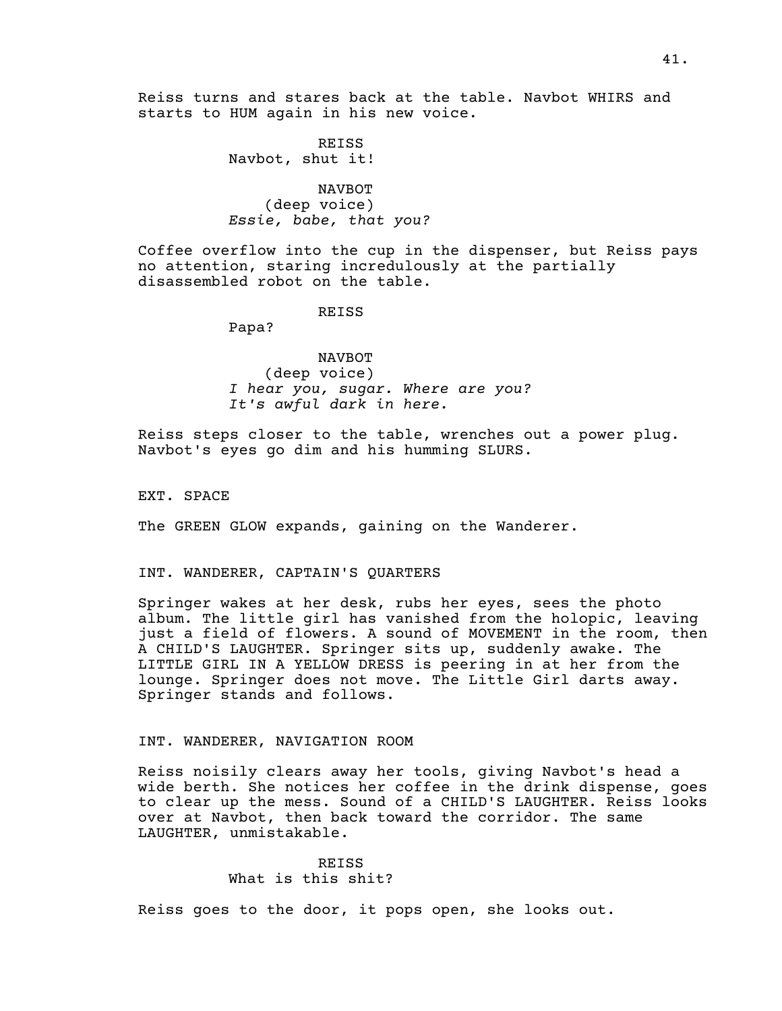Reiss turns and stares back at the table. Navbot WHIRS and starts to HUM again in his new voice.

> REISS Navbot, shut it!

NAVBOT (deep voice) *Essie, babe, that you?*

Coffee overflow into the cup in the dispenser, but Reiss pays no attention, staring incredulously at the partially disassembled robot on the table.

#### REISS

Papa?

NAVBOT (deep voice) *I hear you, sugar. Where are you? It's awful dark in here.*

Reiss steps closer to the table, wrenches out a power plug. Navbot's eyes go dim and his humming SLURS.

EXT. SPACE

The GREEN GLOW expands, gaining on the Wanderer.

INT. WANDERER, CAPTAIN'S QUARTERS

Springer wakes at her desk, rubs her eyes, sees the photo album. The little girl has vanished from the holopic, leaving just a field of flowers. A sound of MOVEMENT in the room, then A CHILD'S LAUGHTER. Springer sits up, suddenly awake. The LITTLE GIRL IN A YELLOW DRESS is peering in at her from the lounge. Springer does not move. The Little Girl darts away. Springer stands and follows.

#### INT. WANDERER, NAVIGATION ROOM

Reiss noisily clears away her tools, giving Navbot's head a wide berth. She notices her coffee in the drink dispense, goes to clear up the mess. Sound of a CHILD'S LAUGHTER. Reiss looks over at Navbot, then back toward the corridor. The same LAUGHTER, unmistakable.

> REISS What is this shit?

Reiss goes to the door, it pops open, she looks out.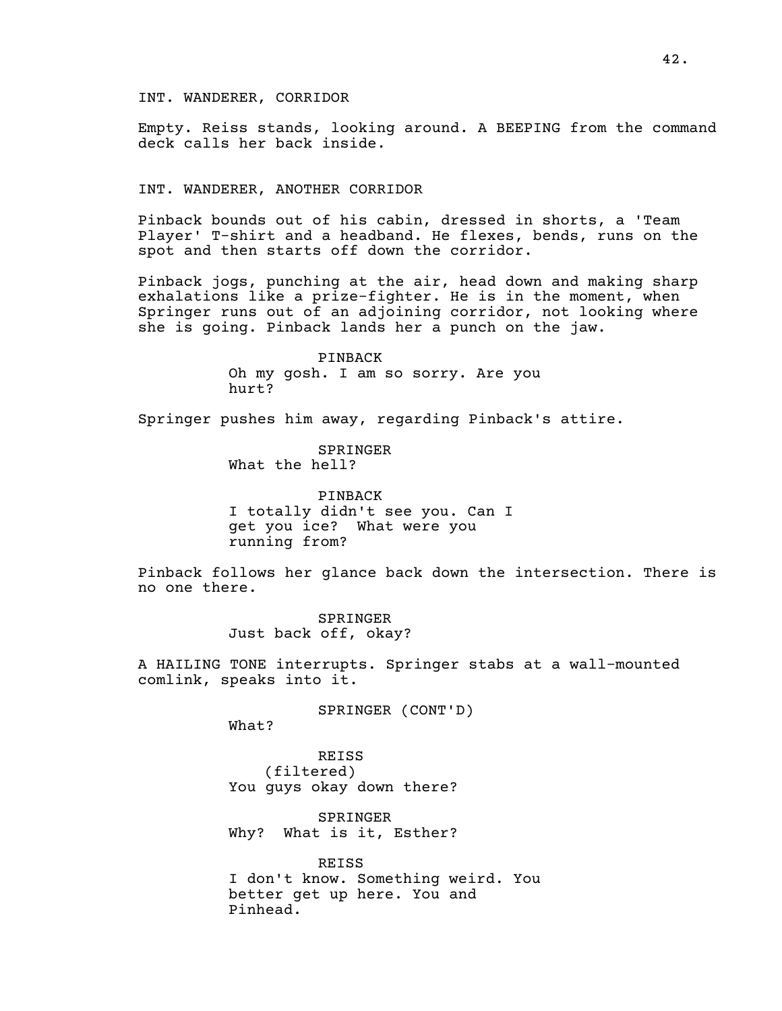### INT. WANDERER, CORRIDOR

Empty. Reiss stands, looking around. A BEEPING from the command deck calls her back inside.

## INT. WANDERER, ANOTHER CORRIDOR

Pinback bounds out of his cabin, dressed in shorts, a 'Team Player' T-shirt and a headband. He flexes, bends, runs on the spot and then starts off down the corridor.

Pinback jogs, punching at the air, head down and making sharp exhalations like a prize-fighter. He is in the moment, when Springer runs out of an adjoining corridor, not looking where she is going. Pinback lands her a punch on the jaw.

> PINBACK Oh my gosh. I am so sorry. Are you hurt?

Springer pushes him away, regarding Pinback's attire.

SPRINGER What the hell?

PINBACK I totally didn't see you. Can I get you ice? What were you running from?

Pinback follows her glance back down the intersection. There is no one there.

> SPRINGER Just back off, okay?

A HAILING TONE interrupts. Springer stabs at a wall-mounted comlink, speaks into it.

SPRINGER (CONT'D)

What?

REISS (filtered) You guys okay down there?

SPRINGER Why? What is it, Esther?

REISS I don't know. Something weird. You better get up here. You and Pinhead.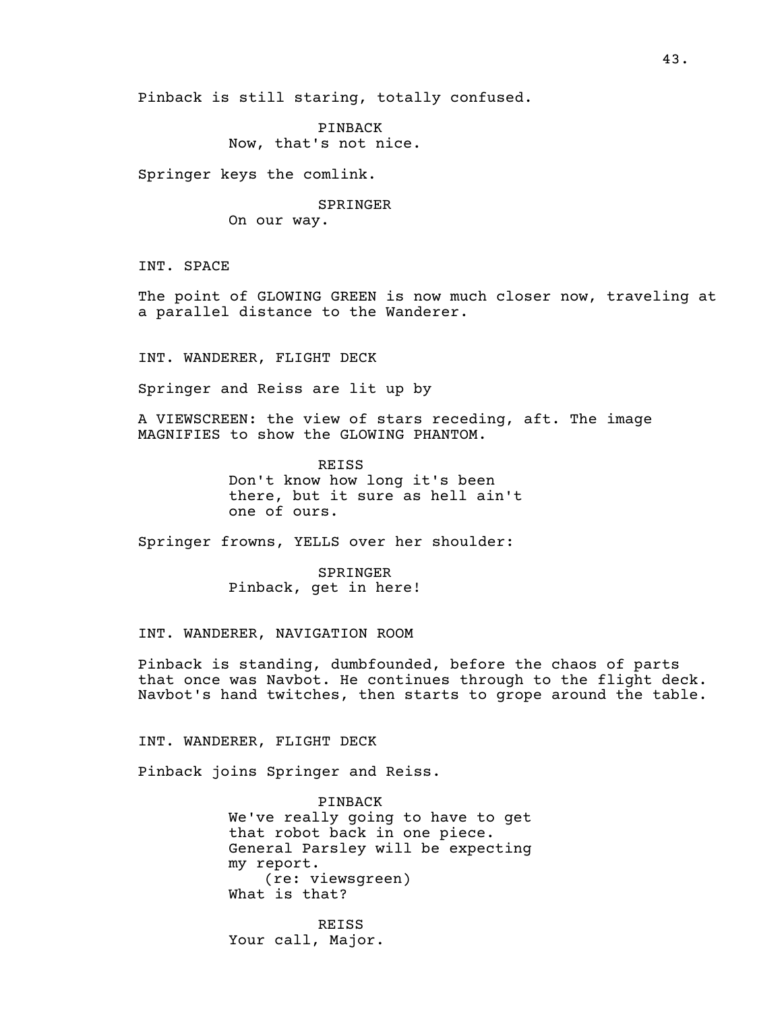Pinback is still staring, totally confused.

PINBACK Now, that's not nice.

Springer keys the comlink.

SPRINGER On our way.

INT. SPACE

The point of GLOWING GREEN is now much closer now, traveling at a parallel distance to the Wanderer.

INT. WANDERER, FLIGHT DECK

Springer and Reiss are lit up by

A VIEWSCREEN: the view of stars receding, aft. The image MAGNIFIES to show the GLOWING PHANTOM.

> REISS Don't know how long it's been there, but it sure as hell ain't one of ours.

Springer frowns, YELLS over her shoulder:

SPRINGER Pinback, get in here!

INT. WANDERER, NAVIGATION ROOM

Pinback is standing, dumbfounded, before the chaos of parts that once was Navbot. He continues through to the flight deck. Navbot's hand twitches, then starts to grope around the table.

INT. WANDERER, FLIGHT DECK

Pinback joins Springer and Reiss.

PINBACK We've really going to have to get that robot back in one piece. General Parsley will be expecting my report. (re: viewsgreen) What is that?

REISS Your call, Major.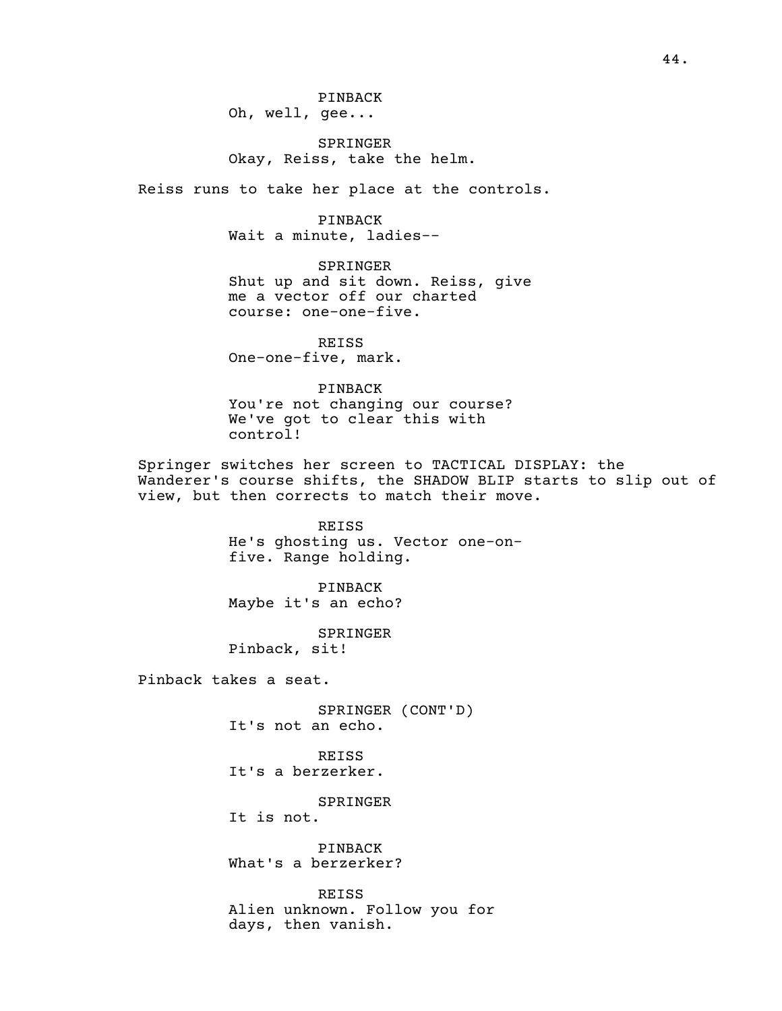SPRINGER Okay, Reiss, take the helm.

Reiss runs to take her place at the controls.

PINBACK Wait a minute, ladies--

SPRINGER Shut up and sit down. Reiss, give me a vector off our charted course: one-one-five.

REISS One-one-five, mark.

PINBACK You're not changing our course? We've got to clear this with control!

Springer switches her screen to TACTICAL DISPLAY: the Wanderer's course shifts, the SHADOW BLIP starts to slip out of view, but then corrects to match their move.

> REISS He's ghosting us. Vector one-onfive. Range holding.

PINBACK Maybe it's an echo?

SPRINGER Pinback, sit!

Pinback takes a seat.

SPRINGER (CONT'D) It's not an echo.

REISS It's a berzerker.

SPRINGER

It is not.

PINBACK What's a berzerker?

REISS Alien unknown. Follow you for days, then vanish.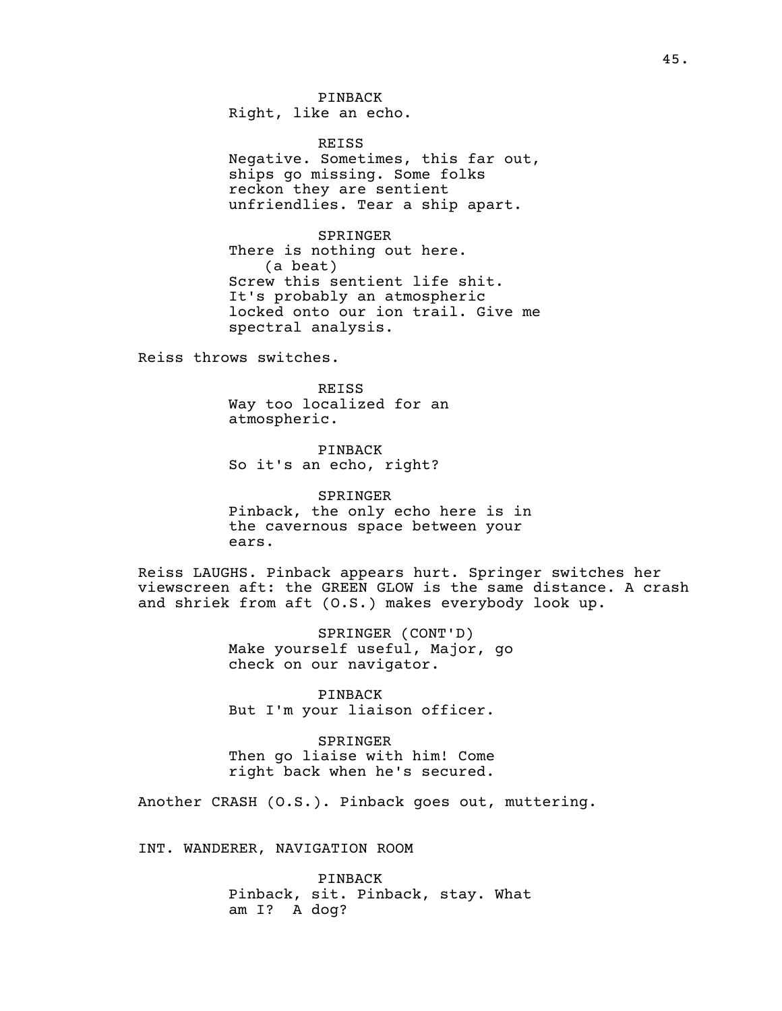PINBACK

Right, like an echo.

REISS Negative. Sometimes, this far out, ships go missing. Some folks reckon they are sentient unfriendlies. Tear a ship apart.

SPRINGER There is nothing out here. (a beat) Screw this sentient life shit. It's probably an atmospheric locked onto our ion trail. Give me spectral analysis.

Reiss throws switches.

REISS Way too localized for an atmospheric.

PINBACK So it's an echo, right?

SPRINGER Pinback, the only echo here is in the cavernous space between your ears.

Reiss LAUGHS. Pinback appears hurt. Springer switches her viewscreen aft: the GREEN GLOW is the same distance. A crash and shriek from aft (O.S.) makes everybody look up.

> SPRINGER (CONT'D) Make yourself useful, Major, go check on our navigator.

PINBACK But I'm your liaison officer.

SPRINGER Then go liaise with him! Come right back when he's secured.

Another CRASH (O.S.). Pinback goes out, muttering.

INT. WANDERER, NAVIGATION ROOM

PINBACK Pinback, sit. Pinback, stay. What am I? A dog?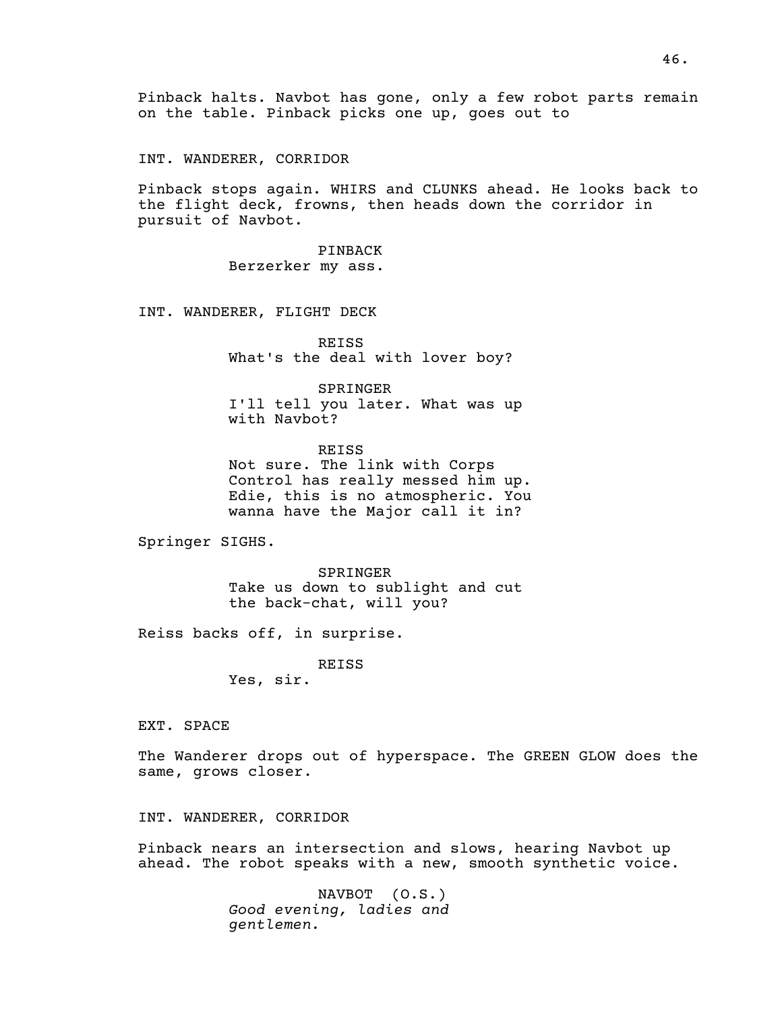Pinback halts. Navbot has gone, only a few robot parts remain on the table. Pinback picks one up, goes out to

INT. WANDERER, CORRIDOR

Pinback stops again. WHIRS and CLUNKS ahead. He looks back to the flight deck, frowns, then heads down the corridor in pursuit of Navbot.

> PINBACK Berzerker my ass.

INT. WANDERER, FLIGHT DECK

REISS What's the deal with lover boy?

SPRINGER I'll tell you later. What was up with Navbot?

REISS Not sure. The link with Corps Control has really messed him up. Edie, this is no atmospheric. You wanna have the Major call it in?

Springer SIGHS.

SPRINGER Take us down to sublight and cut the back-chat, will you?

Reiss backs off, in surprise.

REISS Yes, sir.

EXT. SPACE

The Wanderer drops out of hyperspace. The GREEN GLOW does the same, grows closer.

INT. WANDERER, CORRIDOR

Pinback nears an intersection and slows, hearing Navbot up ahead. The robot speaks with a new, smooth synthetic voice.

> NAVBOT (O.S.) *Good evening, ladies and gentlemen.*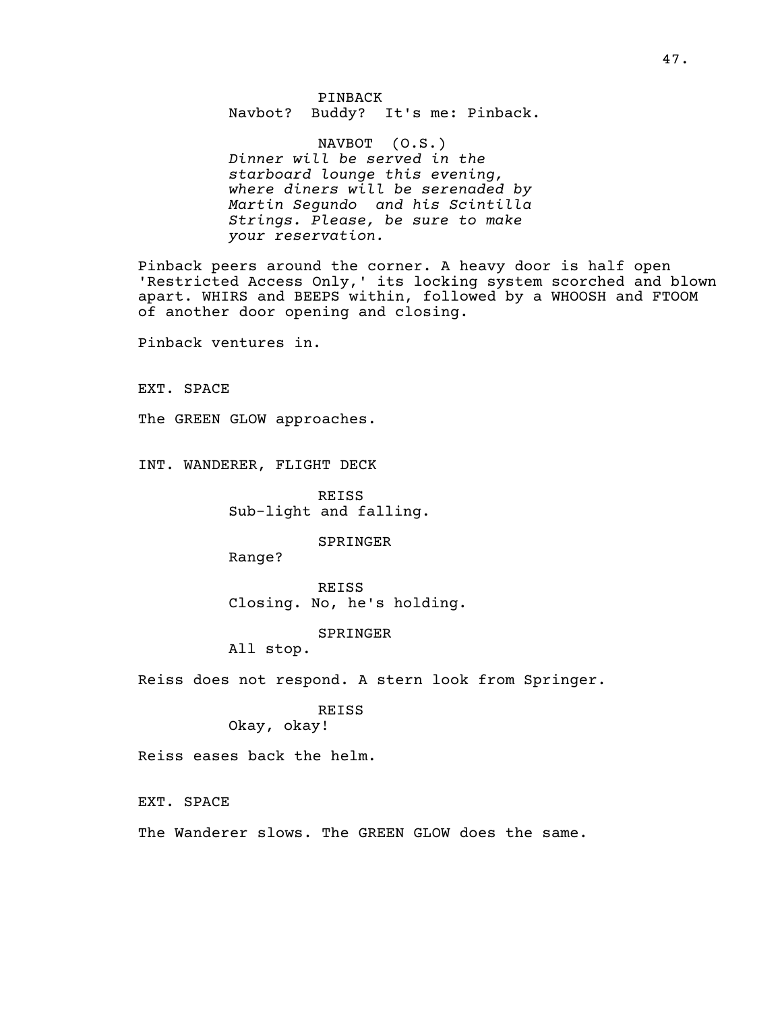PINBACK Navbot? Buddy? It's me: Pinback.

NAVBOT (O.S.) *Dinner will be served in the starboard lounge this evening, where diners will be serenaded by Martin Segundo and his Scintilla Strings. Please, be sure to make your reservation.*

Pinback peers around the corner. A heavy door is half open 'Restricted Access Only,' its locking system scorched and blown apart. WHIRS and BEEPS within, followed by a WHOOSH and FTOOM of another door opening and closing.

Pinback ventures in.

EXT. SPACE

The GREEN GLOW approaches.

INT. WANDERER, FLIGHT DECK

REISS Sub-light and falling.

SPRINGER

Range?

REISS Closing. No, he's holding.

SPRINGER

All stop.

Reiss does not respond. A stern look from Springer.

### REISS

Okay, okay!

Reiss eases back the helm.

EXT. SPACE

The Wanderer slows. The GREEN GLOW does the same.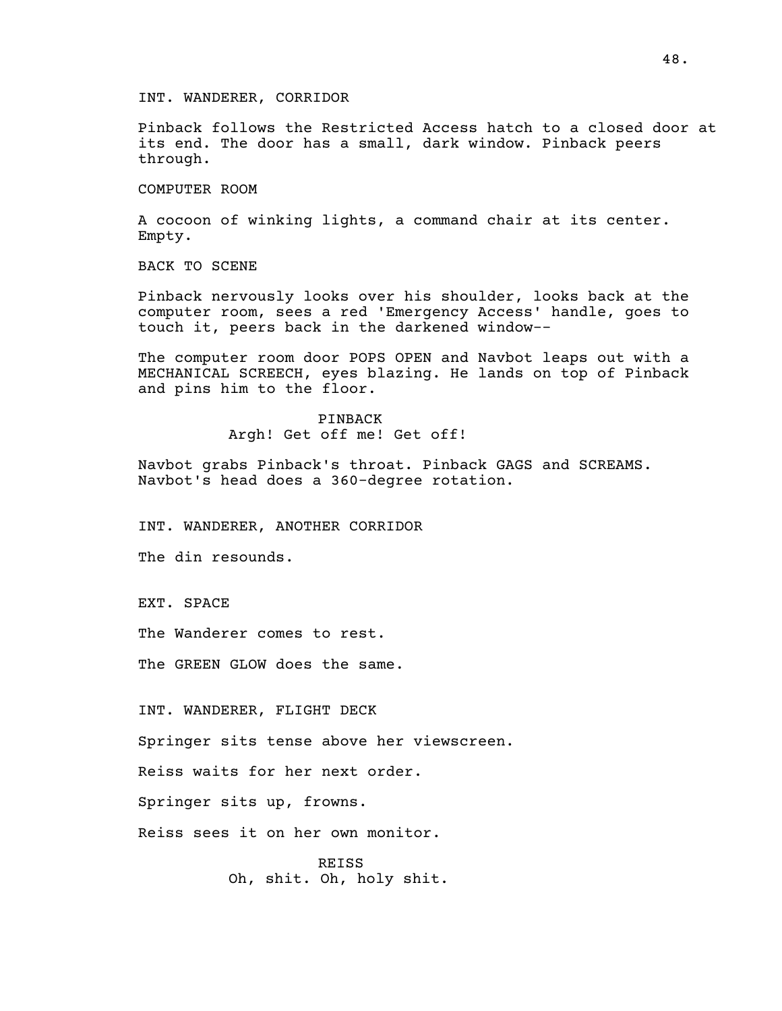INT. WANDERER, CORRIDOR

Pinback follows the Restricted Access hatch to a closed door at its end. The door has a small, dark window. Pinback peers through.

COMPUTER ROOM

A cocoon of winking lights, a command chair at its center. Empty.

BACK TO SCENE

Pinback nervously looks over his shoulder, looks back at the computer room, sees a red 'Emergency Access' handle, goes to touch it, peers back in the darkened window--

The computer room door POPS OPEN and Navbot leaps out with a MECHANICAL SCREECH, eyes blazing. He lands on top of Pinback and pins him to the floor.

> PINBACK Argh! Get off me! Get off!

Navbot grabs Pinback's throat. Pinback GAGS and SCREAMS. Navbot's head does a 360-degree rotation.

INT. WANDERER, ANOTHER CORRIDOR

The din resounds.

EXT. SPACE

The Wanderer comes to rest.

The GREEN GLOW does the same.

INT. WANDERER, FLIGHT DECK

Springer sits tense above her viewscreen.

Reiss waits for her next order.

Springer sits up, frowns.

Reiss sees it on her own monitor.

REISS Oh, shit. Oh, holy shit.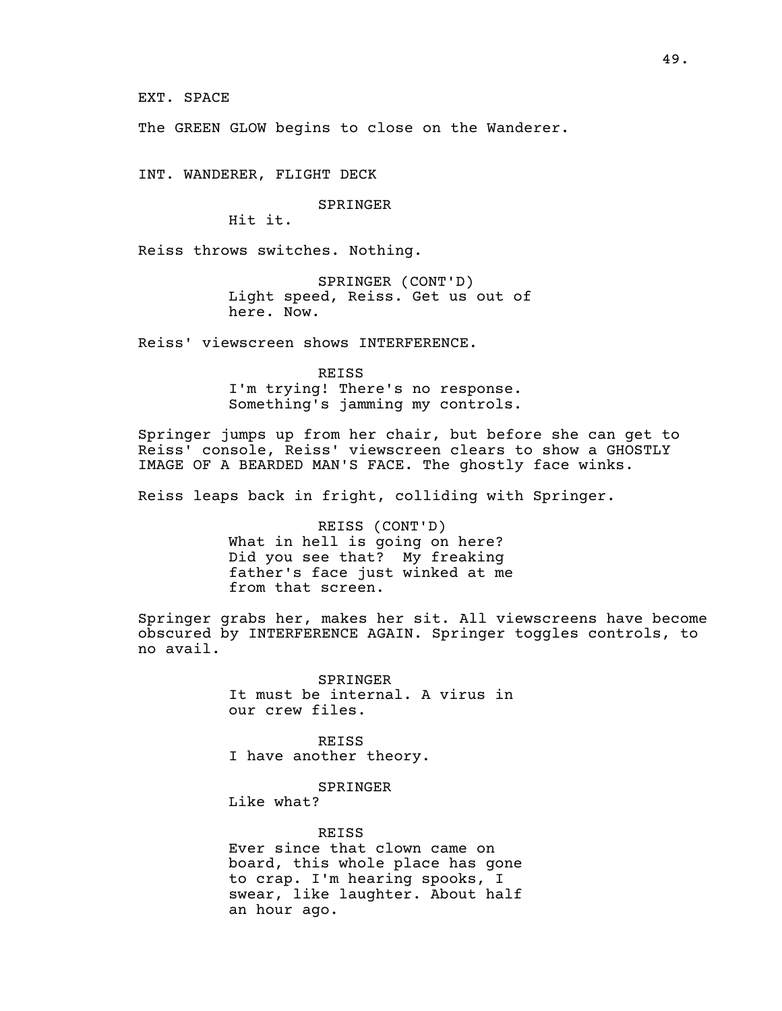EXT. SPACE

The GREEN GLOW begins to close on the Wanderer.

INT. WANDERER, FLIGHT DECK

SPRINGER

Hit it.

Reiss throws switches. Nothing.

SPRINGER (CONT'D) Light speed, Reiss. Get us out of here. Now.

Reiss' viewscreen shows INTERFERENCE.

REISS I'm trying! There's no response.

Something's jamming my controls.

Springer jumps up from her chair, but before she can get to Reiss' console, Reiss' viewscreen clears to show a GHOSTLY IMAGE OF A BEARDED MAN'S FACE. The ghostly face winks.

Reiss leaps back in fright, colliding with Springer.

REISS (CONT'D) What in hell is going on here? Did you see that? My freaking father's face just winked at me from that screen.

Springer grabs her, makes her sit. All viewscreens have become obscured by INTERFERENCE AGAIN. Springer toggles controls, to no avail.

> SPRINGER It must be internal. A virus in our crew files.

REISS I have another theory.

SPRINGER

Like what?

REISS Ever since that clown came on board, this whole place has gone to crap. I'm hearing spooks, I swear, like laughter. About half an hour ago.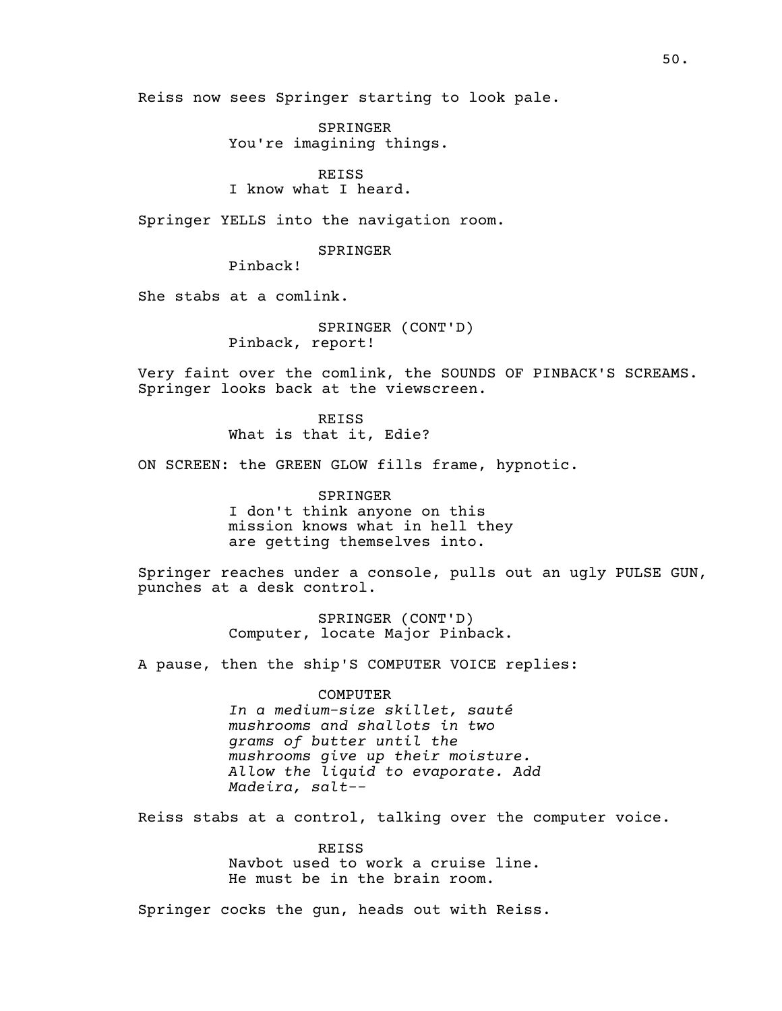Reiss now sees Springer starting to look pale.

SPRINGER You're imagining things.

REISS I know what I heard.

Springer YELLS into the navigation room.

SPRINGER

Pinback!

She stabs at a comlink.

SPRINGER (CONT'D) Pinback, report!

Very faint over the comlink, the SOUNDS OF PINBACK'S SCREAMS. Springer looks back at the viewscreen.

> REISS What is that it, Edie?

ON SCREEN: the GREEN GLOW fills frame, hypnotic.

SPRINGER I don't think anyone on this mission knows what in hell they are getting themselves into.

Springer reaches under a console, pulls out an ugly PULSE GUN, punches at a desk control.

> SPRINGER (CONT'D) Computer, locate Major Pinback.

A pause, then the ship'S COMPUTER VOICE replies:

COMPUTER

*In a medium-size skillet, sauté mushrooms and shallots in two grams of butter until the mushrooms give up their moisture. Allow the liquid to evaporate. Add Madeira, salt--*

Reiss stabs at a control, talking over the computer voice.

REISS Navbot used to work a cruise line. He must be in the brain room.

Springer cocks the gun, heads out with Reiss.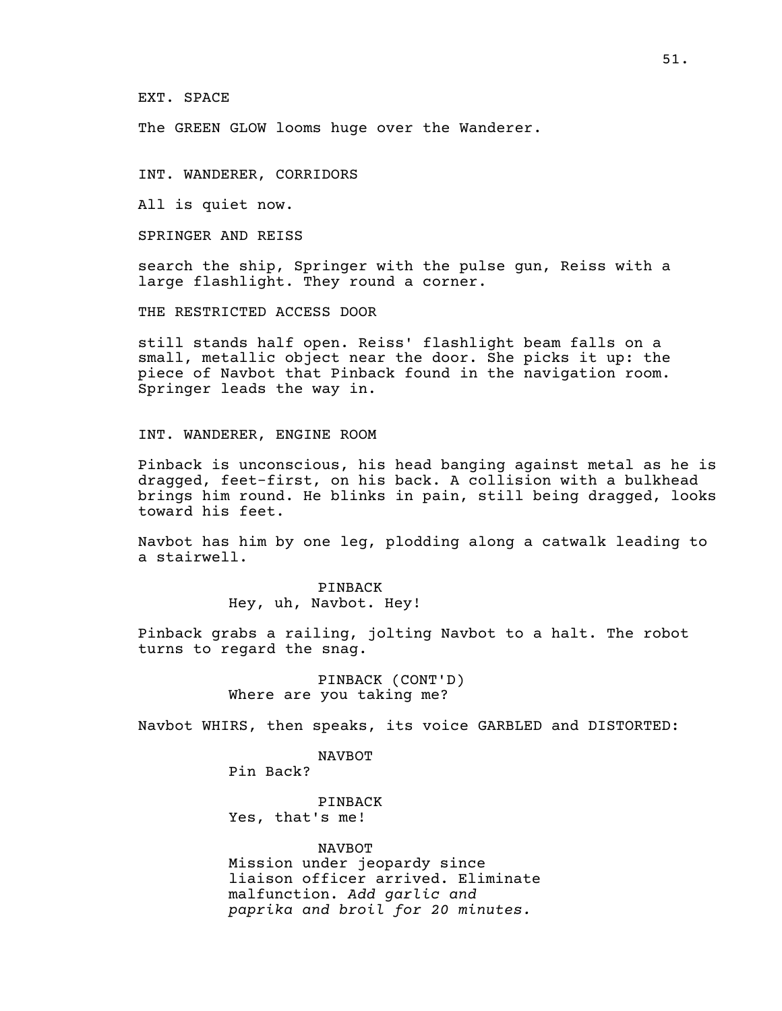EXT. SPACE

The GREEN GLOW looms huge over the Wanderer.

INT. WANDERER, CORRIDORS

All is quiet now.

SPRINGER AND REISS

search the ship, Springer with the pulse gun, Reiss with a large flashlight. They round a corner.

THE RESTRICTED ACCESS DOOR

still stands half open. Reiss' flashlight beam falls on a small, metallic object near the door. She picks it up: the piece of Navbot that Pinback found in the navigation room. Springer leads the way in.

INT. WANDERER, ENGINE ROOM

Pinback is unconscious, his head banging against metal as he is dragged, feet-first, on his back. A collision with a bulkhead brings him round. He blinks in pain, still being dragged, looks toward his feet.

Navbot has him by one leg, plodding along a catwalk leading to a stairwell.

> PINBACK Hey, uh, Navbot. Hey!

Pinback grabs a railing, jolting Navbot to a halt. The robot turns to regard the snag.

> PINBACK (CONT'D) Where are you taking me?

Navbot WHIRS, then speaks, its voice GARBLED and DISTORTED:

NAVBOT

Pin Back?

PINBACK Yes, that's me!

NAVBOT

Mission under jeopardy since liaison officer arrived. Eliminate malfunction. *Add garlic and paprika and broil for 20 minutes.*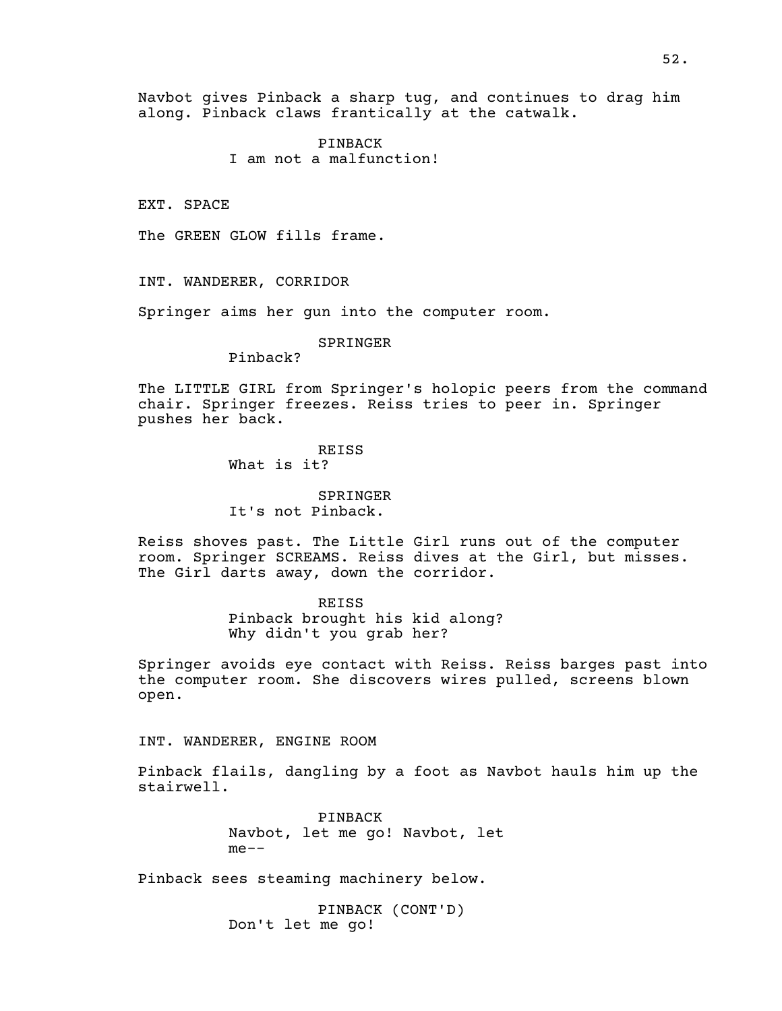Navbot gives Pinback a sharp tug, and continues to drag him along. Pinback claws frantically at the catwalk.

> PINBACK I am not a malfunction!

EXT. SPACE

The GREEN GLOW fills frame.

INT. WANDERER, CORRIDOR

Springer aims her gun into the computer room.

#### SPRINGER

Pinback?

The LITTLE GIRL from Springer's holopic peers from the command chair. Springer freezes. Reiss tries to peer in. Springer pushes her back.

#### REISS

What is it?

#### SPRINGER

It's not Pinback.

Reiss shoves past. The Little Girl runs out of the computer room. Springer SCREAMS. Reiss dives at the Girl, but misses. The Girl darts away, down the corridor.

### REISS

Pinback brought his kid along? Why didn't you grab her?

Springer avoids eye contact with Reiss. Reiss barges past into the computer room. She discovers wires pulled, screens blown open.

INT. WANDERER, ENGINE ROOM

Pinback flails, dangling by a foot as Navbot hauls him up the stairwell.

> PINBACK Navbot, let me go! Navbot, let  $me--$

Pinback sees steaming machinery below.

PINBACK (CONT'D) Don't let me go!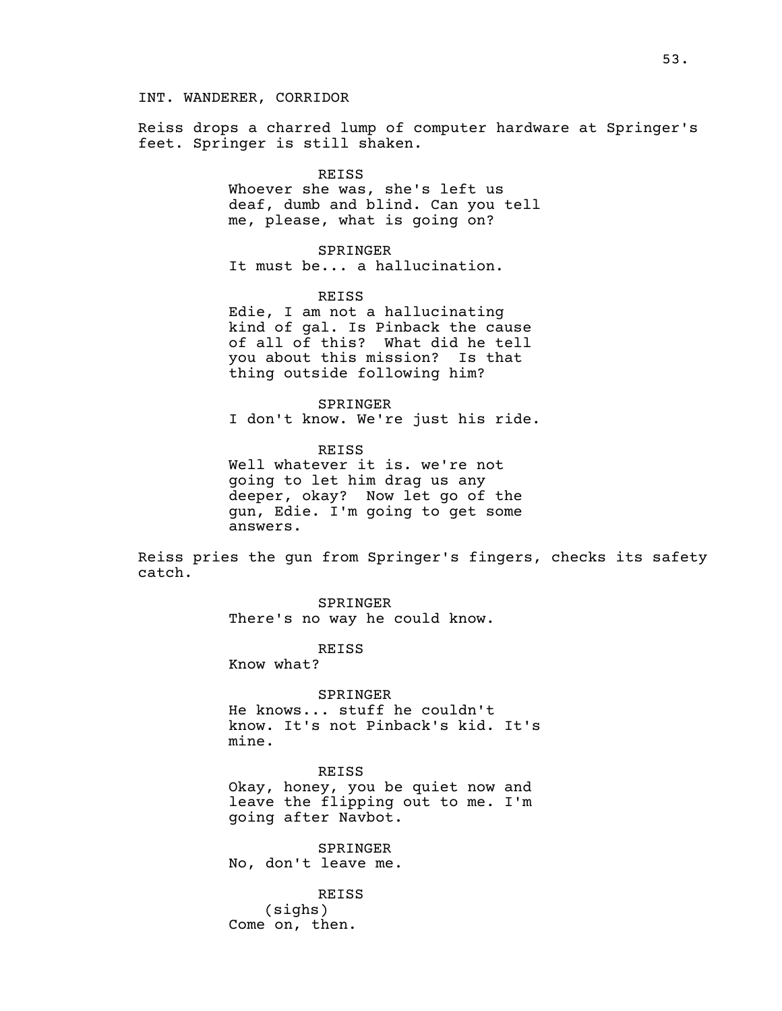### INT. WANDERER, CORRIDOR

Reiss drops a charred lump of computer hardware at Springer's feet. Springer is still shaken.

REISS

Whoever she was, she's left us deaf, dumb and blind. Can you tell me, please, what is going on?

SPRINGER

It must be... a hallucination.

REISS

Edie, I am not a hallucinating kind of gal. Is Pinback the cause of all of this? What did he tell you about this mission? Is that thing outside following him?

SPRINGER I don't know. We're just his ride.

REISS Well whatever it is. we're not going to let him drag us any deeper, okay? Now let go of the gun, Edie. I'm going to get some answers.

Reiss pries the gun from Springer's fingers, checks its safety catch.

> SPRINGER There's no way he could know.

> > REISS

Know what?

SPRINGER He knows... stuff he couldn't

know. It's not Pinback's kid. It's mine.

REISS

Okay, honey, you be quiet now and leave the flipping out to me. I'm going after Navbot.

SPRINGER No, don't leave me.

REISS (sighs) Come on, then.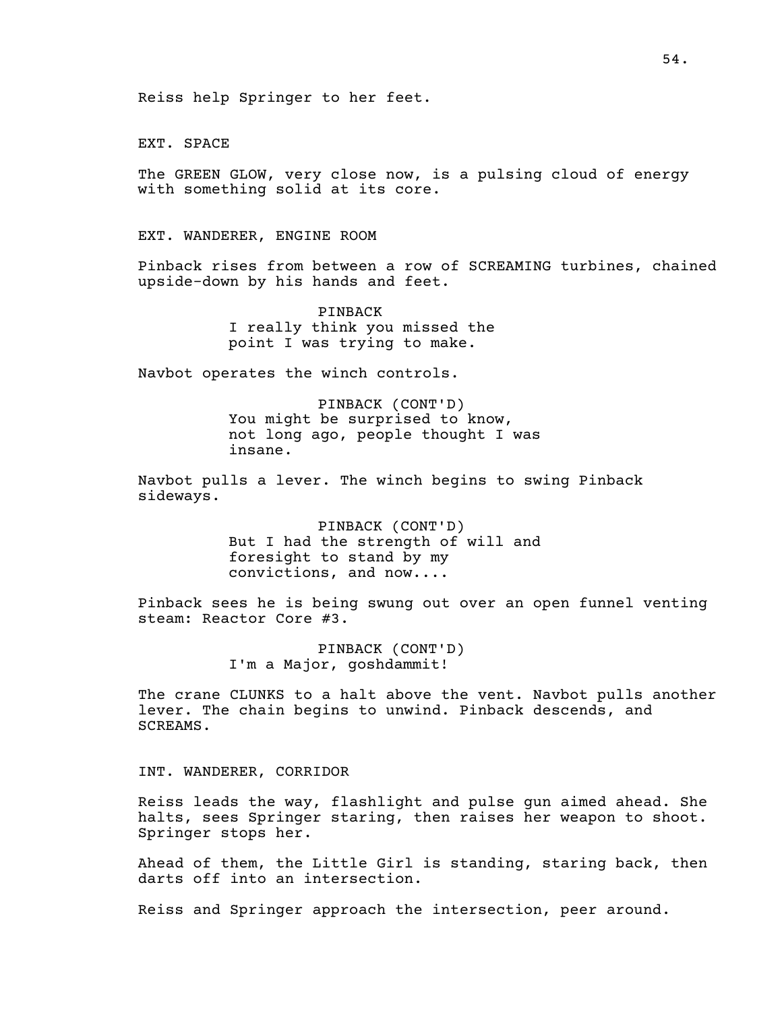Reiss help Springer to her feet.

EXT. SPACE

The GREEN GLOW, very close now, is a pulsing cloud of energy with something solid at its core.

EXT. WANDERER, ENGINE ROOM

Pinback rises from between a row of SCREAMING turbines, chained upside-down by his hands and feet.

> PINBACK I really think you missed the point I was trying to make.

Navbot operates the winch controls.

PINBACK (CONT'D) You might be surprised to know, not long ago, people thought I was insane.

Navbot pulls a lever. The winch begins to swing Pinback sideways.

> PINBACK (CONT'D) But I had the strength of will and foresight to stand by my convictions, and now....

Pinback sees he is being swung out over an open funnel venting steam: Reactor Core #3.

> PINBACK (CONT'D) I'm a Major, goshdammit!

The crane CLUNKS to a halt above the vent. Navbot pulls another lever. The chain begins to unwind. Pinback descends, and SCREAMS.

INT. WANDERER, CORRIDOR

Reiss leads the way, flashlight and pulse gun aimed ahead. She halts, sees Springer staring, then raises her weapon to shoot. Springer stops her.

Ahead of them, the Little Girl is standing, staring back, then darts off into an intersection.

Reiss and Springer approach the intersection, peer around.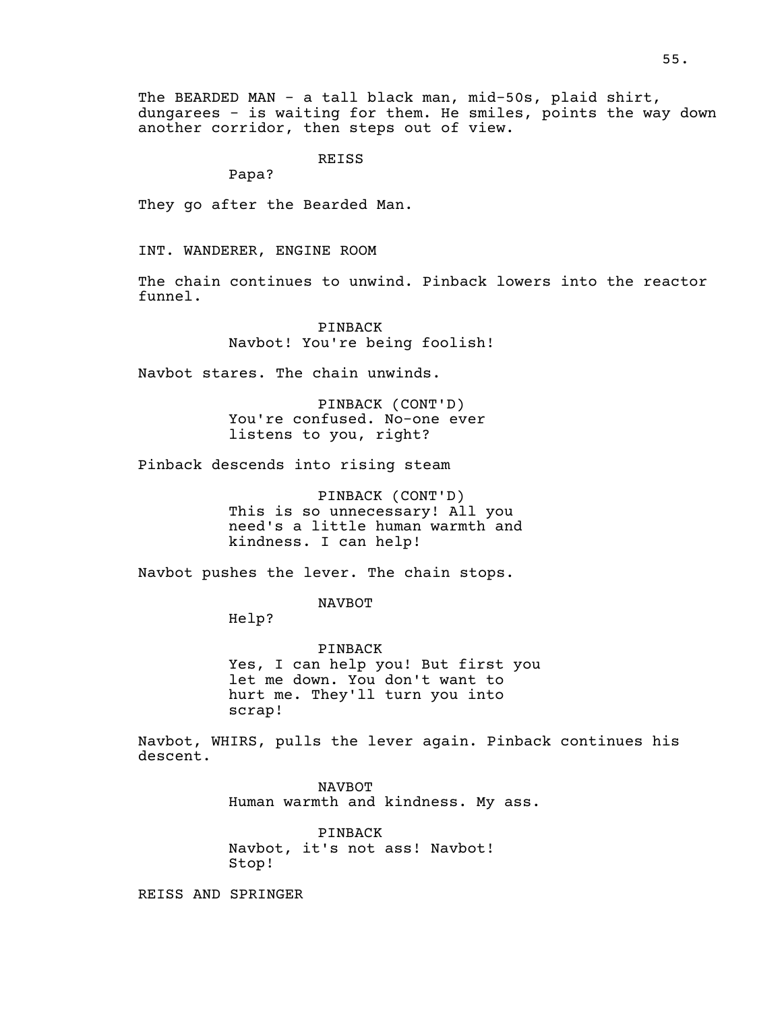The BEARDED MAN - a tall black man, mid-50s, plaid shirt, dungarees - is waiting for them. He smiles, points the way down another corridor, then steps out of view.

REISS

Papa?

They go after the Bearded Man.

INT. WANDERER, ENGINE ROOM

The chain continues to unwind. Pinback lowers into the reactor funnel.

> PINBACK Navbot! You're being foolish!

Navbot stares. The chain unwinds.

PINBACK (CONT'D) You're confused. No-one ever listens to you, right?

Pinback descends into rising steam

PINBACK (CONT'D) This is so unnecessary! All you need's a little human warmth and kindness. I can help!

Navbot pushes the lever. The chain stops.

NAVBOT

Help?

PINBACK Yes, I can help you! But first you let me down. You don't want to hurt me. They'll turn you into scrap!

Navbot, WHIRS, pulls the lever again. Pinback continues his descent.

> NAVBOT Human warmth and kindness. My ass.

PINBACK Navbot, it's not ass! Navbot! Stop!

REISS AND SPRINGER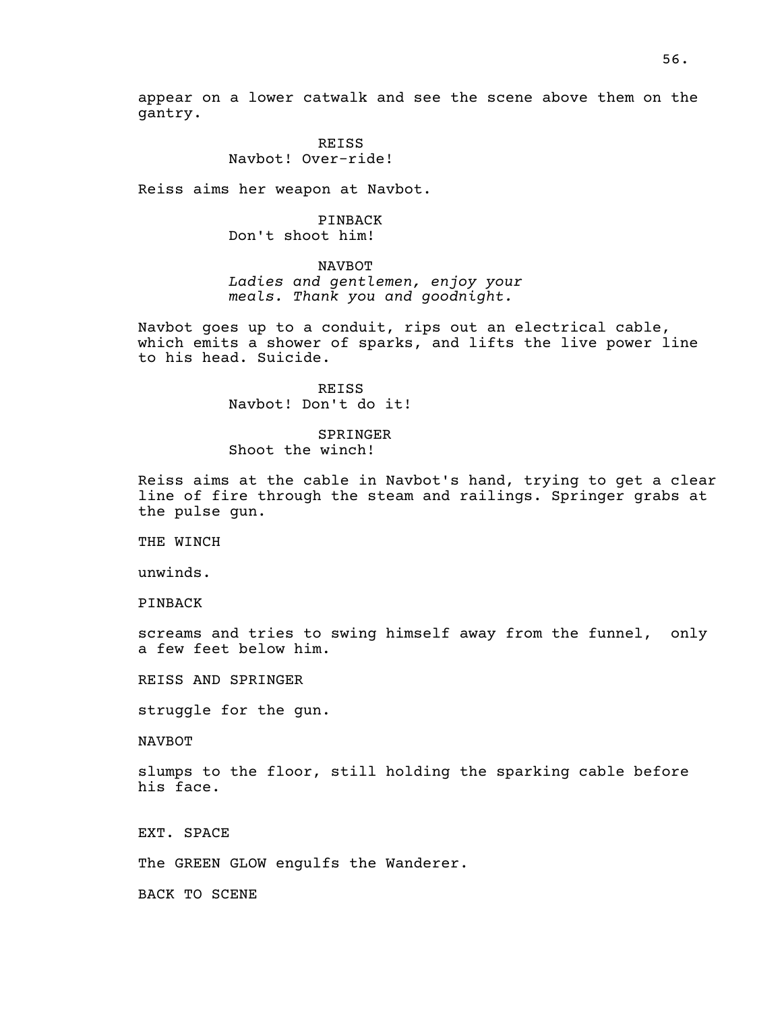appear on a lower catwalk and see the scene above them on the gantry.

#### REISS Navbot! Over-ride!

Reiss aims her weapon at Navbot.

### PINBACK Don't shoot him!

NAVBOT

*Ladies and gentlemen, enjoy your meals. Thank you and goodnight.*

Navbot goes up to a conduit, rips out an electrical cable, which emits a shower of sparks, and lifts the live power line to his head. Suicide.

> REISS Navbot! Don't do it!

SPRINGER Shoot the winch!

Reiss aims at the cable in Navbot's hand, trying to get a clear line of fire through the steam and railings. Springer grabs at the pulse gun.

THE WINCH

unwinds.

PINBACK

screams and tries to swing himself away from the funnel, only a few feet below him.

REISS AND SPRINGER

struggle for the gun.

NAVBOT

slumps to the floor, still holding the sparking cable before his face.

EXT. SPACE

The GREEN GLOW engulfs the Wanderer.

BACK TO SCENE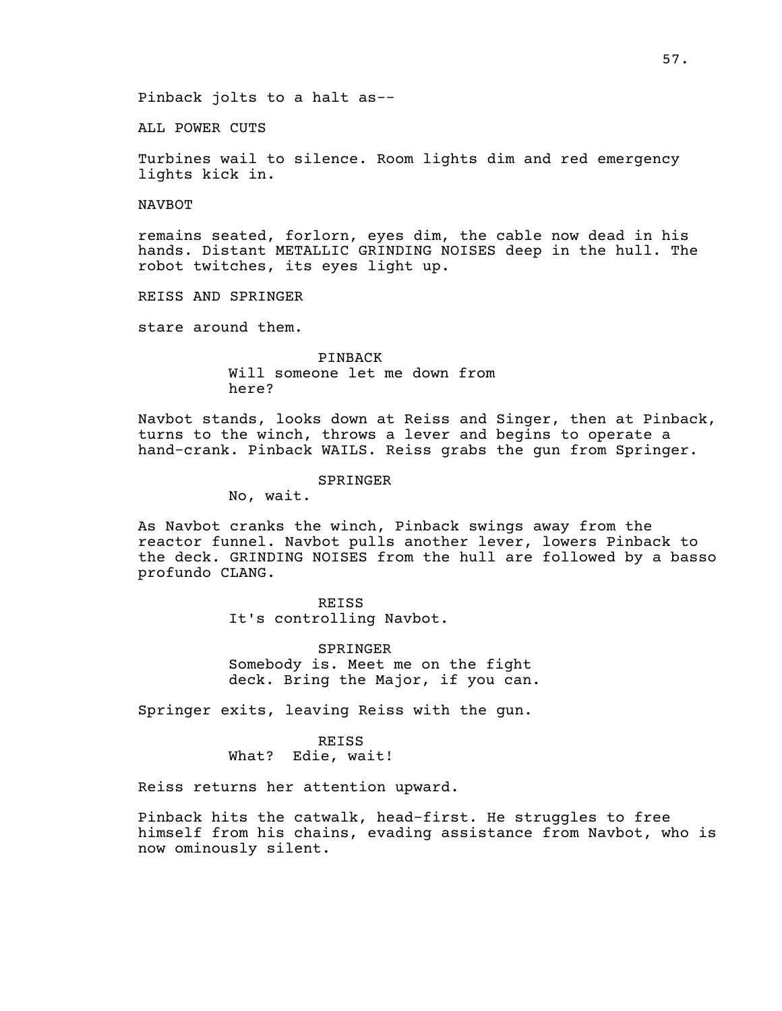ALL POWER CUTS

Turbines wail to silence. Room lights dim and red emergency lights kick in.

NAVBOT

remains seated, forlorn, eyes dim, the cable now dead in his hands. Distant METALLIC GRINDING NOISES deep in the hull. The robot twitches, its eyes light up.

REISS AND SPRINGER

stare around them.

PINBACK Will someone let me down from here?

Navbot stands, looks down at Reiss and Singer, then at Pinback, turns to the winch, throws a lever and begins to operate a hand-crank. Pinback WAILS. Reiss grabs the gun from Springer.

#### SPRINGER

No, wait.

As Navbot cranks the winch, Pinback swings away from the reactor funnel. Navbot pulls another lever, lowers Pinback to the deck. GRINDING NOISES from the hull are followed by a basso profundo CLANG.

> REISS It's controlling Navbot.

SPRINGER Somebody is. Meet me on the fight deck. Bring the Major, if you can.

Springer exits, leaving Reiss with the gun.

REISS What? Edie, wait!

Reiss returns her attention upward.

Pinback hits the catwalk, head-first. He struggles to free himself from his chains, evading assistance from Navbot, who is now ominously silent.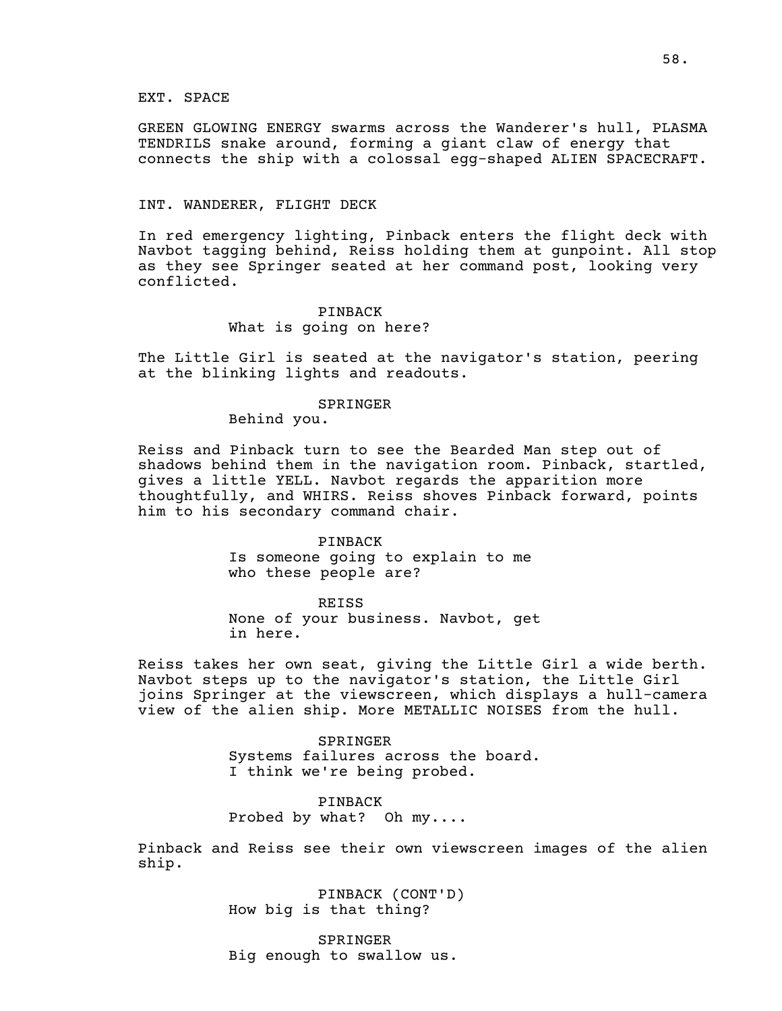### EXT. SPACE

GREEN GLOWING ENERGY swarms across the Wanderer's hull, PLASMA TENDRILS snake around, forming a giant claw of energy that connects the ship with a colossal egg-shaped ALIEN SPACECRAFT.

#### INT. WANDERER, FLIGHT DECK

In red emergency lighting, Pinback enters the flight deck with Navbot tagging behind, Reiss holding them at gunpoint. All stop as they see Springer seated at her command post, looking very conflicted.

#### PINBACK

What is going on here?

The Little Girl is seated at the navigator's station, peering at the blinking lights and readouts.

#### SPRINGER

Behind you.

Reiss and Pinback turn to see the Bearded Man step out of shadows behind them in the navigation room. Pinback, startled, gives a little YELL. Navbot regards the apparition more thoughtfully, and WHIRS. Reiss shoves Pinback forward, points him to his secondary command chair.

#### PINBACK

Is someone going to explain to me who these people are?

REISS None of your business. Navbot, get in here.

Reiss takes her own seat, giving the Little Girl a wide berth. Navbot steps up to the navigator's station, the Little Girl joins Springer at the viewscreen, which displays a hull-camera view of the alien ship. More METALLIC NOISES from the hull.

> SPRINGER Systems failures across the board. I think we're being probed.

PINBACK Probed by what? Oh my....

Pinback and Reiss see their own viewscreen images of the alien ship.

> PINBACK (CONT'D) How big is that thing?

SPRINGER Big enough to swallow us.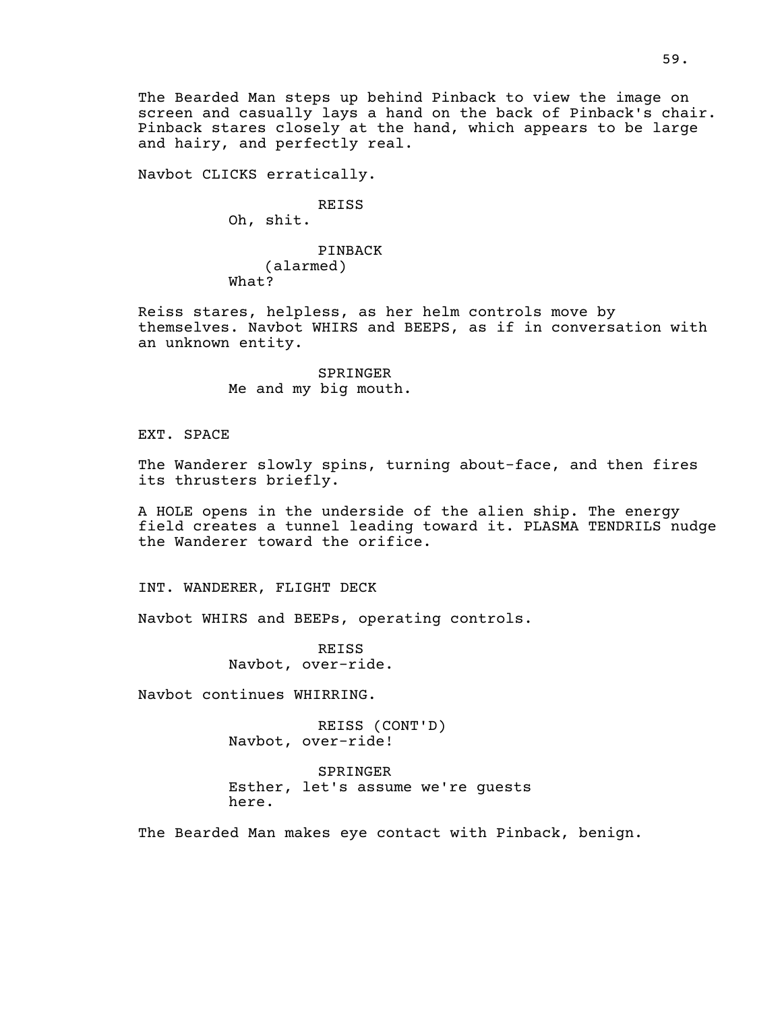The Bearded Man steps up behind Pinback to view the image on screen and casually lays a hand on the back of Pinback's chair. Pinback stares closely at the hand, which appears to be large and hairy, and perfectly real.

Navbot CLICKS erratically.

REISS

Oh, shit.

PINBACK (alarmed) What?

Reiss stares, helpless, as her helm controls move by themselves. Navbot WHIRS and BEEPS, as if in conversation with an unknown entity.

> SPRINGER Me and my big mouth.

EXT. SPACE

The Wanderer slowly spins, turning about-face, and then fires its thrusters briefly.

A HOLE opens in the underside of the alien ship. The energy field creates a tunnel leading toward it. PLASMA TENDRILS nudge the Wanderer toward the orifice.

INT. WANDERER, FLIGHT DECK

Navbot WHIRS and BEEPs, operating controls.

REISS Navbot, over-ride.

Navbot continues WHIRRING.

REISS (CONT'D) Navbot, over-ride!

SPRINGER Esther, let's assume we're guests here.

The Bearded Man makes eye contact with Pinback, benign.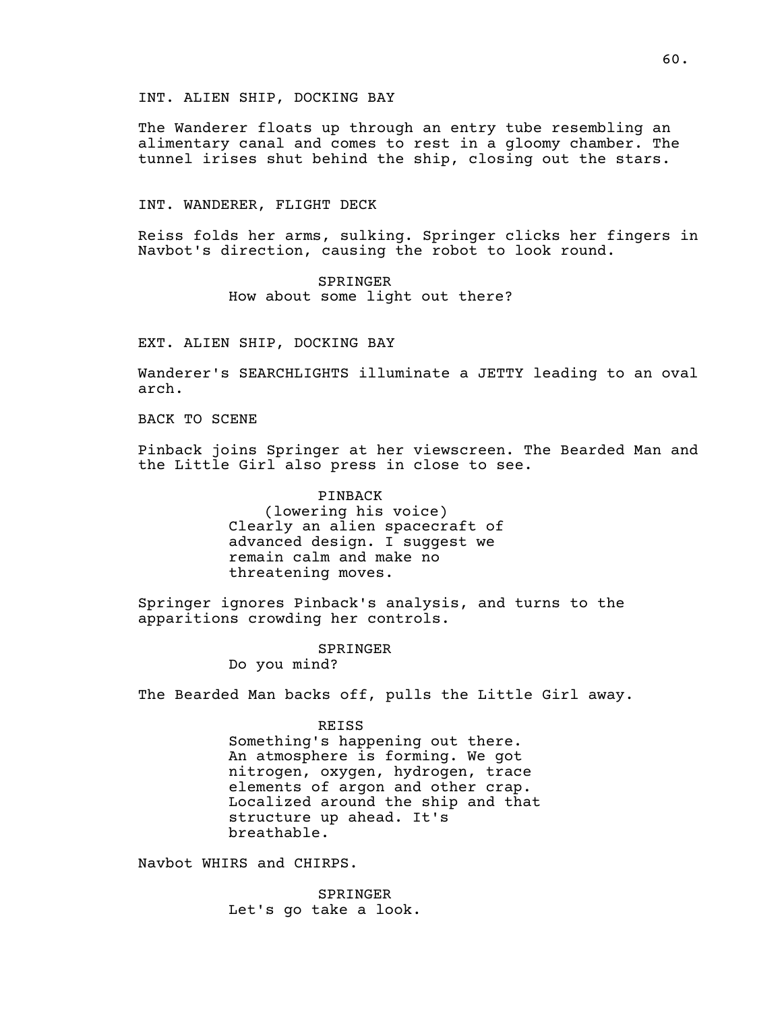### INT. ALIEN SHIP, DOCKING BAY

The Wanderer floats up through an entry tube resembling an alimentary canal and comes to rest in a gloomy chamber. The tunnel irises shut behind the ship, closing out the stars.

#### INT. WANDERER, FLIGHT DECK

Reiss folds her arms, sulking. Springer clicks her fingers in Navbot's direction, causing the robot to look round.

> SPRINGER How about some light out there?

#### EXT. ALIEN SHIP, DOCKING BAY

Wanderer's SEARCHLIGHTS illuminate a JETTY leading to an oval arch.

BACK TO SCENE

Pinback joins Springer at her viewscreen. The Bearded Man and the Little Girl also press in close to see.

# PINBACK (lowering his voice) Clearly an alien spacecraft of advanced design. I suggest we remain calm and make no threatening moves.

Springer ignores Pinback's analysis, and turns to the apparitions crowding her controls.

SPRINGER

Do you mind?

The Bearded Man backs off, pulls the Little Girl away.

### REISS

Something's happening out there. An atmosphere is forming. We got nitrogen, oxygen, hydrogen, trace elements of argon and other crap. Localized around the ship and that structure up ahead. It's breathable.

Navbot WHIRS and CHIRPS.

SPRINGER Let's go take a look.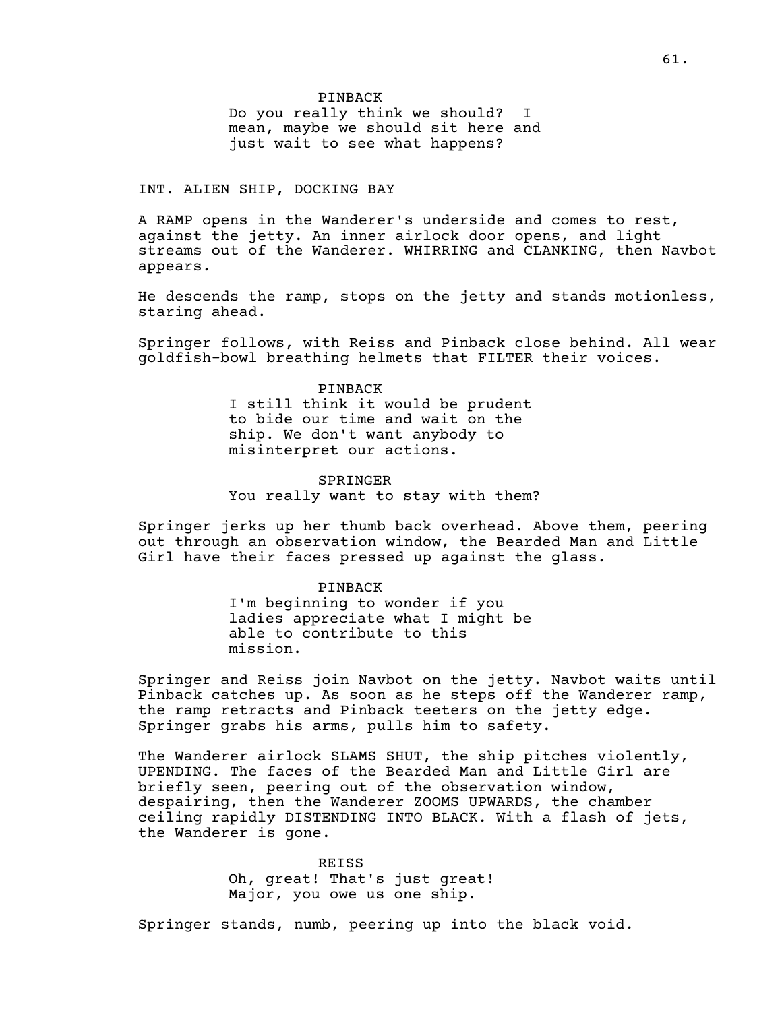Do you really think we should? I mean, maybe we should sit here and just wait to see what happens?

### INT. ALIEN SHIP, DOCKING BAY

A RAMP opens in the Wanderer's underside and comes to rest, against the jetty. An inner airlock door opens, and light streams out of the Wanderer. WHIRRING and CLANKING, then Navbot appears.

He descends the ramp, stops on the jetty and stands motionless, staring ahead.

Springer follows, with Reiss and Pinback close behind. All wear goldfish-bowl breathing helmets that FILTER their voices.

> PINBACK I still think it would be prudent to bide our time and wait on the ship. We don't want anybody to misinterpret our actions.

SPRINGER You really want to stay with them?

Springer jerks up her thumb back overhead. Above them, peering out through an observation window, the Bearded Man and Little Girl have their faces pressed up against the glass.

> PINBACK I'm beginning to wonder if you ladies appreciate what I might be able to contribute to this mission.

Springer and Reiss join Navbot on the jetty. Navbot waits until Pinback catches up. As soon as he steps off the Wanderer ramp, the ramp retracts and Pinback teeters on the jetty edge. Springer grabs his arms, pulls him to safety.

The Wanderer airlock SLAMS SHUT, the ship pitches violently, UPENDING. The faces of the Bearded Man and Little Girl are briefly seen, peering out of the observation window, despairing, then the Wanderer ZOOMS UPWARDS, the chamber ceiling rapidly DISTENDING INTO BLACK. With a flash of jets, the Wanderer is gone.

> REISS Oh, great! That's just great! Major, you owe us one ship.

Springer stands, numb, peering up into the black void.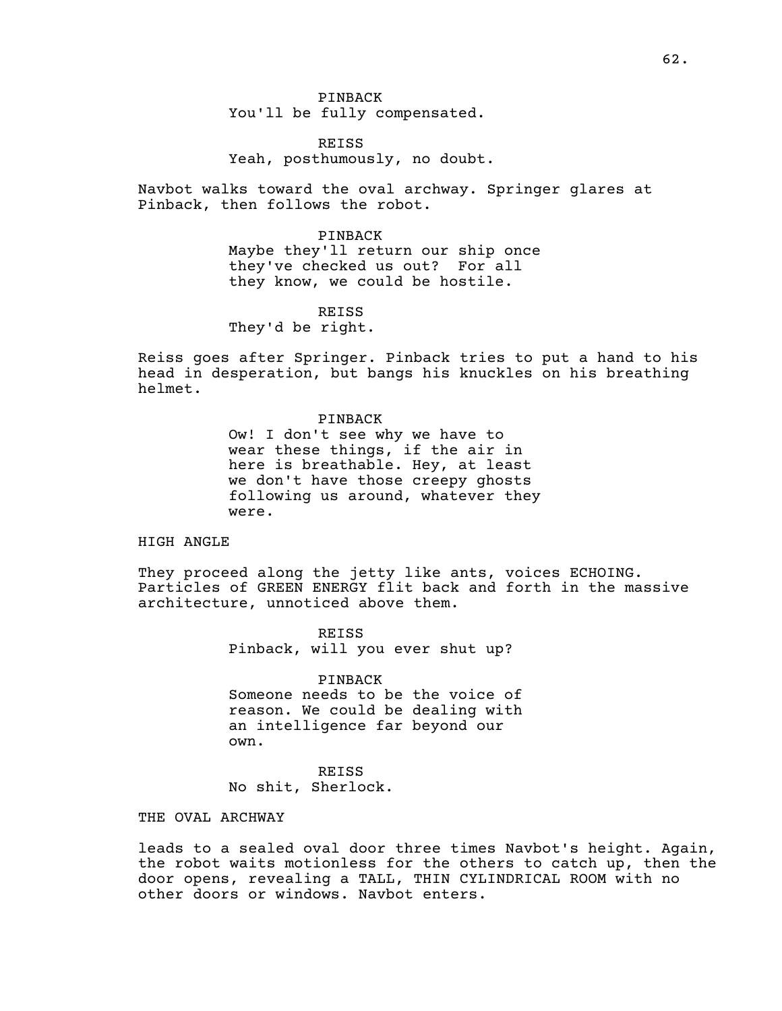PINBACK You'll be fully compensated.

REISS Yeah, posthumously, no doubt.

Navbot walks toward the oval archway. Springer glares at Pinback, then follows the robot.

> PINBACK Maybe they'll return our ship once they've checked us out? For all they know, we could be hostile.

> > REISS

They'd be right.

Reiss goes after Springer. Pinback tries to put a hand to his head in desperation, but bangs his knuckles on his breathing helmet.

PINBACK

Ow! I don't see why we have to wear these things, if the air in here is breathable. Hey, at least we don't have those creepy ghosts following us around, whatever they were.

### HIGH ANGLE

They proceed along the jetty like ants, voices ECHOING. Particles of GREEN ENERGY flit back and forth in the massive architecture, unnoticed above them.

> REISS Pinback, will you ever shut up?

PINBACK Someone needs to be the voice of reason. We could be dealing with an intelligence far beyond our own.

REISS No shit, Sherlock.

THE OVAL ARCHWAY

leads to a sealed oval door three times Navbot's height. Again, the robot waits motionless for the others to catch up, then the door opens, revealing a TALL, THIN CYLINDRICAL ROOM with no other doors or windows. Navbot enters.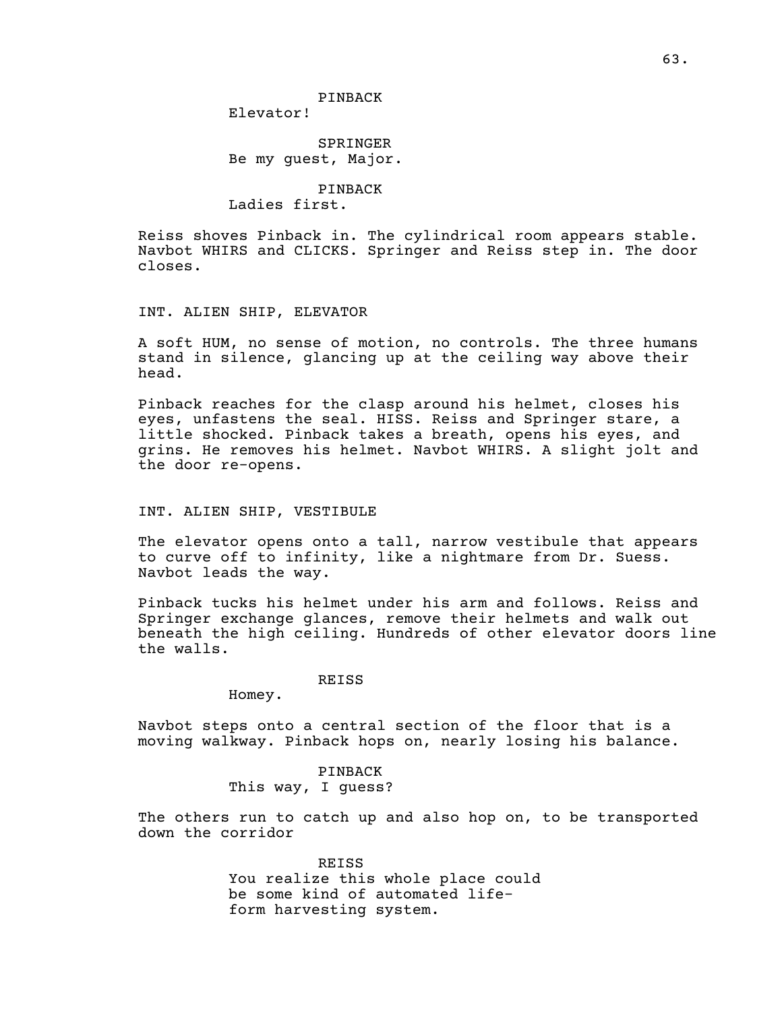Elevator!

SPRINGER Be my guest, Major.

# PINBACK Ladies first.

Reiss shoves Pinback in. The cylindrical room appears stable. Navbot WHIRS and CLICKS. Springer and Reiss step in. The door closes.

INT. ALIEN SHIP, ELEVATOR

A soft HUM, no sense of motion, no controls. The three humans stand in silence, glancing up at the ceiling way above their head.

Pinback reaches for the clasp around his helmet, closes his eyes, unfastens the seal. HISS. Reiss and Springer stare, a little shocked. Pinback takes a breath, opens his eyes, and grins. He removes his helmet. Navbot WHIRS. A slight jolt and the door re-opens.

#### INT. ALIEN SHIP, VESTIBULE

The elevator opens onto a tall, narrow vestibule that appears to curve off to infinity, like a nightmare from Dr. Suess. Navbot leads the way.

Pinback tucks his helmet under his arm and follows. Reiss and Springer exchange glances, remove their helmets and walk out beneath the high ceiling. Hundreds of other elevator doors line the walls.

#### REISS

Homey.

Navbot steps onto a central section of the floor that is a moving walkway. Pinback hops on, nearly losing his balance.

# PINBACK

This way, I guess?

The others run to catch up and also hop on, to be transported down the corridor

> REISS You realize this whole place could be some kind of automated lifeform harvesting system.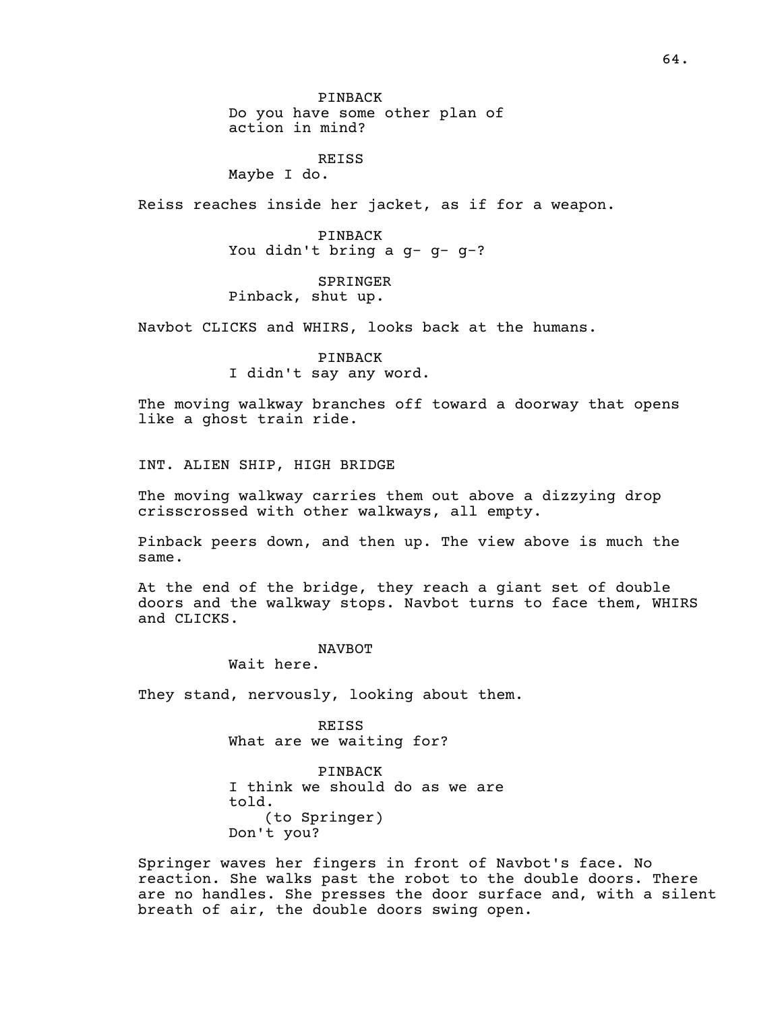PINBACK Do you have some other plan of action in mind?

#### REISS

Maybe I do.

Reiss reaches inside her jacket, as if for a weapon.

PINBACK You didn't bring a g- g- g-?

SPRINGER Pinback, shut up.

Navbot CLICKS and WHIRS, looks back at the humans.

PINBACK I didn't say any word.

The moving walkway branches off toward a doorway that opens like a ghost train ride.

INT. ALIEN SHIP, HIGH BRIDGE

The moving walkway carries them out above a dizzying drop crisscrossed with other walkways, all empty.

Pinback peers down, and then up. The view above is much the same.

At the end of the bridge, they reach a giant set of double doors and the walkway stops. Navbot turns to face them, WHIRS and CLICKS.

NAVBOT

Wait here.

They stand, nervously, looking about them.

REISS What are we waiting for?

PINBACK I think we should do as we are told. (to Springer) Don't you?

Springer waves her fingers in front of Navbot's face. No reaction. She walks past the robot to the double doors. There are no handles. She presses the door surface and, with a silent breath of air, the double doors swing open.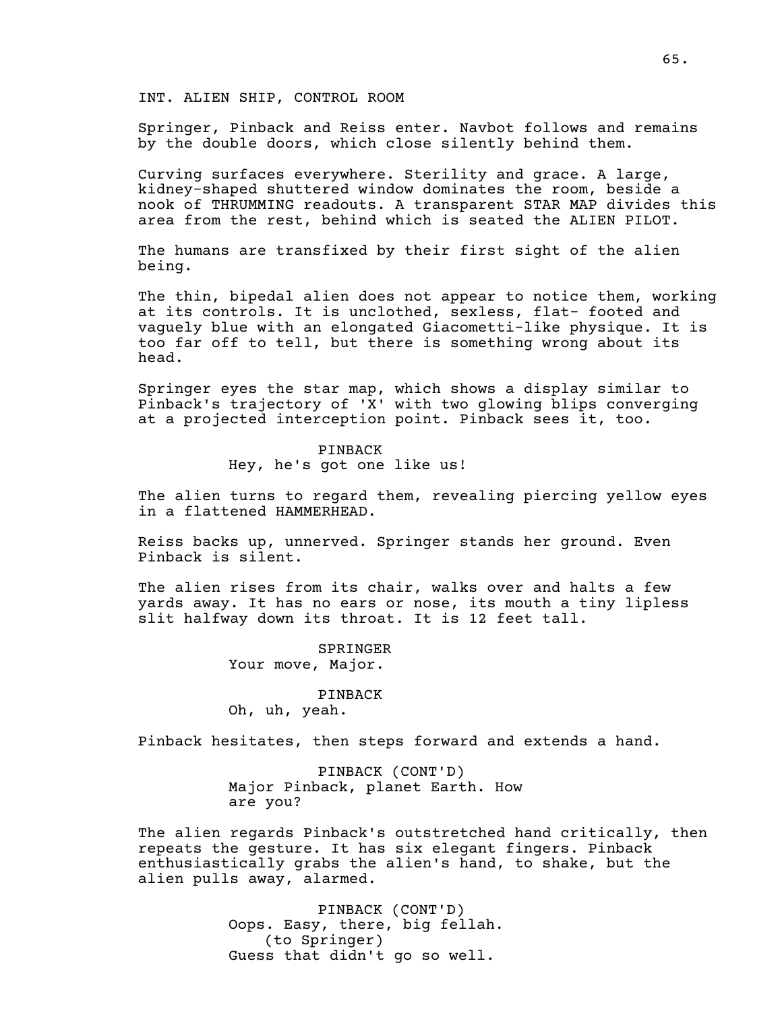### INT. ALIEN SHIP, CONTROL ROOM

Springer, Pinback and Reiss enter. Navbot follows and remains by the double doors, which close silently behind them.

Curving surfaces everywhere. Sterility and grace. A large, kidney-shaped shuttered window dominates the room, beside a nook of THRUMMING readouts. A transparent STAR MAP divides this area from the rest, behind which is seated the ALIEN PILOT.

The humans are transfixed by their first sight of the alien being.

The thin, bipedal alien does not appear to notice them, working at its controls. It is unclothed, sexless, flat- footed and vaguely blue with an elongated Giacometti-like physique. It is too far off to tell, but there is something wrong about its head.

Springer eyes the star map, which shows a display similar to Pinback's trajectory of 'X' with two glowing blips converging at a projected interception point. Pinback sees it, too.

> PINBACK Hey, he's got one like us!

The alien turns to regard them, revealing piercing yellow eyes in a flattened HAMMERHEAD.

Reiss backs up, unnerved. Springer stands her ground. Even Pinback is silent.

The alien rises from its chair, walks over and halts a few yards away. It has no ears or nose, its mouth a tiny lipless slit halfway down its throat. It is 12 feet tall.

> SPRINGER Your move, Major.

PINBACK Oh, uh, yeah.

Pinback hesitates, then steps forward and extends a hand.

PINBACK (CONT'D) Major Pinback, planet Earth. How are you?

The alien regards Pinback's outstretched hand critically, then repeats the gesture. It has six elegant fingers. Pinback enthusiastically grabs the alien's hand, to shake, but the alien pulls away, alarmed.

> PINBACK (CONT'D) Oops. Easy, there, big fellah. (to Springer) Guess that didn't go so well.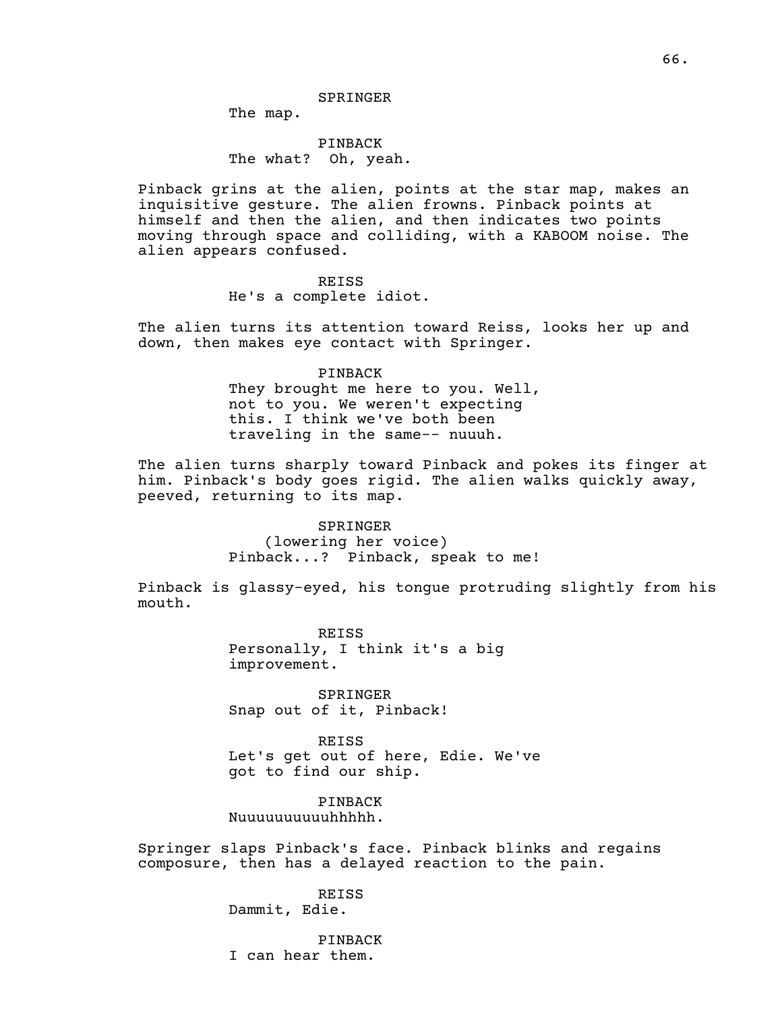The map.

# PINBACK The what? Oh, yeah.

Pinback grins at the alien, points at the star map, makes an inquisitive gesture. The alien frowns. Pinback points at himself and then the alien, and then indicates two points moving through space and colliding, with a KABOOM noise. The alien appears confused.

> REISS He's a complete idiot.

The alien turns its attention toward Reiss, looks her up and down, then makes eye contact with Springer.

PINBACK

They brought me here to you. Well, not to you. We weren't expecting this. I think we've both been traveling in the same-- nuuuh.

The alien turns sharply toward Pinback and pokes its finger at him. Pinback's body goes rigid. The alien walks quickly away, peeved, returning to its map.

> SPRINGER (lowering her voice) Pinback...? Pinback, speak to me!

Pinback is glassy-eyed, his tongue protruding slightly from his mouth.

> REISS Personally, I think it's a big improvement.

SPRINGER Snap out of it, Pinback!

REISS Let's get out of here, Edie. We've got to find our ship.

PINBACK Nuuuuuuuuuuhhhhh.

Springer slaps Pinback's face. Pinback blinks and regains composure, then has a delayed reaction to the pain.

> REISS Dammit, Edie.

PINBACK I can hear them.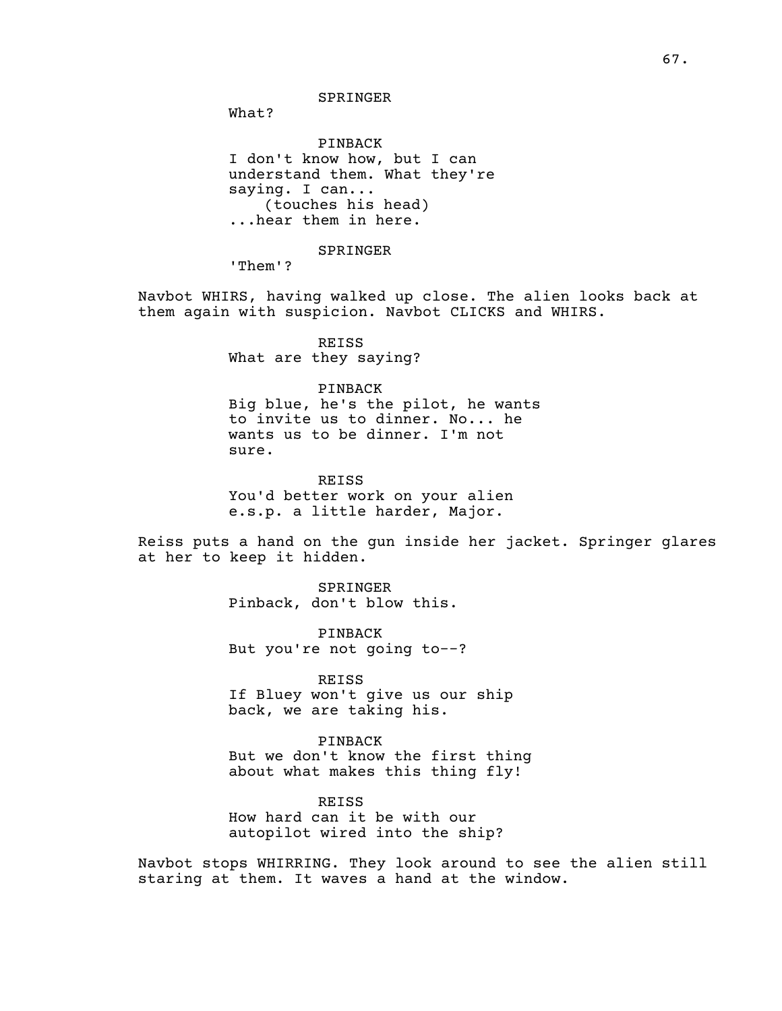SPRINGER

What?

PINBACK I don't know how, but I can understand them. What they're saying. I can... (touches his head) ...hear them in here.

SPRINGER

'Them'?

Navbot WHIRS, having walked up close. The alien looks back at them again with suspicion. Navbot CLICKS and WHIRS.

> REISS What are they saying?

### PINBACK

Big blue, he's the pilot, he wants to invite us to dinner. No... he wants us to be dinner. I'm not sure.

REISS You'd better work on your alien e.s.p. a little harder, Major.

Reiss puts a hand on the gun inside her jacket. Springer glares at her to keep it hidden.

> SPRINGER Pinback, don't blow this.

PINBACK But you're not going to--?

REISS If Bluey won't give us our ship back, we are taking his.

PINBACK But we don't know the first thing about what makes this thing fly!

REISS

How hard can it be with our autopilot wired into the ship?

Navbot stops WHIRRING. They look around to see the alien still staring at them. It waves a hand at the window.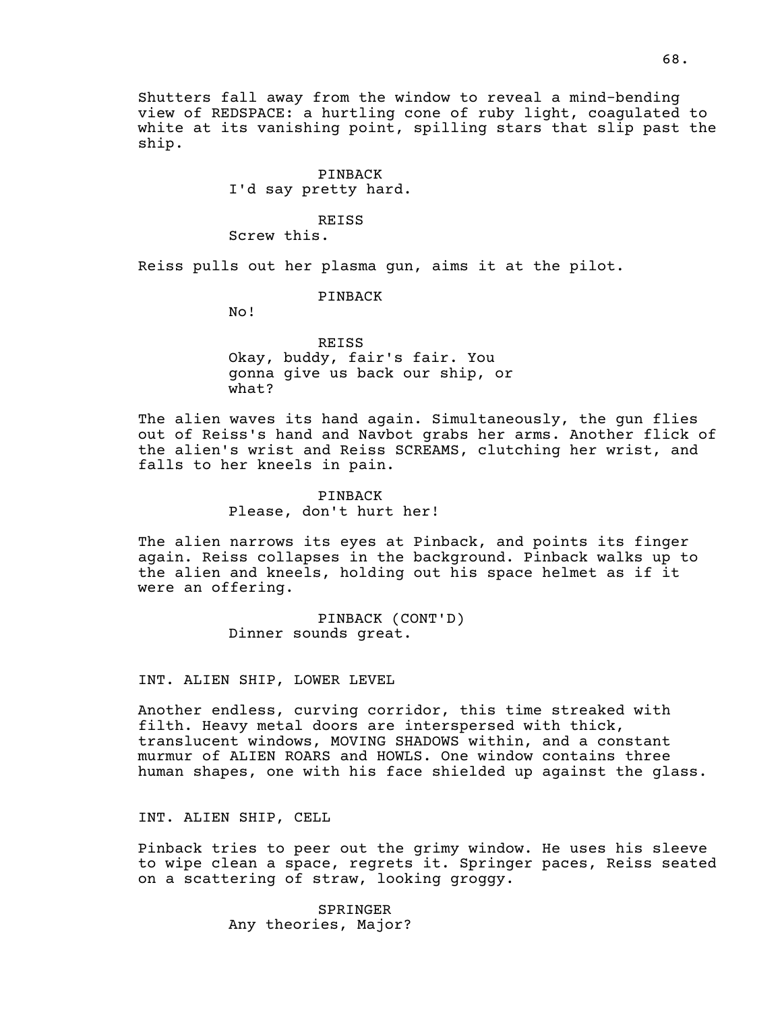Shutters fall away from the window to reveal a mind-bending view of REDSPACE: a hurtling cone of ruby light, coagulated to white at its vanishing point, spilling stars that slip past the ship.

> PINBACK I'd say pretty hard.

# REISS

Screw this.

Reiss pulls out her plasma gun, aims it at the pilot.

PINBACK

No!

# REISS Okay, buddy, fair's fair. You gonna give us back our ship, or what?

The alien waves its hand again. Simultaneously, the gun flies out of Reiss's hand and Navbot grabs her arms. Another flick of the alien's wrist and Reiss SCREAMS, clutching her wrist, and falls to her kneels in pain.

# PINBACK Please, don't hurt her!

The alien narrows its eyes at Pinback, and points its finger again. Reiss collapses in the background. Pinback walks up to the alien and kneels, holding out his space helmet as if it were an offering.

> PINBACK (CONT'D) Dinner sounds great.

### INT. ALIEN SHIP, LOWER LEVEL

Another endless, curving corridor, this time streaked with filth. Heavy metal doors are interspersed with thick, translucent windows, MOVING SHADOWS within, and a constant murmur of ALIEN ROARS and HOWLS. One window contains three human shapes, one with his face shielded up against the glass.

### INT. ALIEN SHIP, CELL

Pinback tries to peer out the grimy window. He uses his sleeve to wipe clean a space, regrets it. Springer paces, Reiss seated on a scattering of straw, looking groggy.

> SPRINGER Any theories, Major?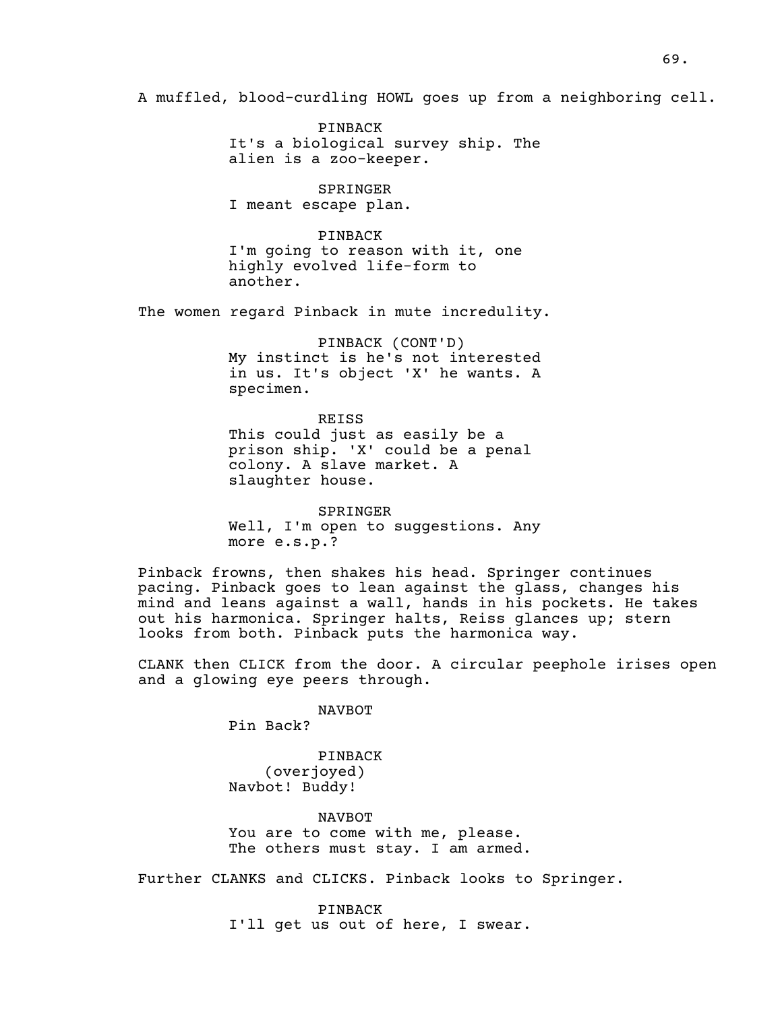A muffled, blood-curdling HOWL goes up from a neighboring cell.

PINBACK It's a biological survey ship. The alien is a zoo-keeper.

SPRINGER I meant escape plan.

PINBACK I'm going to reason with it, one highly evolved life-form to another.

The women regard Pinback in mute incredulity.

PINBACK (CONT'D) My instinct is he's not interested in us. It's object 'X' he wants. A specimen.

REISS This could just as easily be a prison ship. 'X' could be a penal colony. A slave market. A slaughter house.

SPRINGER Well, I'm open to suggestions. Any more e.s.p.?

Pinback frowns, then shakes his head. Springer continues pacing. Pinback goes to lean against the glass, changes his mind and leans against a wall, hands in his pockets. He takes out his harmonica. Springer halts, Reiss glances up; stern looks from both. Pinback puts the harmonica way.

CLANK then CLICK from the door. A circular peephole irises open and a glowing eye peers through.

NAVBOT

Pin Back?

PINBACK (overjoyed) Navbot! Buddy!

NAVBOT You are to come with me, please. The others must stay. I am armed.

Further CLANKS and CLICKS. Pinback looks to Springer.

PINBACK I'll get us out of here, I swear.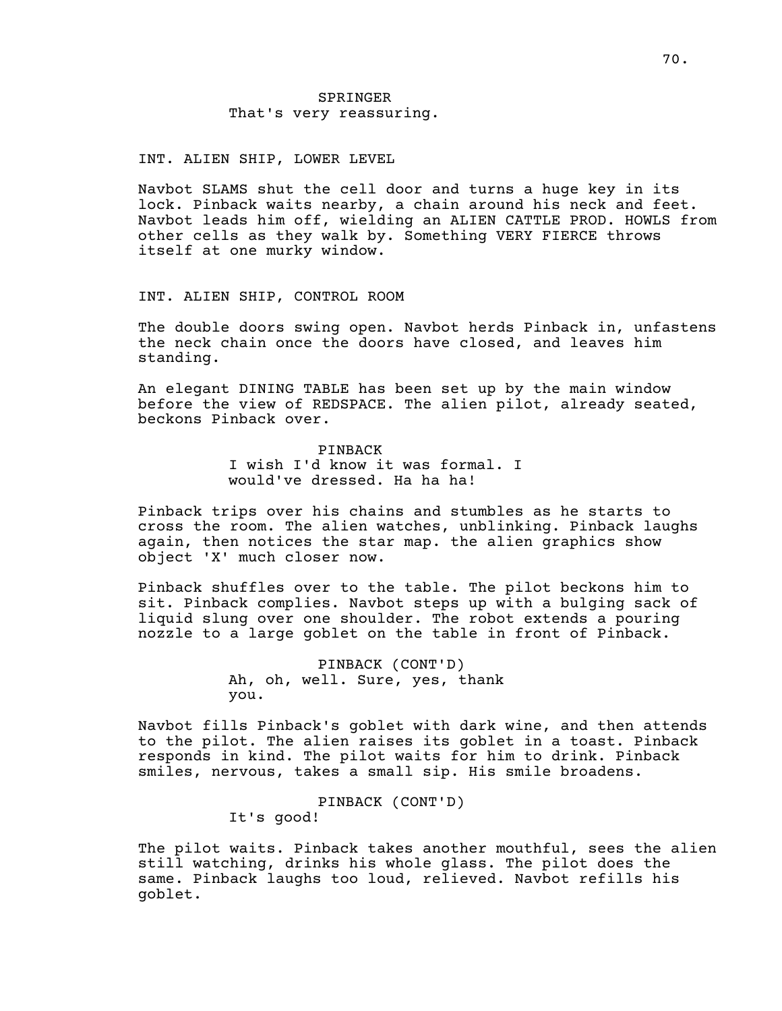### SPRINGER That's very reassuring.

### INT. ALIEN SHIP, LOWER LEVEL

Navbot SLAMS shut the cell door and turns a huge key in its lock. Pinback waits nearby, a chain around his neck and feet. Navbot leads him off, wielding an ALIEN CATTLE PROD. HOWLS from other cells as they walk by. Something VERY FIERCE throws itself at one murky window.

INT. ALIEN SHIP, CONTROL ROOM

The double doors swing open. Navbot herds Pinback in, unfastens the neck chain once the doors have closed, and leaves him standing.

An elegant DINING TABLE has been set up by the main window before the view of REDSPACE. The alien pilot, already seated, beckons Pinback over.

> PINBACK I wish I'd know it was formal. I would've dressed. Ha ha ha!

Pinback trips over his chains and stumbles as he starts to cross the room. The alien watches, unblinking. Pinback laughs again, then notices the star map. the alien graphics show object 'X' much closer now.

Pinback shuffles over to the table. The pilot beckons him to sit. Pinback complies. Navbot steps up with a bulging sack of liquid slung over one shoulder. The robot extends a pouring nozzle to a large goblet on the table in front of Pinback.

> PINBACK (CONT'D) Ah, oh, well. Sure, yes, thank you.

Navbot fills Pinback's goblet with dark wine, and then attends to the pilot. The alien raises its goblet in a toast. Pinback responds in kind. The pilot waits for him to drink. Pinback smiles, nervous, takes a small sip. His smile broadens.

> PINBACK (CONT'D) It's good!

The pilot waits. Pinback takes another mouthful, sees the alien still watching, drinks his whole glass. The pilot does the same. Pinback laughs too loud, relieved. Navbot refills his goblet.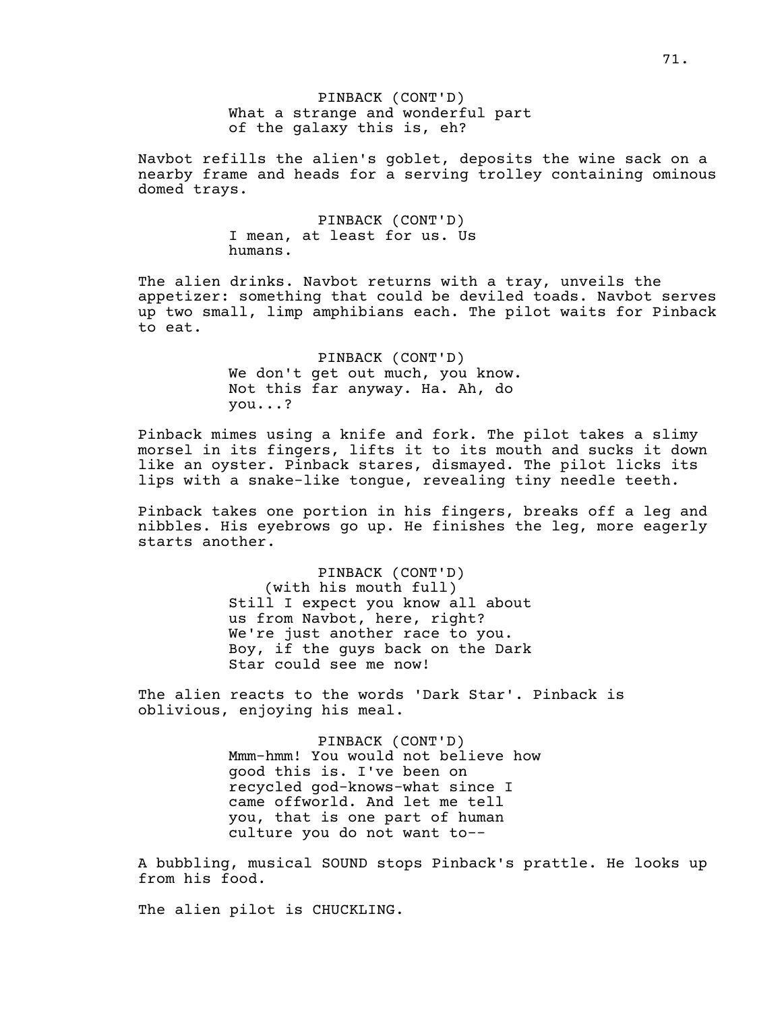Navbot refills the alien's goblet, deposits the wine sack on a nearby frame and heads for a serving trolley containing ominous domed trays.

> PINBACK (CONT'D) I mean, at least for us. Us humans.

The alien drinks. Navbot returns with a tray, unveils the appetizer: something that could be deviled toads. Navbot serves up two small, limp amphibians each. The pilot waits for Pinback to eat.

> PINBACK (CONT'D) We don't get out much, you know. Not this far anyway. Ha. Ah, do you...?

Pinback mimes using a knife and fork. The pilot takes a slimy morsel in its fingers, lifts it to its mouth and sucks it down like an oyster. Pinback stares, dismayed. The pilot licks its lips with a snake-like tongue, revealing tiny needle teeth.

Pinback takes one portion in his fingers, breaks off a leg and nibbles. His eyebrows go up. He finishes the leg, more eagerly starts another.

> PINBACK (CONT'D) (with his mouth full) Still I expect you know all about us from Navbot, here, right? We're just another race to you. Boy, if the guys back on the Dark Star could see me now!

The alien reacts to the words 'Dark Star'. Pinback is oblivious, enjoying his meal.

> PINBACK (CONT'D) Mmm-hmm! You would not believe how good this is. I've been on recycled god-knows-what since I came offworld. And let me tell you, that is one part of human culture you do not want to--

A bubbling, musical SOUND stops Pinback's prattle. He looks up from his food.

The alien pilot is CHUCKLING.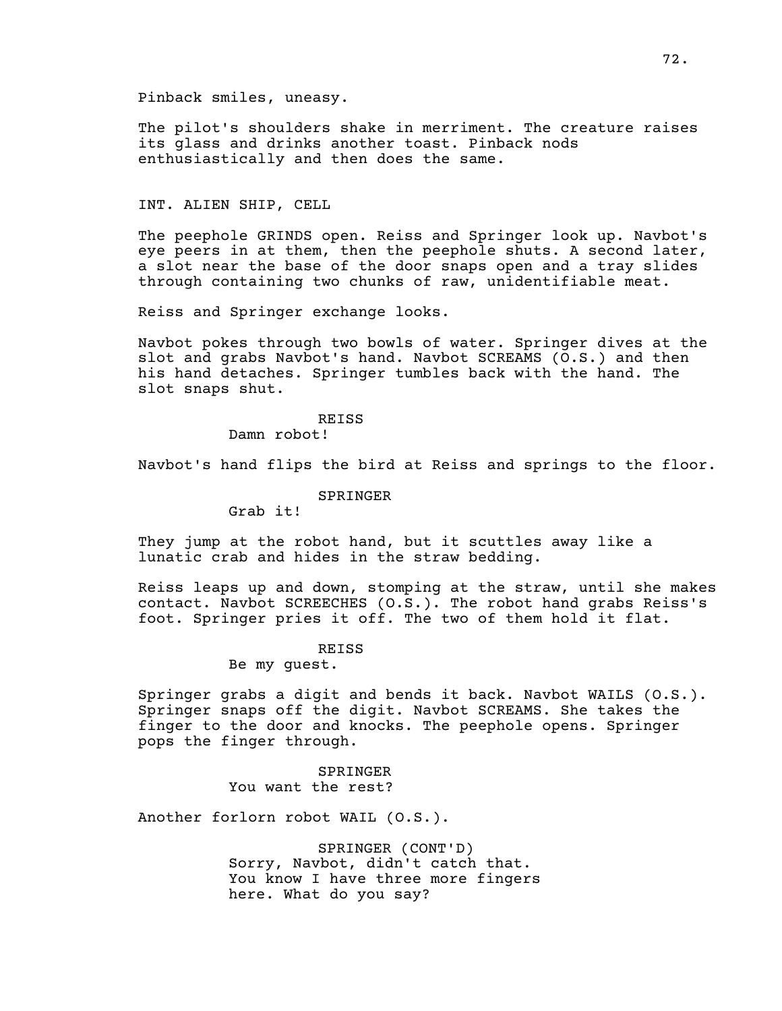Pinback smiles, uneasy.

The pilot's shoulders shake in merriment. The creature raises its glass and drinks another toast. Pinback nods enthusiastically and then does the same.

#### INT. ALIEN SHIP, CELL

The peephole GRINDS open. Reiss and Springer look up. Navbot's eye peers in at them, then the peephole shuts. A second later, a slot near the base of the door snaps open and a tray slides through containing two chunks of raw, unidentifiable meat.

Reiss and Springer exchange looks.

Navbot pokes through two bowls of water. Springer dives at the slot and grabs Navbot's hand. Navbot SCREAMS (O.S.) and then his hand detaches. Springer tumbles back with the hand. The slot snaps shut.

## REISS

Damn robot!

Navbot's hand flips the bird at Reiss and springs to the floor.

#### SPRINGER

Grab it!

They jump at the robot hand, but it scuttles away like a lunatic crab and hides in the straw bedding.

Reiss leaps up and down, stomping at the straw, until she makes contact. Navbot SCREECHES (O.S.). The robot hand grabs Reiss's foot. Springer pries it off. The two of them hold it flat.

#### REISS

Be my guest.

Springer grabs a digit and bends it back. Navbot WAILS (O.S.). Springer snaps off the digit. Navbot SCREAMS. She takes the finger to the door and knocks. The peephole opens. Springer pops the finger through.

> SPRINGER You want the rest?

Another forlorn robot WAIL (O.S.).

SPRINGER (CONT'D) Sorry, Navbot, didn't catch that. You know I have three more fingers here. What do you say?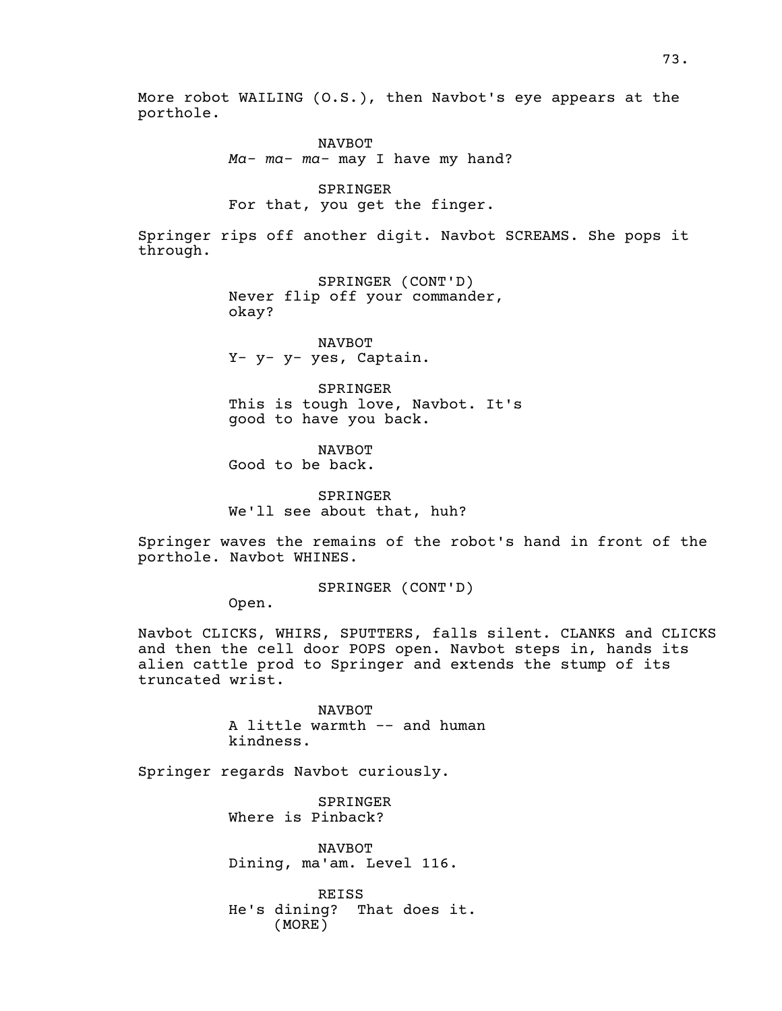More robot WAILING (O.S.), then Navbot's eye appears at the porthole.

> NAVBOT *Ma- ma- ma-* may I have my hand?

SPRINGER For that, you get the finger.

Springer rips off another digit. Navbot SCREAMS. She pops it through.

> SPRINGER (CONT'D) Never flip off your commander, okay?

NAVBOT Y- y- y- yes, Captain.

SPRINGER This is tough love, Navbot. It's good to have you back.

NAVBOT Good to be back.

SPRINGER We'll see about that, huh?

Springer waves the remains of the robot's hand in front of the porthole. Navbot WHINES.

SPRINGER (CONT'D)

Open.

Navbot CLICKS, WHIRS, SPUTTERS, falls silent. CLANKS and CLICKS and then the cell door POPS open. Navbot steps in, hands its alien cattle prod to Springer and extends the stump of its truncated wrist.

> NAVBOT A little warmth –– and human kindness.

Springer regards Navbot curiously.

SPRINGER Where is Pinback?

NAVBOT Dining, ma'am. Level 116.

REISS He's dining? That does it. (MORE)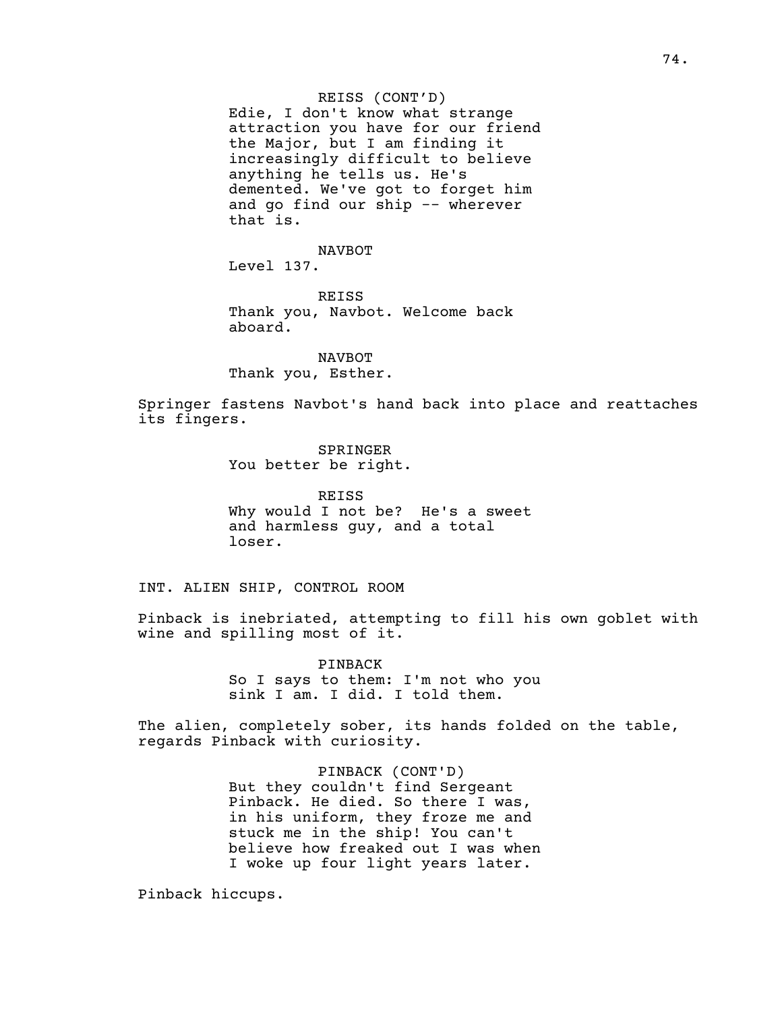Edie, I don't know what strange attraction you have for our friend the Major, but I am finding it increasingly difficult to believe anything he tells us. He's demented. We've got to forget him and go find our ship -- wherever that is.

NAVBOT

Level 137.

REISS Thank you, Navbot. Welcome back aboard.

NAVBOT Thank you, Esther.

Springer fastens Navbot's hand back into place and reattaches its fingers.

> SPRINGER You better be right.

REISS Why would I not be? He's a sweet and harmless guy, and a total loser.

INT. ALIEN SHIP, CONTROL ROOM

Pinback is inebriated, attempting to fill his own goblet with wine and spilling most of it.

> PINBACK So I says to them: I'm not who you sink I am. I did. I told them.

The alien, completely sober, its hands folded on the table, regards Pinback with curiosity.

> PINBACK (CONT'D) But they couldn't find Sergeant Pinback. He died. So there I was, in his uniform, they froze me and stuck me in the ship! You can't believe how freaked out I was when I woke up four light years later.

Pinback hiccups.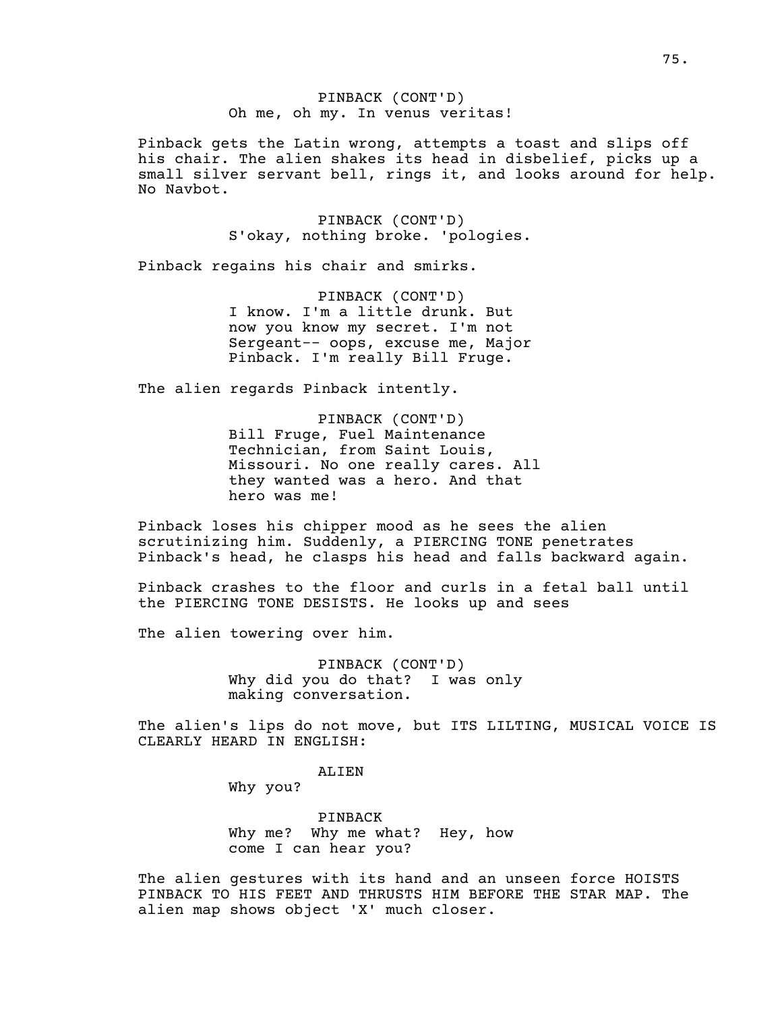# PINBACK (CONT'D) Oh me, oh my. In venus veritas!

Pinback gets the Latin wrong, attempts a toast and slips off his chair. The alien shakes its head in disbelief, picks up a small silver servant bell, rings it, and looks around for help. No Navbot.

> PINBACK (CONT'D) S'okay, nothing broke. 'pologies.

Pinback regains his chair and smirks.

PINBACK (CONT'D) I know. I'm a little drunk. But now you know my secret. I'm not Sergeant-- oops, excuse me, Major Pinback. I'm really Bill Fruge.

The alien regards Pinback intently.

PINBACK (CONT'D) Bill Fruge, Fuel Maintenance Technician, from Saint Louis, Missouri. No one really cares. All they wanted was a hero. And that hero was me!

Pinback loses his chipper mood as he sees the alien scrutinizing him. Suddenly, a PIERCING TONE penetrates Pinback's head, he clasps his head and falls backward again.

Pinback crashes to the floor and curls in a fetal ball until the PIERCING TONE DESISTS. He looks up and sees

The alien towering over him.

PINBACK (CONT'D) Why did you do that? I was only making conversation.

The alien's lips do not move, but ITS LILTING, MUSICAL VOICE IS CLEARLY HEARD IN ENGLISH:

ALIEN

Why you?

PINBACK Why me? Why me what? Hey, how come I can hear you?

The alien gestures with its hand and an unseen force HOISTS PINBACK TO HIS FEET AND THRUSTS HIM BEFORE THE STAR MAP. The alien map shows object 'X' much closer.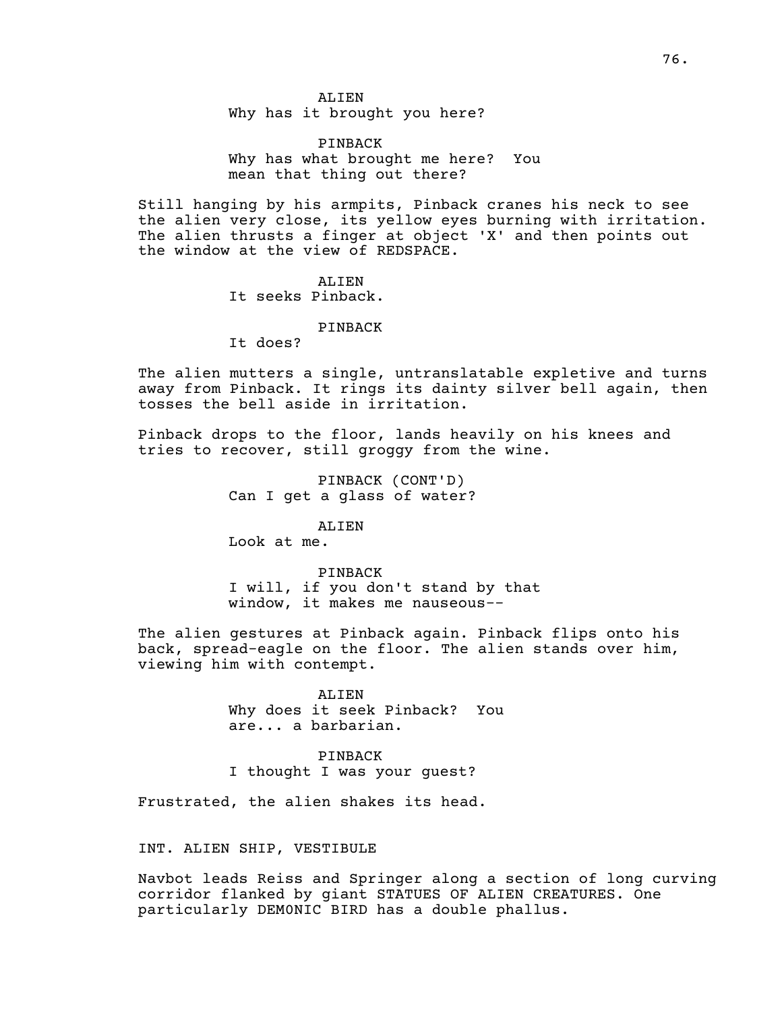ALIEN Why has it brought you here?

PINBACK Why has what brought me here? You mean that thing out there?

Still hanging by his armpits, Pinback cranes his neck to see the alien very close, its yellow eyes burning with irritation. The alien thrusts a finger at object 'X' and then points out the window at the view of REDSPACE.

> ALIEN It seeks Pinback.

#### PINBACK

It does?

The alien mutters a single, untranslatable expletive and turns away from Pinback. It rings its dainty silver bell again, then tosses the bell aside in irritation.

Pinback drops to the floor, lands heavily on his knees and tries to recover, still groggy from the wine.

> PINBACK (CONT'D) Can I get a glass of water?

ALIEN Look at me.

PINBACK I will, if you don't stand by that window, it makes me nauseous--

The alien gestures at Pinback again. Pinback flips onto his back, spread-eagle on the floor. The alien stands over him, viewing him with contempt.

> ALIEN Why does it seek Pinback? You are... a barbarian.

PINBACK I thought I was your guest?

Frustrated, the alien shakes its head.

# INT. ALIEN SHIP, VESTIBULE

Navbot leads Reiss and Springer along a section of long curving corridor flanked by giant STATUES OF ALIEN CREATURES. One particularly DEM0NIC BIRD has a double phallus.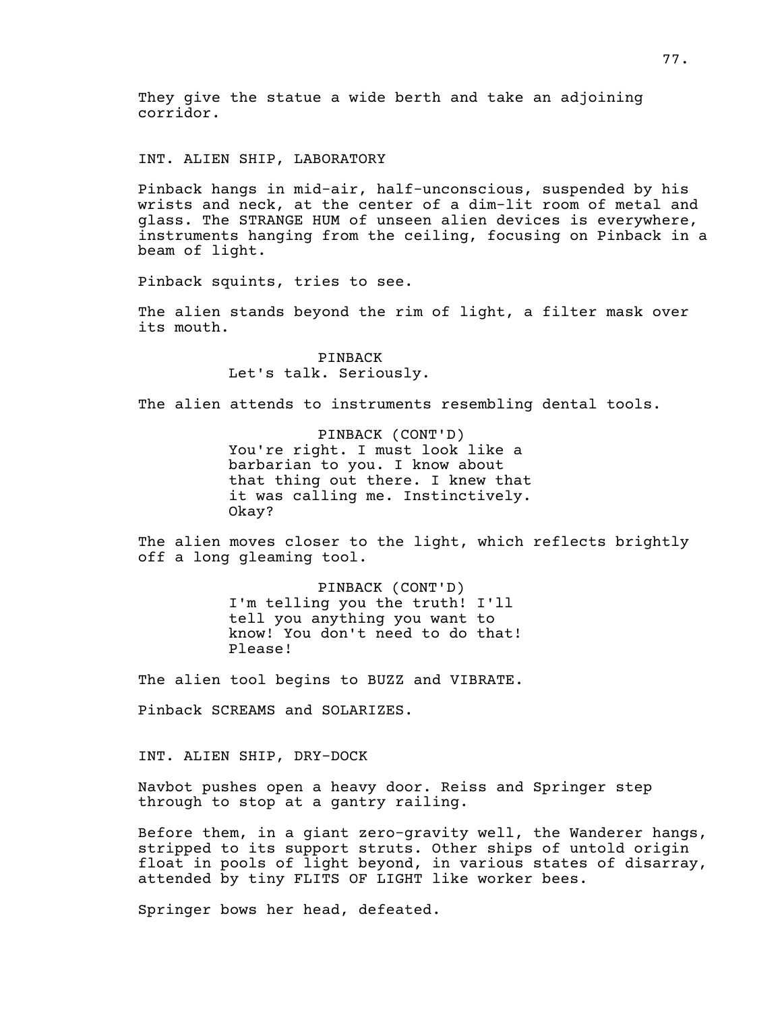They give the statue a wide berth and take an adjoining corridor.

INT. ALIEN SHIP, LABORATORY

Pinback hangs in mid-air, half-unconscious, suspended by his wrists and neck, at the center of a dim-lit room of metal and glass. The STRANGE HUM of unseen alien devices is everywhere, instruments hanging from the ceiling, focusing on Pinback in a beam of light.

Pinback squints, tries to see.

The alien stands beyond the rim of light, a filter mask over its mouth.

> PINBACK Let's talk. Seriously.

The alien attends to instruments resembling dental tools.

PINBACK (CONT'D) You're right. I must look like a barbarian to you. I know about that thing out there. I knew that it was calling me. Instinctively. Okay?

The alien moves closer to the light, which reflects brightly off a long gleaming tool.

> PINBACK (CONT'D) I'm telling you the truth! I'll tell you anything you want to know! You don't need to do that! Please!

The alien tool begins to BUZZ and VIBRATE.

Pinback SCREAMS and SOLARIZES.

INT. ALIEN SHIP, DRY-DOCK

Navbot pushes open a heavy door. Reiss and Springer step through to stop at a gantry railing.

Before them, in a giant zero-gravity well, the Wanderer hangs, stripped to its support struts. Other ships of untold origin float in pools of light beyond, in various states of disarray, attended by tiny FLITS OF LIGHT like worker bees.

Springer bows her head, defeated.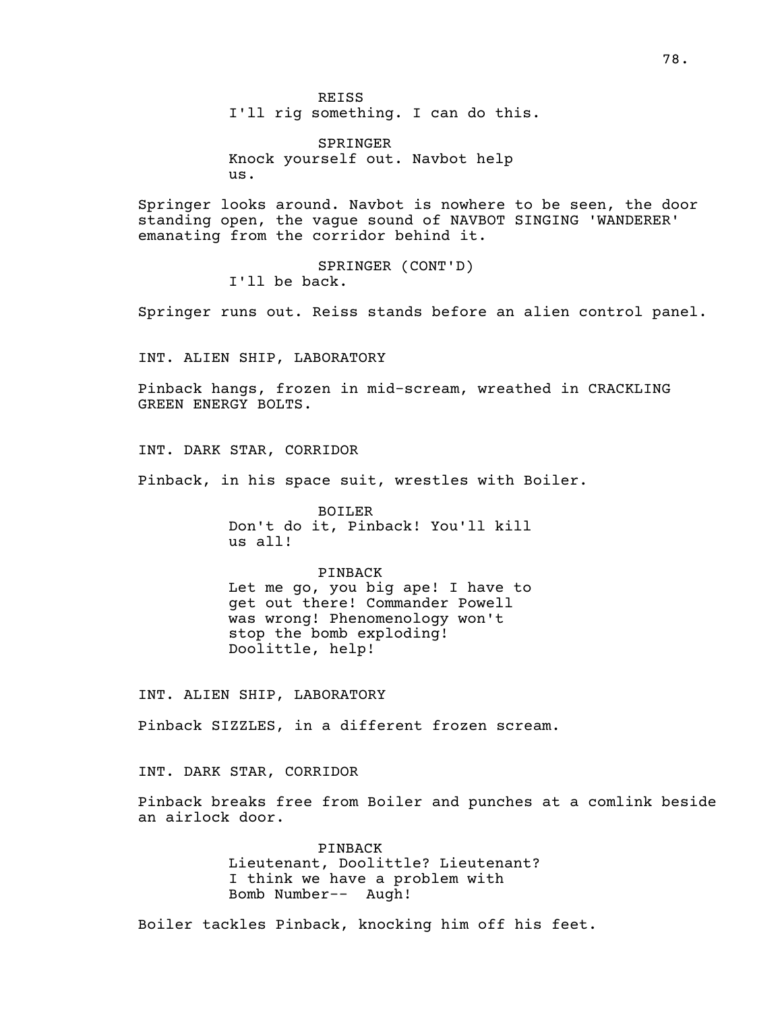REISS I'll rig something. I can do this.

SPRINGER Knock yourself out. Navbot help us.

Springer looks around. Navbot is nowhere to be seen, the door standing open, the vague sound of NAVBOT SINGING 'WANDERER' emanating from the corridor behind it.

> SPRINGER (CONT'D) I'll be back.

Springer runs out. Reiss stands before an alien control panel.

INT. ALIEN SHIP, LABORATORY

Pinback hangs, frozen in mid-scream, wreathed in CRACKLING GREEN ENERGY BOLTS.

INT. DARK STAR, CORRIDOR

Pinback, in his space suit, wrestles with Boiler.

BOILER Don't do it, Pinback! You'll kill us all!

PINBACK Let me go, you big ape! I have to get out there! Commander Powell was wrong! Phenomenology won't stop the bomb exploding! Doolittle, help!

INT. ALIEN SHIP, LABORATORY

Pinback SIZZLES, in a different frozen scream.

INT. DARK STAR, CORRIDOR

Pinback breaks free from Boiler and punches at a comlink beside an airlock door.

> PINBACK Lieutenant, Doolittle? Lieutenant? I think we have a problem with Bomb Number-- Augh!

Boiler tackles Pinback, knocking him off his feet.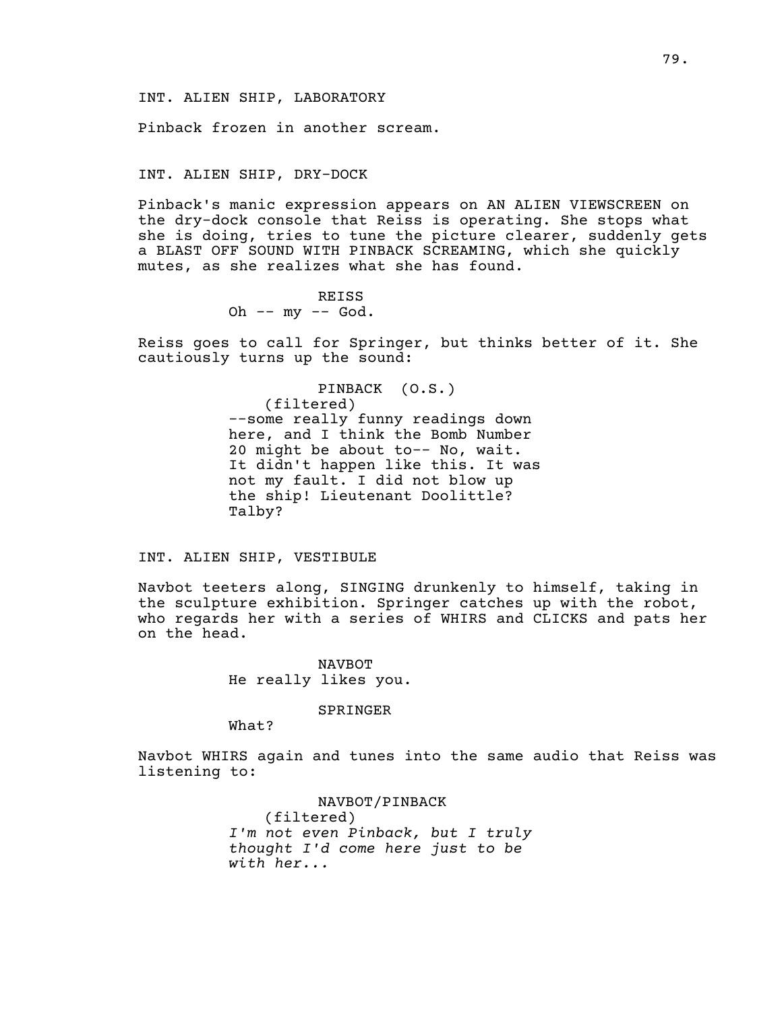## INT. ALIEN SHIP, LABORATORY

Pinback frozen in another scream.

## INT. ALIEN SHIP, DRY-DOCK

Pinback's manic expression appears on AN ALIEN VIEWSCREEN on the dry-dock console that Reiss is operating. She stops what she is doing, tries to tune the picture clearer, suddenly gets a BLAST OFF SOUND WITH PINBACK SCREAMING, which she quickly mutes, as she realizes what she has found.

> REISS Oh  $--$  my  $--$  God.

Reiss goes to call for Springer, but thinks better of it. She cautiously turns up the sound:

> PINBACK (O.S.) (filtered) --some really funny readings down here, and I think the Bomb Number 20 might be about to-- No, wait. It didn't happen like this. It was not my fault. I did not blow up the ship! Lieutenant Doolittle? Talby?

## INT. ALIEN SHIP, VESTIBULE

Navbot teeters along, SINGING drunkenly to himself, taking in the sculpture exhibition. Springer catches up with the robot, who regards her with a series of WHIRS and CLICKS and pats her on the head.

> NAVBOT He really likes you.

#### SPRINGER

What?

Navbot WHIRS again and tunes into the same audio that Reiss was listening to:

NAVBOT/PINBACK

(filtered) *I'm not even Pinback, but I truly thought I'd come here just to be with her...*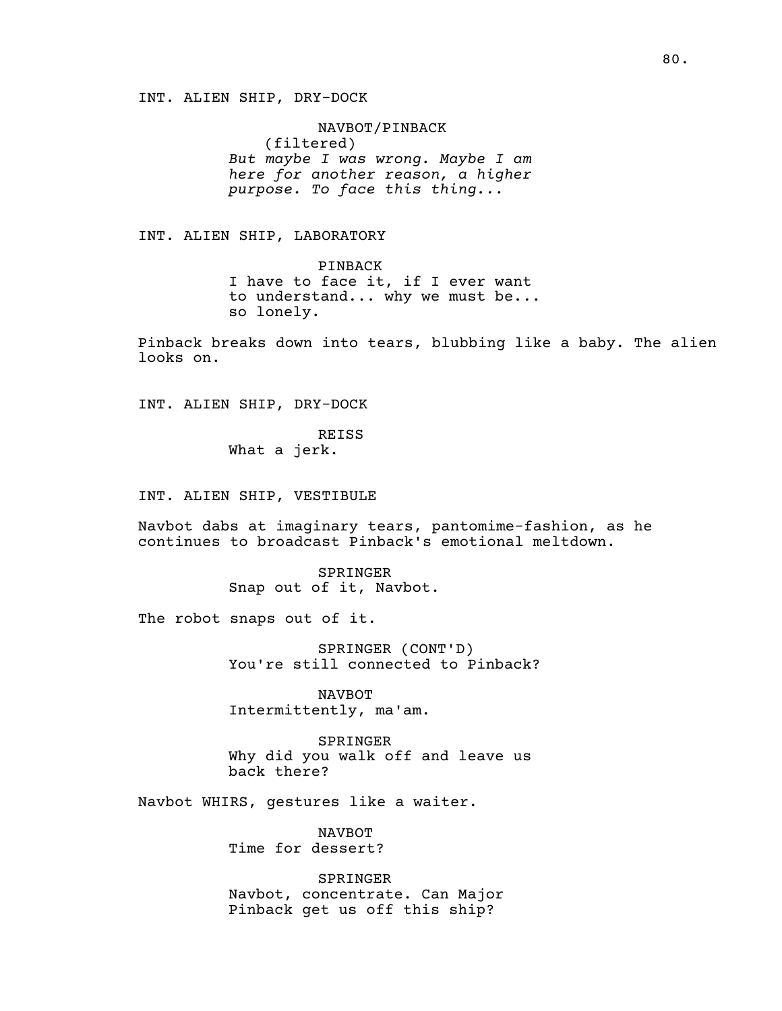INT. ALIEN SHIP, DRY-DOCK

# NAVBOT/PINBACK

(filtered) *But maybe I was wrong. Maybe I am here for another reason, a higher purpose. To face this thing...*

INT. ALIEN SHIP, LABORATORY

PINBACK I have to face it, if I ever want to understand... why we must be... so lonely.

Pinback breaks down into tears, blubbing like a baby. The alien looks on.

INT. ALIEN SHIP, DRY-DOCK

REISS What a jerk.

INT. ALIEN SHIP, VESTIBULE

Navbot dabs at imaginary tears, pantomime-fashion, as he continues to broadcast Pinback's emotional meltdown.

> SPRINGER Snap out of it, Navbot.

The robot snaps out of it.

SPRINGER (CONT'D) You're still connected to Pinback?

NAVBOT Intermittently, ma'am.

SPRINGER Why did you walk off and leave us back there?

Navbot WHIRS, gestures like a waiter.

NAVBOT Time for dessert?

SPRINGER Navbot, concentrate. Can Major Pinback get us off this ship?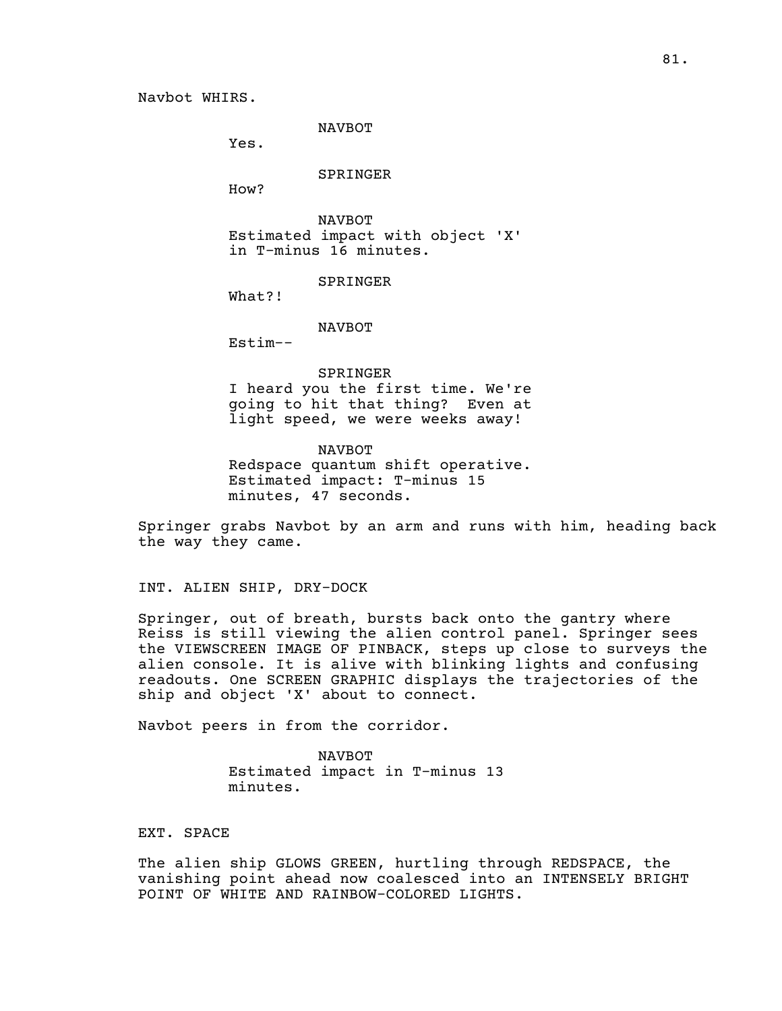NAVBOT

Yes.

SPRINGER

How?

NAVBOT Estimated impact with object 'X' in T-minus 16 minutes.

SPRINGER

What?!

#### NAVBOT

Estim--

SPRINGER

I heard you the first time. We're going to hit that thing? Even at light speed, we were weeks away!

NAVBOT Redspace quantum shift operative. Estimated impact: T-minus 15 minutes, 47 seconds.

Springer grabs Navbot by an arm and runs with him, heading back the way they came.

INT. ALIEN SHIP, DRY-DOCK

Springer, out of breath, bursts back onto the gantry where Reiss is still viewing the alien control panel. Springer sees the VIEWSCREEN IMAGE OF PINBACK, steps up close to surveys the alien console. It is alive with blinking lights and confusing readouts. One SCREEN GRAPHIC displays the trajectories of the ship and object 'X' about to connect.

Navbot peers in from the corridor.

NAVBOT Estimated impact in T-minus 13 minutes.

EXT. SPACE

The alien ship GLOWS GREEN, hurtling through REDSPACE, the vanishing point ahead now coalesced into an INTENSELY BRIGHT POINT OF WHITE AND RAINBOW-COLORED LIGHTS.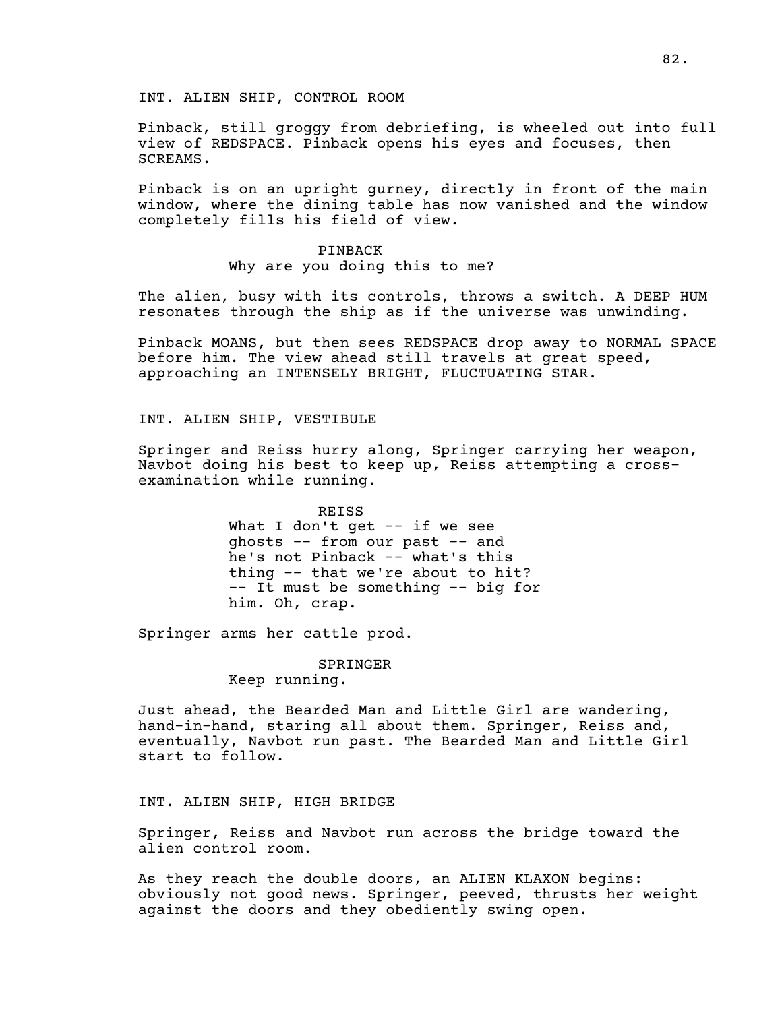INT. ALIEN SHIP, CONTROL ROOM

Pinback, still groggy from debriefing, is wheeled out into full view of REDSPACE. Pinback opens his eyes and focuses, then SCREAMS.

Pinback is on an upright gurney, directly in front of the main window, where the dining table has now vanished and the window completely fills his field of view.

> PINBACK Why are you doing this to me?

The alien, busy with its controls, throws a switch. A DEEP HUM resonates through the ship as if the universe was unwinding.

Pinback MOANS, but then sees REDSPACE drop away to NORMAL SPACE before him. The view ahead still travels at great speed, approaching an INTENSELY BRIGHT, FLUCTUATING STAR.

INT. ALIEN SHIP, VESTIBULE

Springer and Reiss hurry along, Springer carrying her weapon, Navbot doing his best to keep up, Reiss attempting a crossexamination while running.

> REISS What I don't get -- if we see ghosts -- from our past -- and he's not Pinback -- what's this thing -- that we're about to hit? -- It must be something -- big for him. Oh, crap.

Springer arms her cattle prod.

SPRINGER Keep running.

Just ahead, the Bearded Man and Little Girl are wandering, hand-in-hand, staring all about them. Springer, Reiss and, eventually, Navbot run past. The Bearded Man and Little Girl start to follow.

INT. ALIEN SHIP, HIGH BRIDGE

Springer, Reiss and Navbot run across the bridge toward the alien control room.

As they reach the double doors, an ALIEN KLAXON begins: obviously not good news. Springer, peeved, thrusts her weight against the doors and they obediently swing open.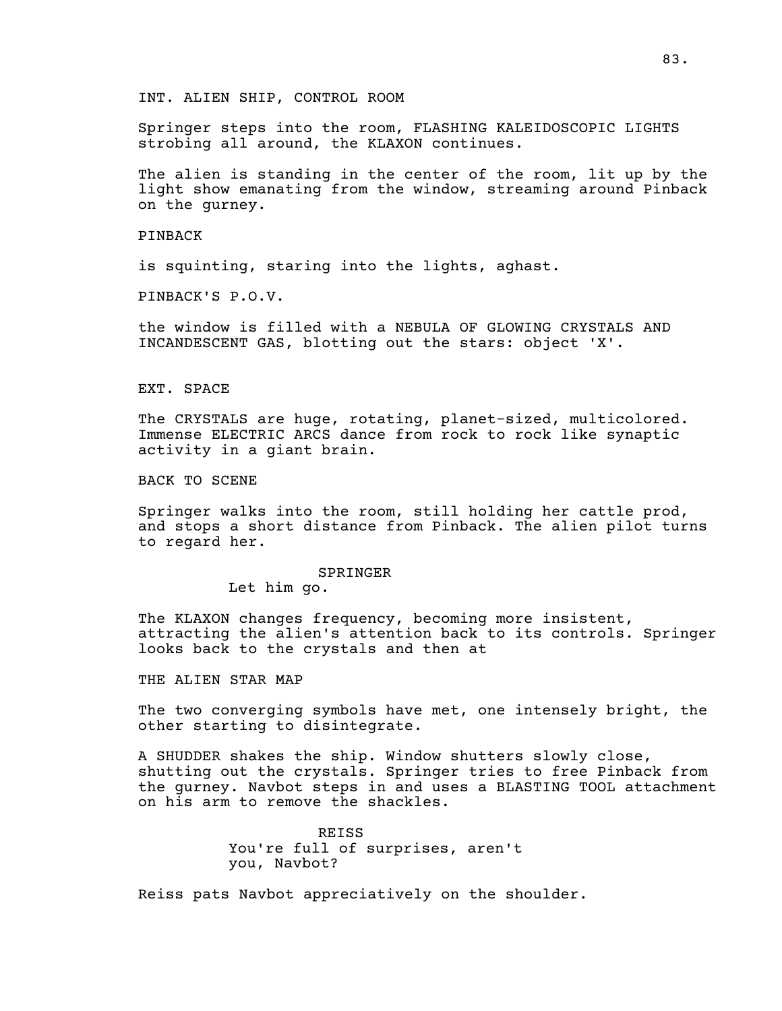INT. ALIEN SHIP, CONTROL ROOM

Springer steps into the room, FLASHING KALEIDOSCOPIC LIGHTS strobing all around, the KLAXON continues.

The alien is standing in the center of the room, lit up by the light show emanating from the window, streaming around Pinback on the gurney.

#### PINBACK

is squinting, staring into the lights, aghast.

PINBACK'S P.O.V.

the window is filled with a NEBULA OF GLOWING CRYSTALS AND INCANDESCENT GAS, blotting out the stars: object 'X'.

## EXT. SPACE

The CRYSTALS are huge, rotating, planet-sized, multicolored. Immense ELECTRIC ARCS dance from rock to rock like synaptic activity in a giant brain.

BACK TO SCENE

Springer walks into the room, still holding her cattle prod, and stops a short distance from Pinback. The alien pilot turns to regard her.

#### SPRINGER

Let him go.

The KLAXON changes frequency, becoming more insistent, attracting the alien's attention back to its controls. Springer looks back to the crystals and then at

THE ALIEN STAR MAP

The two converging symbols have met, one intensely bright, the other starting to disintegrate.

A SHUDDER shakes the ship. Window shutters slowly close, shutting out the crystals. Springer tries to free Pinback from the gurney. Navbot steps in and uses a BLASTING TOOL attachment on his arm to remove the shackles.

> REISS You're full of surprises, aren't you, Navbot?

Reiss pats Navbot appreciatively on the shoulder.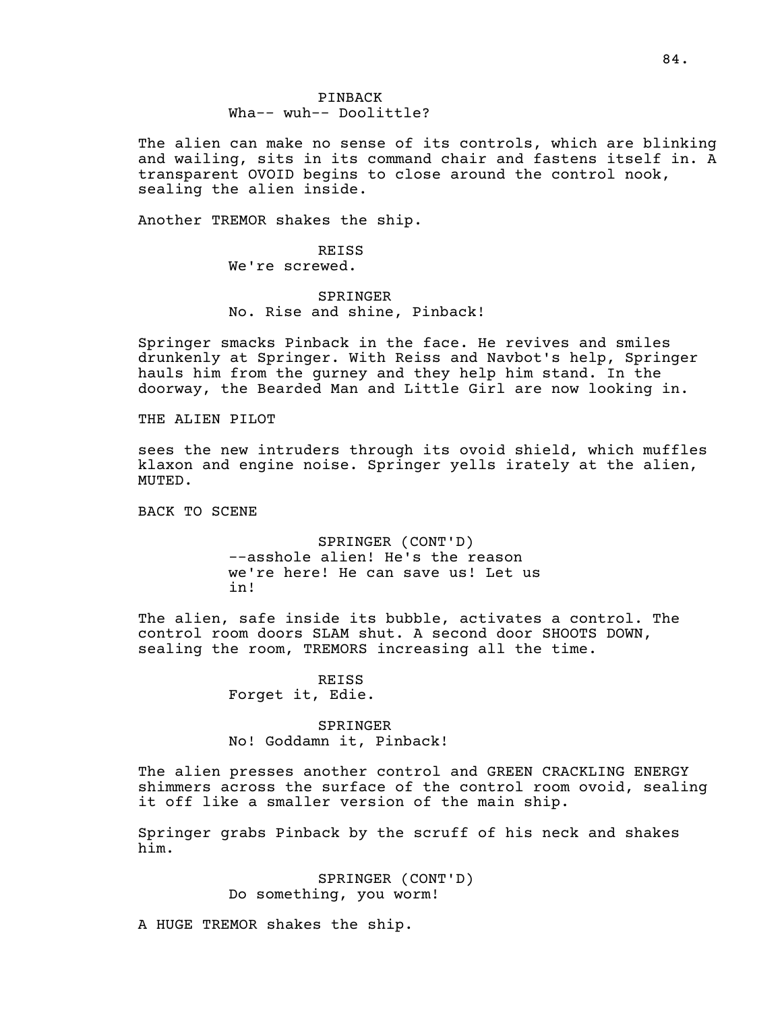PINBACK Wha-- wuh-- Doolittle?

The alien can make no sense of its controls, which are blinking and wailing, sits in its command chair and fastens itself in. A transparent OVOID begins to close around the control nook, sealing the alien inside.

Another TREMOR shakes the ship.

REISS We're screwed.

SPRINGER No. Rise and shine, Pinback!

Springer smacks Pinback in the face. He revives and smiles drunkenly at Springer. With Reiss and Navbot's help, Springer hauls him from the gurney and they help him stand. In the doorway, the Bearded Man and Little Girl are now looking in.

THE ALIEN PILOT

sees the new intruders through its ovoid shield, which muffles klaxon and engine noise. Springer yells irately at the alien, MUTED.

BACK TO SCENE

SPRINGER (CONT'D) --asshole alien! He's the reason we're here! He can save us! Let us in!

The alien, safe inside its bubble, activates a control. The control room doors SLAM shut. A second door SHOOTS DOWN, sealing the room, TREMORS increasing all the time.

> REISS Forget it, Edie.

SPRINGER No! Goddamn it, Pinback!

The alien presses another control and GREEN CRACKLING ENERGY shimmers across the surface of the control room ovoid, sealing it off like a smaller version of the main ship.

Springer grabs Pinback by the scruff of his neck and shakes him.

> SPRINGER (CONT'D) Do something, you worm!

A HUGE TREMOR shakes the ship.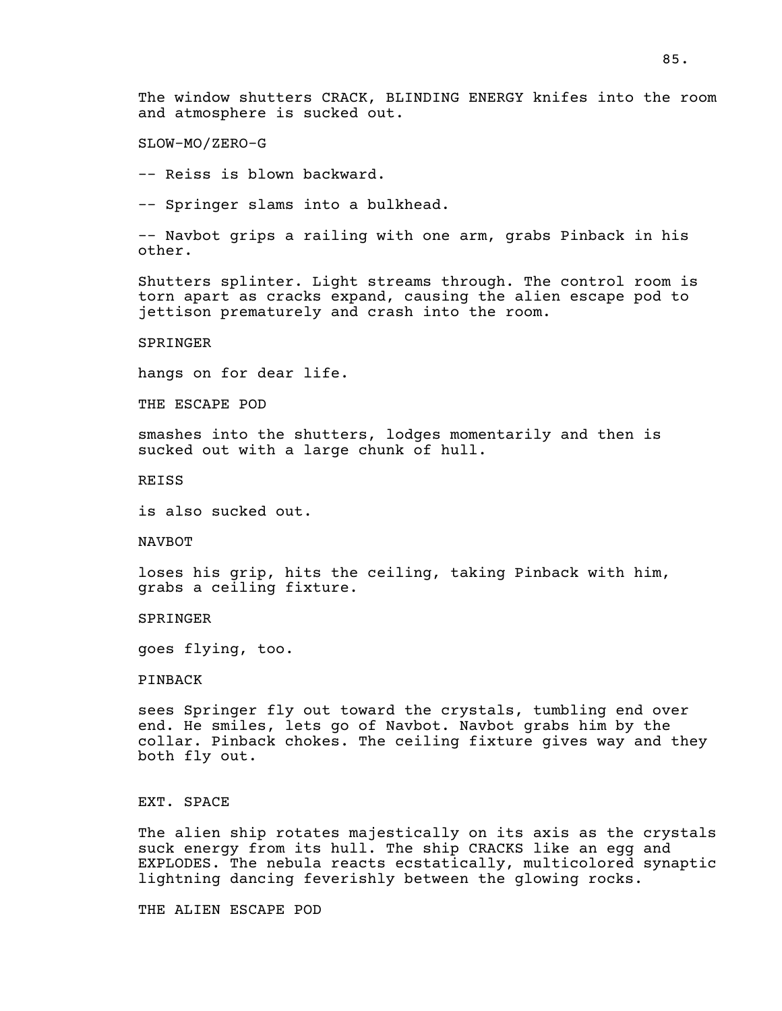The window shutters CRACK, BLINDING ENERGY knifes into the room and atmosphere is sucked out.

SLOW-MO/ZERO-G

-- Reiss is blown backward.

-- Springer slams into a bulkhead.

-- Navbot grips a railing with one arm, grabs Pinback in his other.

Shutters splinter. Light streams through. The control room is torn apart as cracks expand, causing the alien escape pod to jettison prematurely and crash into the room.

SPRINGER

hangs on for dear life.

THE ESCAPE POD

smashes into the shutters, lodges momentarily and then is sucked out with a large chunk of hull.

REISS

is also sucked out.

NAVBOT

loses his grip, hits the ceiling, taking Pinback with him, grabs a ceiling fixture.

SPRINGER

goes flying, too.

PINBACK

sees Springer fly out toward the crystals, tumbling end over end. He smiles, lets go of Navbot. Navbot grabs him by the collar. Pinback chokes. The ceiling fixture gives way and they both fly out.

EXT. SPACE

The alien ship rotates majestically on its axis as the crystals suck energy from its hull. The ship CRACKS like an egg and EXPLODES. The nebula reacts ecstatically, multicolored synaptic lightning dancing feverishly between the glowing rocks.

THE ALIEN ESCAPE POD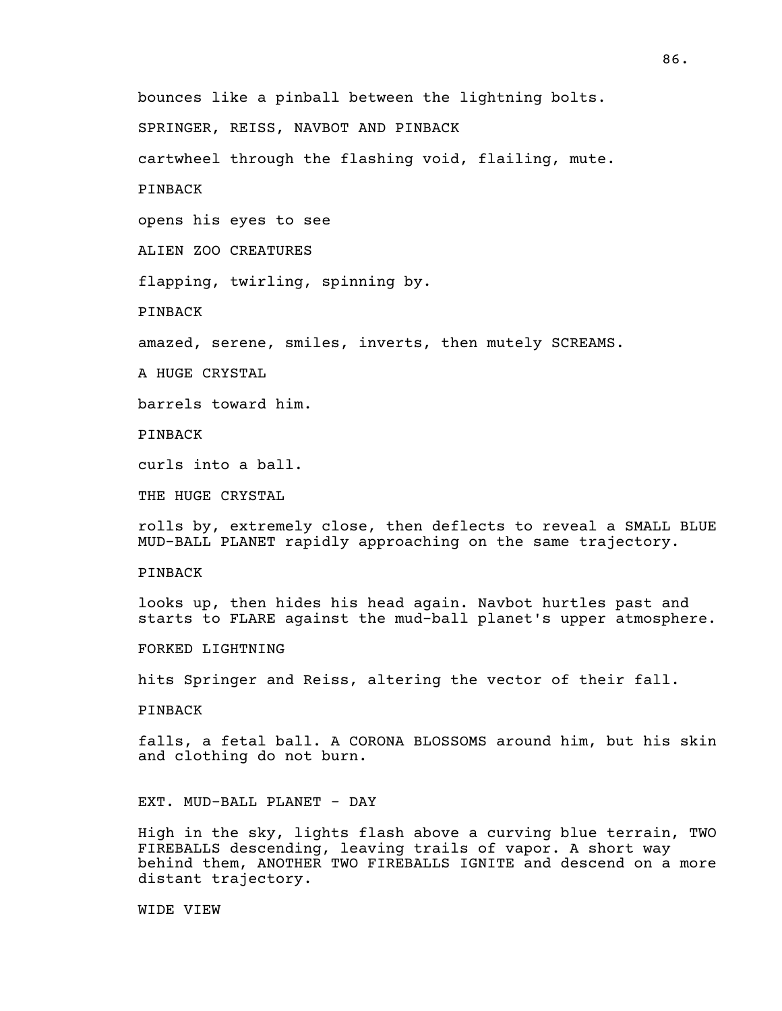bounces like a pinball between the lightning bolts. SPRINGER, REISS, NAVBOT AND PINBACK cartwheel through the flashing void, flailing, mute. PINBACK opens his eyes to see ALIEN ZOO CREATURES flapping, twirling, spinning by. PINBACK amazed, serene, smiles, inverts, then mutely SCREAMS.

A HUGE CRYSTAL

barrels toward him.

PINBACK

curls into a ball.

THE HUGE CRYSTAL

rolls by, extremely close, then deflects to reveal a SMALL BLUE MUD-BALL PLANET rapidly approaching on the same trajectory.

PINBACK

looks up, then hides his head again. Navbot hurtles past and starts to FLARE against the mud-ball planet's upper atmosphere.

FORKED LIGHTNING

hits Springer and Reiss, altering the vector of their fall.

PINBACK

falls, a fetal ball. A CORONA BLOSSOMS around him, but his skin and clothing do not burn.

EXT. MUD-BALL PLANET - DAY

High in the sky, lights flash above a curving blue terrain, TWO FIREBALLS descending, leaving trails of vapor. A short way behind them, ANOTHER TWO FIREBALLS IGNITE and descend on a more distant trajectory.

WIDE VIEW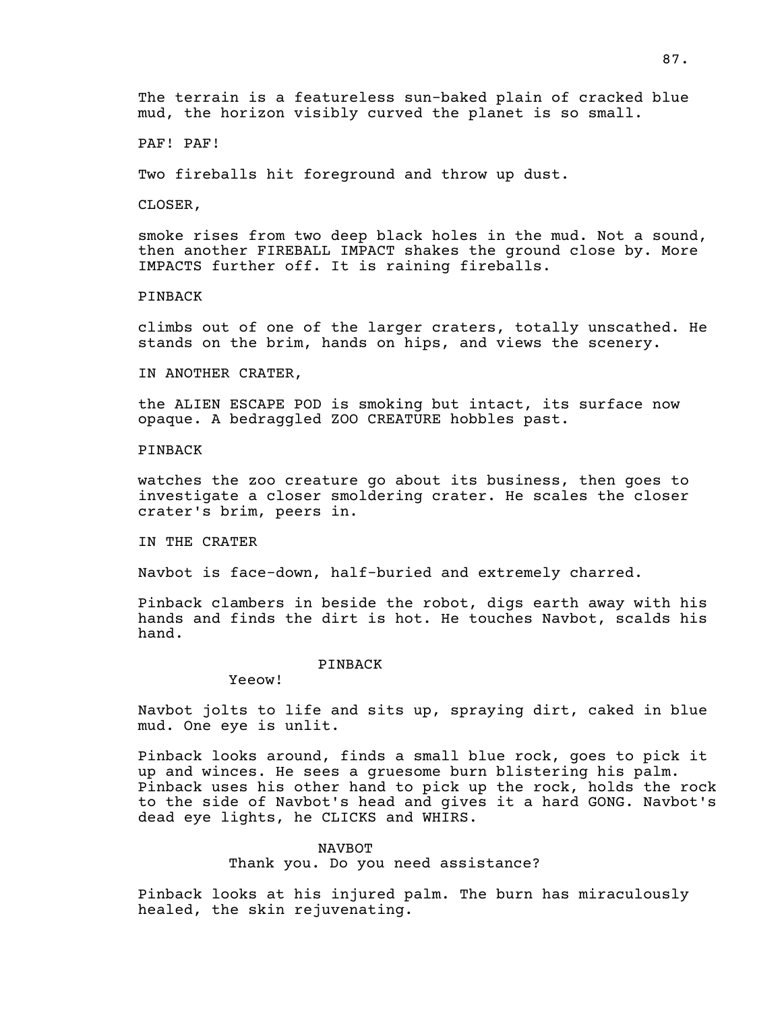PAF! PAF!

Two fireballs hit foreground and throw up dust.

CLOSER,

smoke rises from two deep black holes in the mud. Not a sound, then another FIREBALL IMPACT shakes the ground close by. More IMPACTS further off. It is raining fireballs.

PINBACK

climbs out of one of the larger craters, totally unscathed. He stands on the brim, hands on hips, and views the scenery.

IN ANOTHER CRATER,

the ALIEN ESCAPE POD is smoking but intact, its surface now opaque. A bedraggled ZOO CREATURE hobbles past.

PINBACK

watches the zoo creature go about its business, then goes to investigate a closer smoldering crater. He scales the closer crater's brim, peers in.

IN THE CRATER

Navbot is face-down, half-buried and extremely charred.

Pinback clambers in beside the robot, digs earth away with his hands and finds the dirt is hot. He touches Navbot, scalds his hand.

#### PINBACK

Yeeow!

Navbot jolts to life and sits up, spraying dirt, caked in blue mud. One eye is unlit.

Pinback looks around, finds a small blue rock, goes to pick it up and winces. He sees a gruesome burn blistering his palm. Pinback uses his other hand to pick up the rock, holds the rock to the side of Navbot's head and gives it a hard GONG. Navbot's dead eye lights, he CLICKS and WHIRS.

## NAVBOT

Thank you. Do you need assistance?

Pinback looks at his injured palm. The burn has miraculously healed, the skin rejuvenating.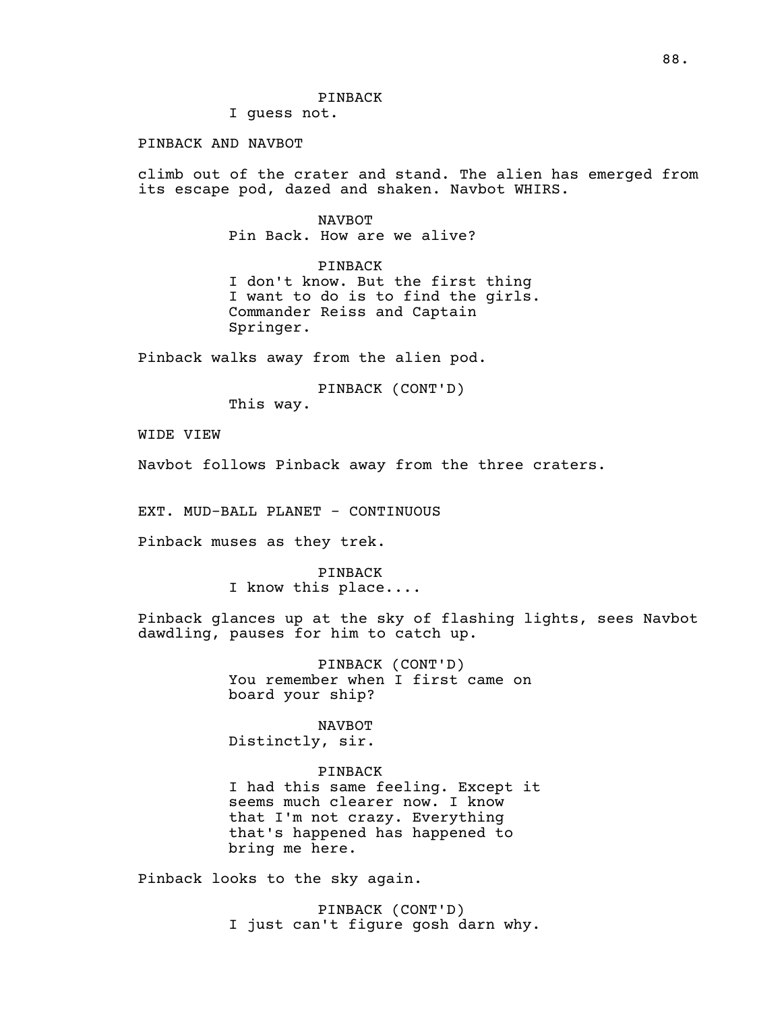I guess not.

PINBACK AND NAVBOT

climb out of the crater and stand. The alien has emerged from its escape pod, dazed and shaken. Navbot WHIRS.

## NAVBOT

Pin Back. How are we alive?

PINBACK I don't know. But the first thing I want to do is to find the girls. Commander Reiss and Captain Springer.

Pinback walks away from the alien pod.

PINBACK (CONT'D)

This way.

WIDE VIEW

Navbot follows Pinback away from the three craters.

EXT. MUD-BALL PLANET - CONTINUOUS

Pinback muses as they trek.

PINBACK I know this place....

Pinback glances up at the sky of flashing lights, sees Navbot dawdling, pauses for him to catch up.

> PINBACK (CONT'D) You remember when I first came on board your ship?

NAVBOT Distinctly, sir.

PINBACK

I had this same feeling. Except it seems much clearer now. I know that I'm not crazy. Everything that's happened has happened to bring me here.

Pinback looks to the sky again.

PINBACK (CONT'D) I just can't figure gosh darn why.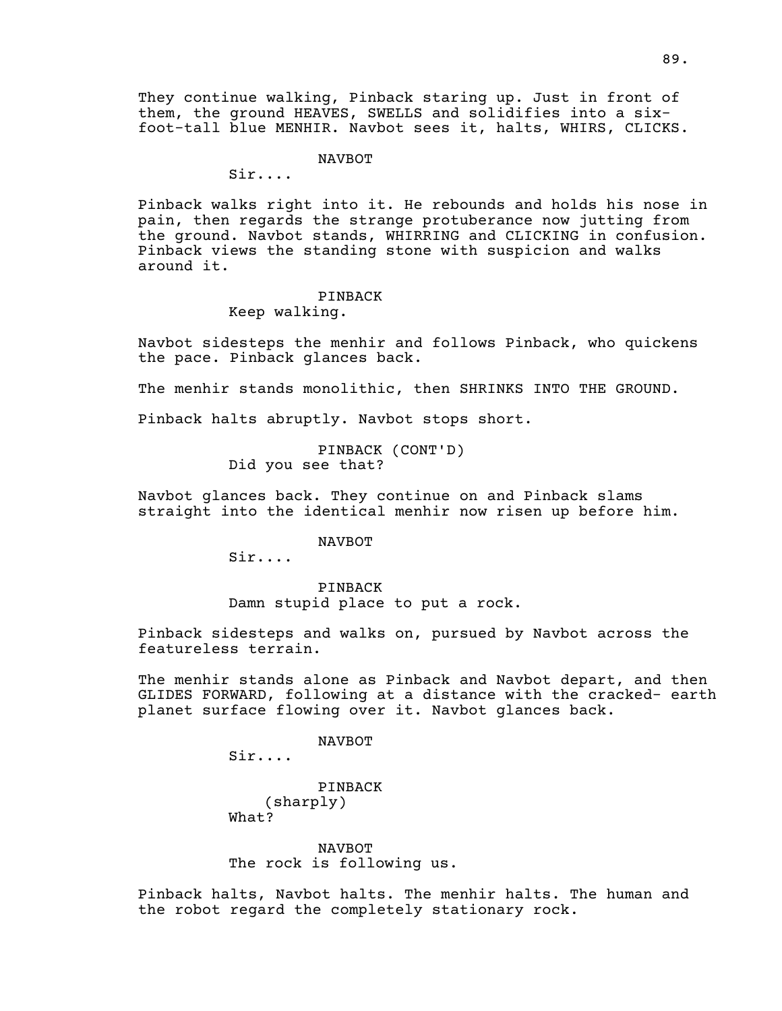They continue walking, Pinback staring up. Just in front of them, the ground HEAVES, SWELLS and solidifies into a sixfoot-tall blue MENHIR. Navbot sees it, halts, WHIRS, CLICKS.

NAVBOT

Sir....

Pinback walks right into it. He rebounds and holds his nose in pain, then regards the strange protuberance now jutting from the ground. Navbot stands, WHIRRING and CLICKING in confusion. Pinback views the standing stone with suspicion and walks around it.

#### PINBACK

Keep walking.

Navbot sidesteps the menhir and follows Pinback, who quickens the pace. Pinback glances back.

The menhir stands monolithic, then SHRINKS INTO THE GROUND.

Pinback halts abruptly. Navbot stops short.

PINBACK (CONT'D) Did you see that?

Navbot glances back. They continue on and Pinback slams straight into the identical menhir now risen up before him.

NAVBOT

Sir....

PINBACK Damn stupid place to put a rock.

Pinback sidesteps and walks on, pursued by Navbot across the featureless terrain.

The menhir stands alone as Pinback and Navbot depart, and then GLIDES FORWARD, following at a distance with the cracked- earth planet surface flowing over it. Navbot glances back.

NAVBOT

Sir....

PINBACK (sharply) What?

NAVBOT The rock is following us.

Pinback halts, Navbot halts. The menhir halts. The human and the robot regard the completely stationary rock.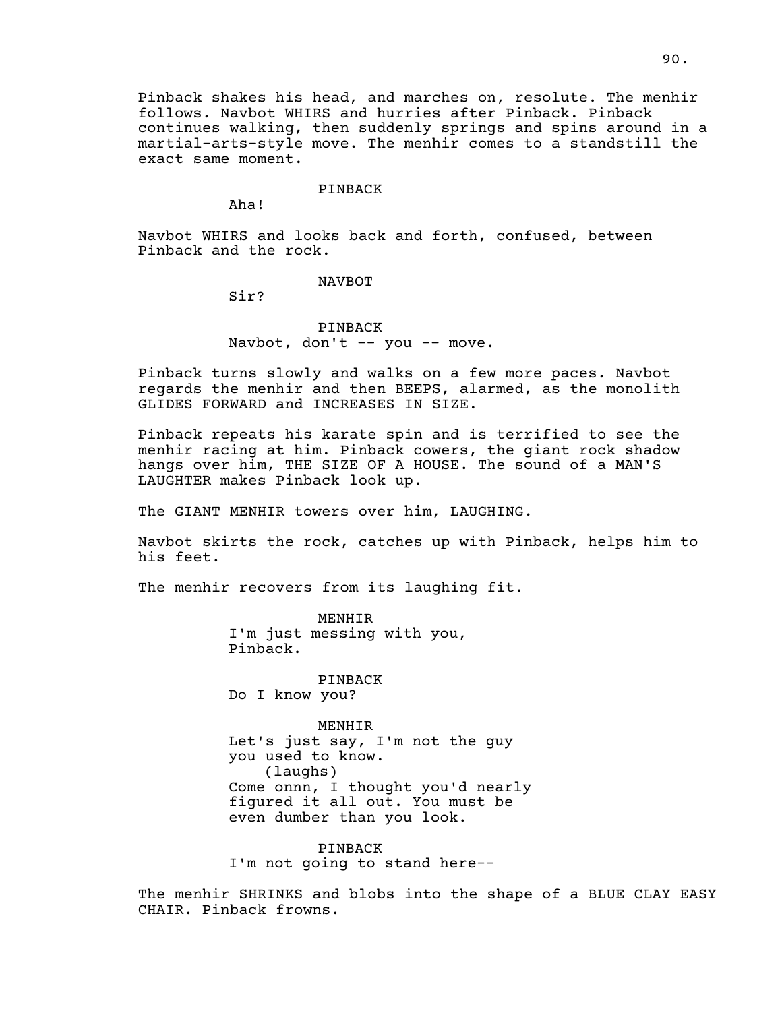Pinback shakes his head, and marches on, resolute. The menhir follows. Navbot WHIRS and hurries after Pinback. Pinback continues walking, then suddenly springs and spins around in a martial-arts-style move. The menhir comes to a standstill the exact same moment.

## PINBACK

Aha!

Navbot WHIRS and looks back and forth, confused, between Pinback and the rock.

# NAVBOT

Sir?

# PINBACK Navbot, don't -- you -- move.

Pinback turns slowly and walks on a few more paces. Navbot regards the menhir and then BEEPS, alarmed, as the monolith GLIDES FORWARD and INCREASES IN SIZE.

Pinback repeats his karate spin and is terrified to see the menhir racing at him. Pinback cowers, the giant rock shadow hangs over him, THE SIZE OF A HOUSE. The sound of a MAN'S LAUGHTER makes Pinback look up.

The GIANT MENHIR towers over him, LAUGHING.

Navbot skirts the rock, catches up with Pinback, helps him to his feet.

The menhir recovers from its laughing fit.

MENHIR I'm just messing with you, Pinback.

PINBACK Do I know you?

#### MENHIR

Let's just say, I'm not the guy you used to know. (laughs) Come onnn, I thought you'd nearly figured it all out. You must be even dumber than you look.

PINBACK I'm not going to stand here--

The menhir SHRINKS and blobs into the shape of a BLUE CLAY EASY CHAIR. Pinback frowns.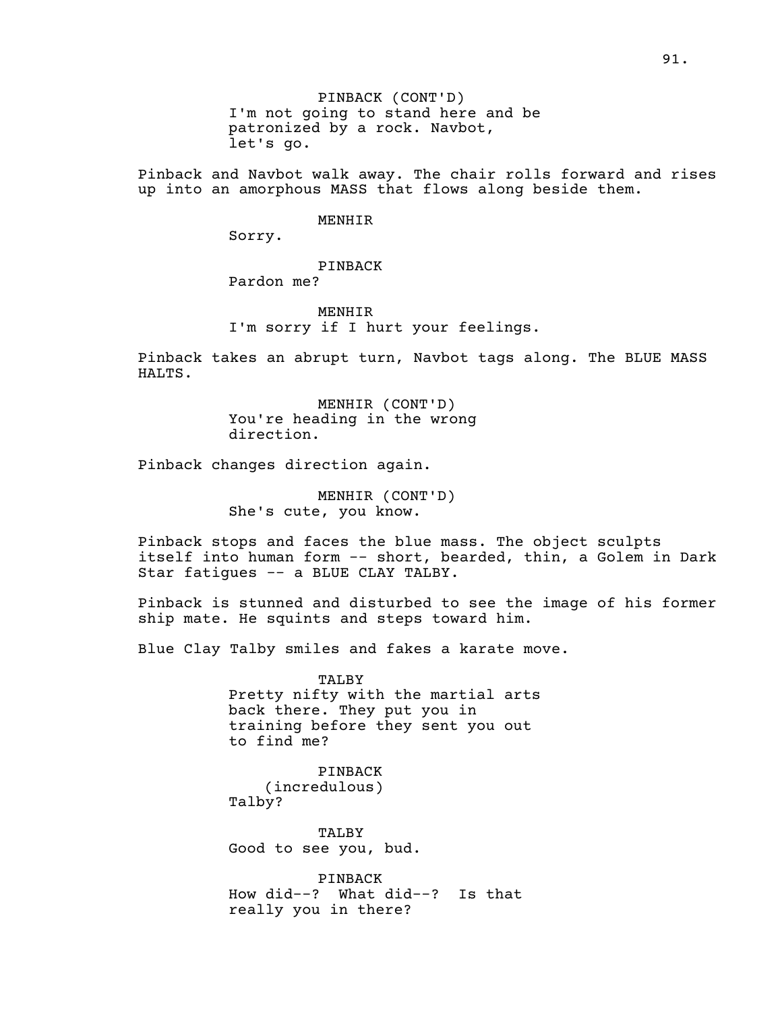PINBACK (CONT'D) I'm not going to stand here and be patronized by a rock. Navbot, let's go.

Pinback and Navbot walk away. The chair rolls forward and rises up into an amorphous MASS that flows along beside them.

#### MENHIR

Sorry.

## PINBACK

Pardon me?

MENHIR

I'm sorry if I hurt your feelings.

Pinback takes an abrupt turn, Navbot tags along. The BLUE MASS HALTS.

> MENHIR (CONT'D) You're heading in the wrong direction.

Pinback changes direction again.

MENHIR (CONT'D) She's cute, you know.

Pinback stops and faces the blue mass. The object sculpts itself into human form -- short, bearded, thin, a Golem in Dark Star fatigues -- a BLUE CLAY TALBY.

Pinback is stunned and disturbed to see the image of his former ship mate. He squints and steps toward him.

Blue Clay Talby smiles and fakes a karate move.

TALBY Pretty nifty with the martial arts back there. They put you in training before they sent you out to find me?

PINBACK (incredulous) Talby?

TALBY Good to see you, bud.

PINBACK How did--? What did--? Is that really you in there?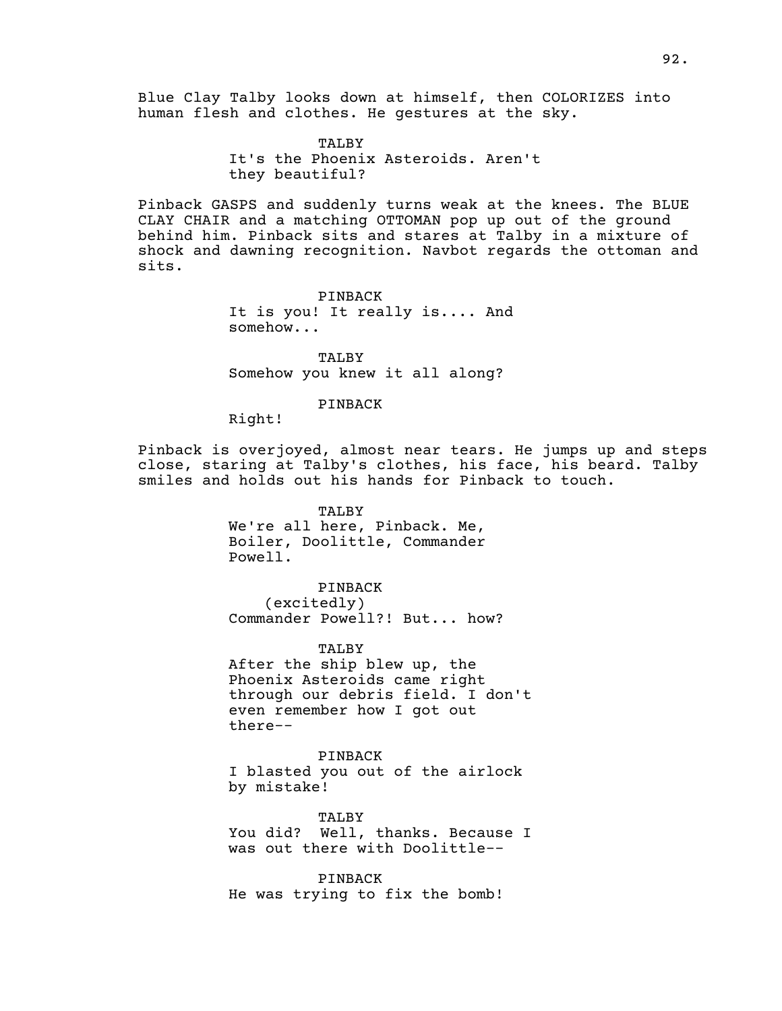Blue Clay Talby looks down at himself, then COLORIZES into human flesh and clothes. He gestures at the sky.

> TALBY It's the Phoenix Asteroids. Aren't they beautiful?

Pinback GASPS and suddenly turns weak at the knees. The BLUE CLAY CHAIR and a matching OTTOMAN pop up out of the ground behind him. Pinback sits and stares at Talby in a mixture of shock and dawning recognition. Navbot regards the ottoman and sits.

> PINBACK It is you! It really is.... And somehow...

TALBY Somehow you knew it all along?

PINBACK

Right!

Pinback is overjoyed, almost near tears. He jumps up and steps close, staring at Talby's clothes, his face, his beard. Talby smiles and holds out his hands for Pinback to touch.

> TALBY We're all here, Pinback. Me, Boiler, Doolittle, Commander Powell.

PINBACK (excitedly) Commander Powell?! But... how?

TALBY After the ship blew up, the Phoenix Asteroids came right through our debris field. I don't even remember how I got out there--

PINBACK I blasted you out of the airlock by mistake!

TALBY You did? Well, thanks. Because I was out there with Doolittle--

PINBACK He was trying to fix the bomb!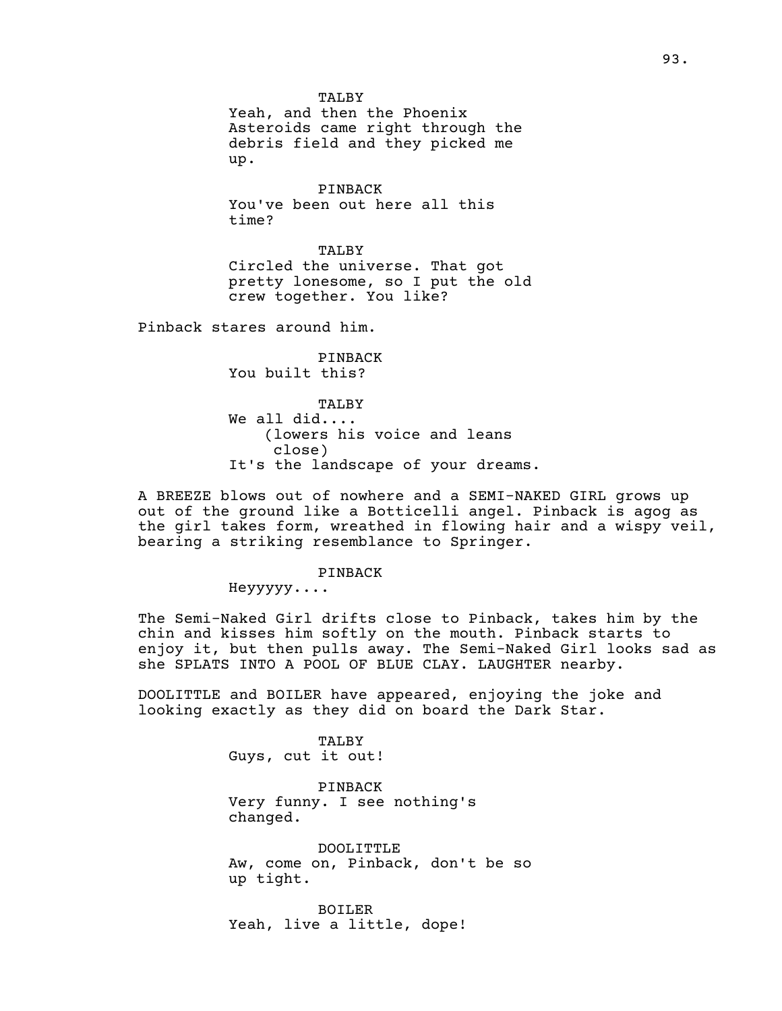TALBY Yeah, and then the Phoenix Asteroids came right through the debris field and they picked me up.

PINBACK You've been out here all this time?

TALBY Circled the universe. That got pretty lonesome, so I put the old crew together. You like?

Pinback stares around him.

PINBACK You built this?

TALBY We all did.... (lowers his voice and leans close) It's the landscape of your dreams.

A BREEZE blows out of nowhere and a SEMI-NAKED GIRL grows up out of the ground like a Botticelli angel. Pinback is agog as the girl takes form, wreathed in flowing hair and a wispy veil, bearing a striking resemblance to Springer.

#### PINBACK

Heyyyyy....

The Semi-Naked Girl drifts close to Pinback, takes him by the chin and kisses him softly on the mouth. Pinback starts to enjoy it, but then pulls away. The Semi-Naked Girl looks sad as she SPLATS INTO A POOL OF BLUE CLAY. LAUGHTER nearby.

DOOLITTLE and BOILER have appeared, enjoying the joke and looking exactly as they did on board the Dark Star.

> TALBY Guys, cut it out!

PINBACK Very funny. I see nothing's changed.

DOOLITTLE Aw, come on, Pinback, don't be so up tight.

BOILER Yeah, live a little, dope!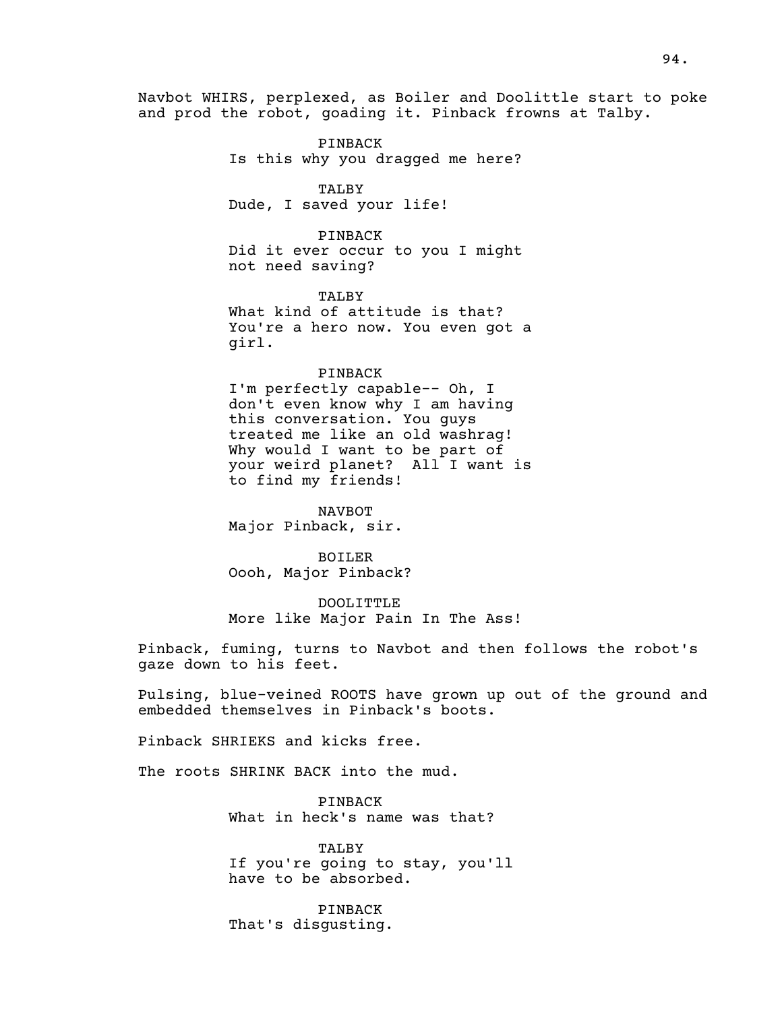Navbot WHIRS, perplexed, as Boiler and Doolittle start to poke and prod the robot, goading it. Pinback frowns at Talby.

> PINBACK Is this why you dragged me here?

TALBY Dude, I saved your life!

PINBACK Did it ever occur to you I might not need saving?

TALBY What kind of attitude is that? You're a hero now. You even got a girl.

#### PINBACK

I'm perfectly capable-- Oh, I don't even know why I am having this conversation. You guys treated me like an old washrag! Why would I want to be part of your weird planet? All I want is to find my friends!

NAVBOT Major Pinback, sir.

BOILER Oooh, Major Pinback?

DOOLITTLE More like Major Pain In The Ass!

Pinback, fuming, turns to Navbot and then follows the robot's gaze down to his feet.

Pulsing, blue-veined ROOTS have grown up out of the ground and embedded themselves in Pinback's boots.

Pinback SHRIEKS and kicks free.

The roots SHRINK BACK into the mud.

PINBACK What in heck's name was that?

TALBY If you're going to stay, you'll have to be absorbed.

PINBACK That's disgusting.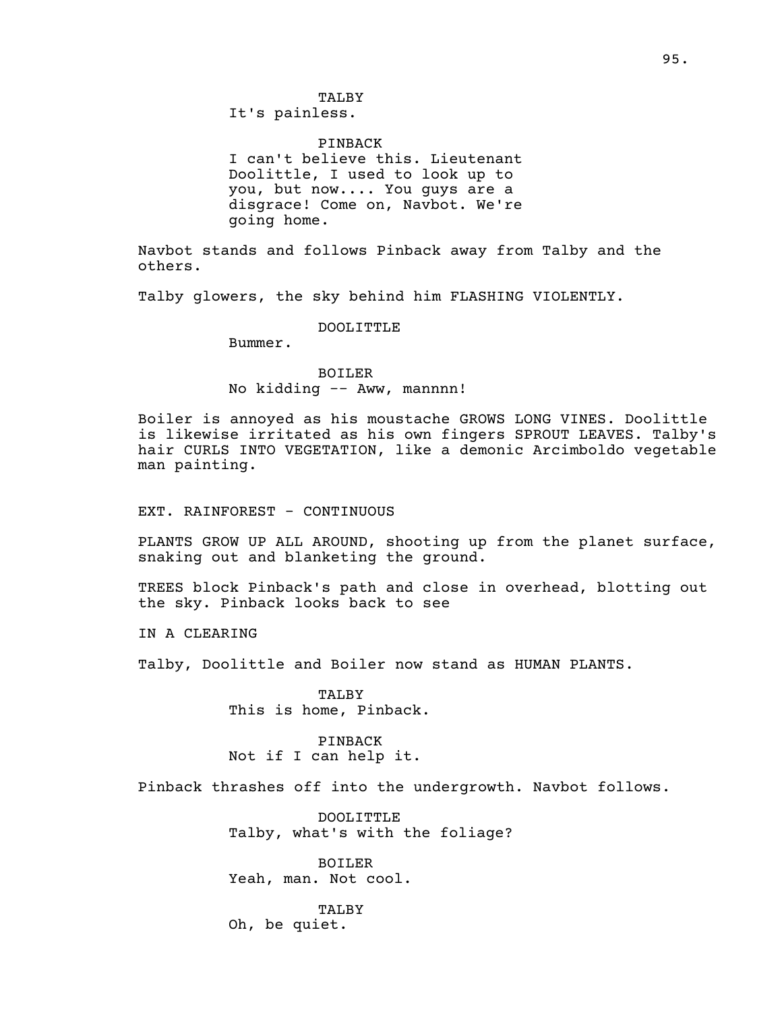TALBY

It's painless.

#### PINBACK

I can't believe this. Lieutenant Doolittle, I used to look up to you, but now.... You guys are a disgrace! Come on, Navbot. We're going home.

Navbot stands and follows Pinback away from Talby and the others.

Talby glowers, the sky behind him FLASHING VIOLENTLY.

DOOLITTLE

Bummer.

# BOILER No kidding -- Aww, mannnn!

Boiler is annoyed as his moustache GROWS LONG VINES. Doolittle is likewise irritated as his own fingers SPROUT LEAVES. Talby's hair CURLS INTO VEGETATION, like a demonic Arcimboldo vegetable man painting.

EXT. RAINFOREST - CONTINUOUS

PLANTS GROW UP ALL AROUND, shooting up from the planet surface, snaking out and blanketing the ground.

TREES block Pinback's path and close in overhead, blotting out the sky. Pinback looks back to see

IN A CLEARING

Talby, Doolittle and Boiler now stand as HUMAN PLANTS.

TALBY This is home, Pinback.

PINBACK Not if I can help it.

Pinback thrashes off into the undergrowth. Navbot follows.

DOOLITTLE Talby, what's with the foliage?

BOILER Yeah, man. Not cool.

TALBY Oh, be quiet.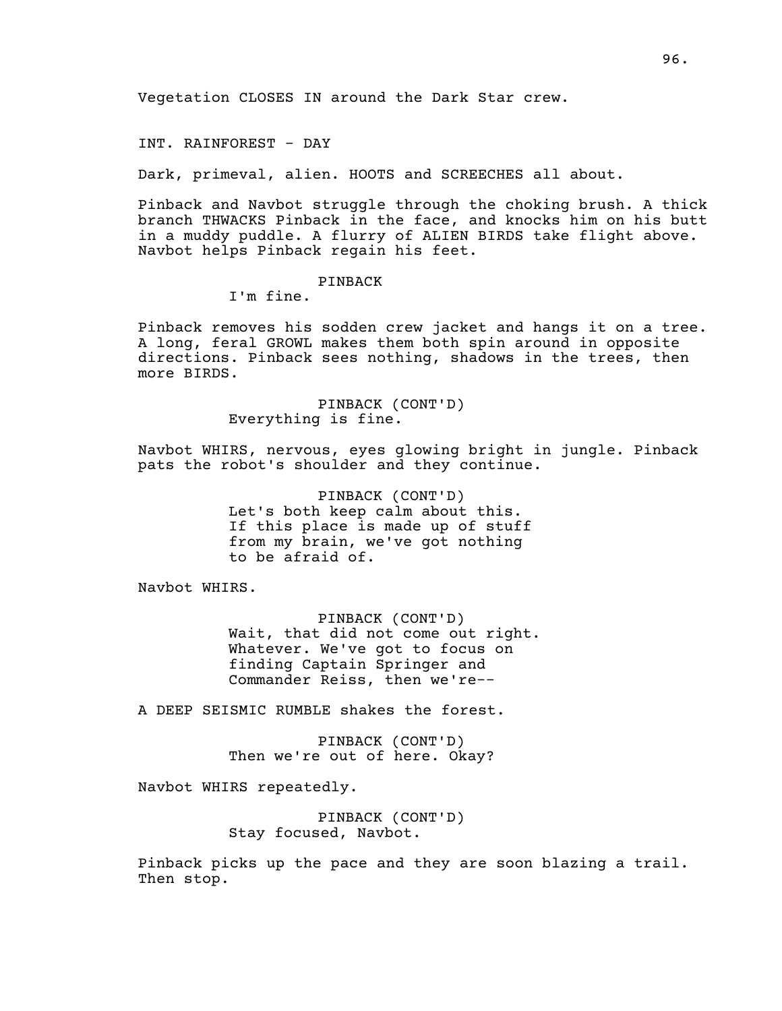INT. RAINFOREST - DAY

Dark, primeval, alien. HOOTS and SCREECHES all about.

Pinback and Navbot struggle through the choking brush. A thick branch THWACKS Pinback in the face, and knocks him on his butt in a muddy puddle. A flurry of ALIEN BIRDS take flight above. Navbot helps Pinback regain his feet.

# PINBACK

I'm fine.

Pinback removes his sodden crew jacket and hangs it on a tree. A long, feral GROWL makes them both spin around in opposite directions. Pinback sees nothing, shadows in the trees, then more BIRDS.

> PINBACK (CONT'D) Everything is fine.

Navbot WHIRS, nervous, eyes glowing bright in jungle. Pinback pats the robot's shoulder and they continue.

> PINBACK (CONT'D) Let's both keep calm about this. If this place is made up of stuff from my brain, we've got nothing to be afraid of.

Navbot WHIRS.

PINBACK (CONT'D) Wait, that did not come out right. Whatever. We've got to focus on finding Captain Springer and Commander Reiss, then we're--

A DEEP SEISMIC RUMBLE shakes the forest.

PINBACK (CONT'D) Then we're out of here. Okay?

Navbot WHIRS repeatedly.

PINBACK (CONT'D) Stay focused, Navbot.

Pinback picks up the pace and they are soon blazing a trail. Then stop.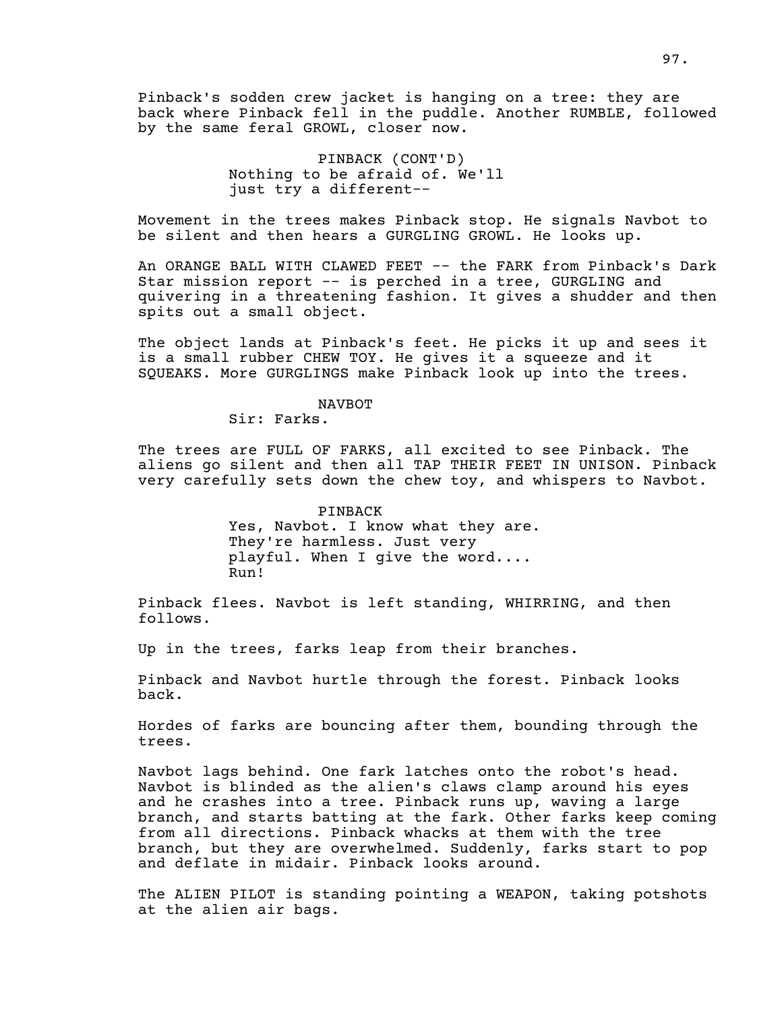Pinback's sodden crew jacket is hanging on a tree: they are back where Pinback fell in the puddle. Another RUMBLE, followed by the same feral GROWL, closer now.

> PINBACK (CONT'D) Nothing to be afraid of. We'll just try a different--

Movement in the trees makes Pinback stop. He signals Navbot to be silent and then hears a GURGLING GROWL. He looks up.

An ORANGE BALL WITH CLAWED FEET -- the FARK from Pinback's Dark Star mission report -- is perched in a tree, GURGLING and quivering in a threatening fashion. It gives a shudder and then spits out a small object.

The object lands at Pinback's feet. He picks it up and sees it is a small rubber CHEW TOY. He gives it a squeeze and it SQUEAKS. More GURGLINGS make Pinback look up into the trees.

#### NAVBOT

Sir: Farks.

The trees are FULL OF FARKS, all excited to see Pinback. The aliens go silent and then all TAP THEIR FEET IN UNISON. Pinback very carefully sets down the chew toy, and whispers to Navbot.

> PINBACK Yes, Navbot. I know what they are. They're harmless. Just very playful. When I give the word.... Run!

Pinback flees. Navbot is left standing, WHIRRING, and then follows.

Up in the trees, farks leap from their branches.

Pinback and Navbot hurtle through the forest. Pinback looks back.

Hordes of farks are bouncing after them, bounding through the trees.

Navbot lags behind. One fark latches onto the robot's head. Navbot is blinded as the alien's claws clamp around his eyes and he crashes into a tree. Pinback runs up, waving a large branch, and starts batting at the fark. Other farks keep coming from all directions. Pinback whacks at them with the tree branch, but they are overwhelmed. Suddenly, farks start to pop and deflate in midair. Pinback looks around.

The ALIEN PILOT is standing pointing a WEAPON, taking potshots at the alien air bags.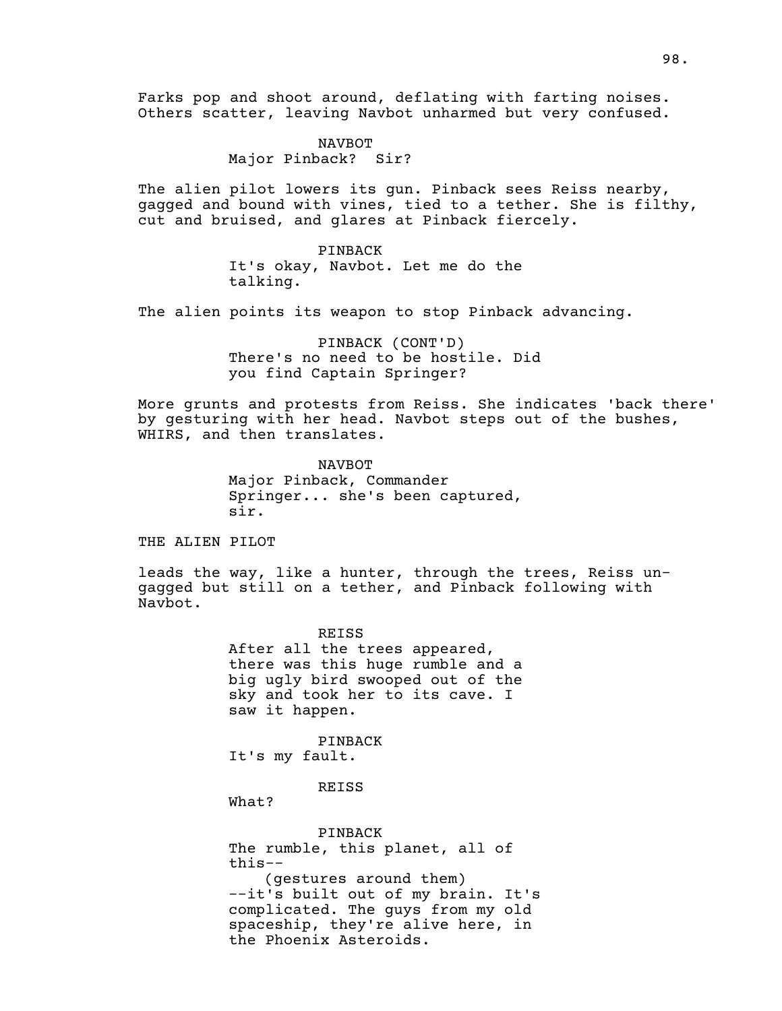Farks pop and shoot around, deflating with farting noises. Others scatter, leaving Navbot unharmed but very confused.

> NAVBOT Major Pinback? Sir?

The alien pilot lowers its gun. Pinback sees Reiss nearby, gagged and bound with vines, tied to a tether. She is filthy, cut and bruised, and glares at Pinback fiercely.

> PINBACK It's okay, Navbot. Let me do the talking.

The alien points its weapon to stop Pinback advancing.

PINBACK (CONT'D) There's no need to be hostile. Did you find Captain Springer?

More grunts and protests from Reiss. She indicates 'back there' by gesturing with her head. Navbot steps out of the bushes, WHIRS, and then translates.

> NAVBOT Major Pinback, Commander Springer... she's been captured, sir.

THE ALIEN PILOT

leads the way, like a hunter, through the trees, Reiss ungagged but still on a tether, and Pinback following with Navbot.

> REISS After all the trees appeared, there was this huge rumble and a big ugly bird swooped out of the sky and took her to its cave. I saw it happen.

PINBACK It's my fault.

REISS

What?

PINBACK The rumble, this planet, all of this-- (gestures around them) --it's built out of my brain. It's complicated. The guys from my old spaceship, they're alive here, in the Phoenix Asteroids.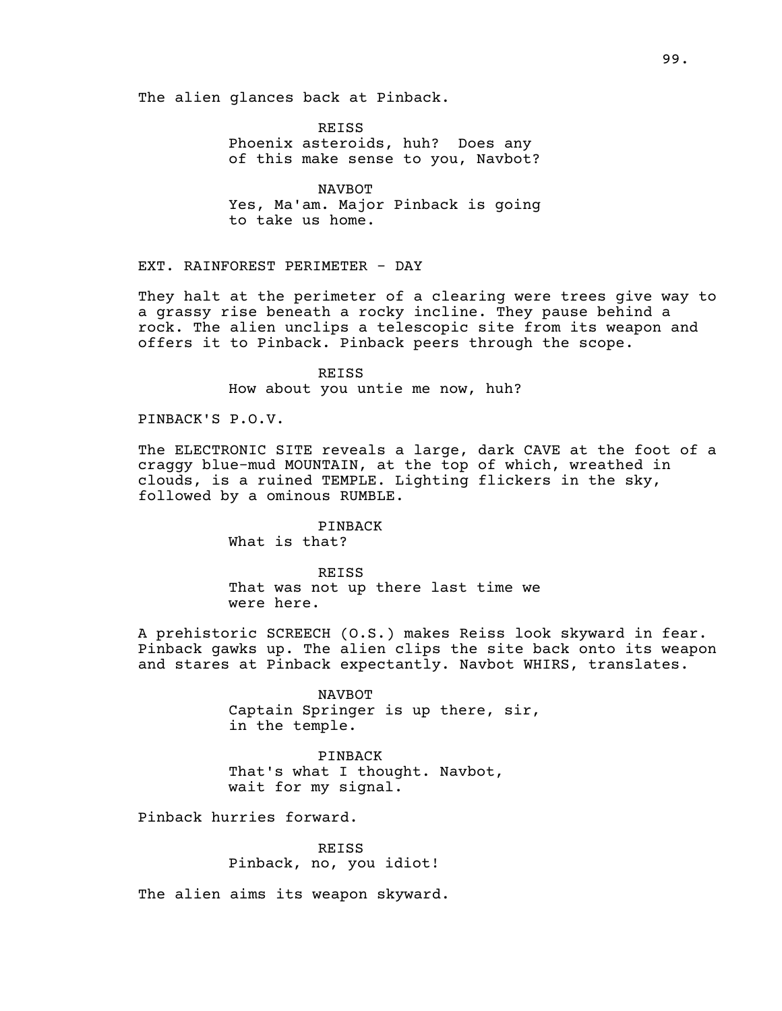The alien glances back at Pinback.

REISS Phoenix asteroids, huh? Does any of this make sense to you, Navbot?

NAVBOT Yes, Ma'am. Major Pinback is going to take us home.

EXT. RAINFOREST PERIMETER - DAY

They halt at the perimeter of a clearing were trees give way to a grassy rise beneath a rocky incline. They pause behind a rock. The alien unclips a telescopic site from its weapon and offers it to Pinback. Pinback peers through the scope.

> REISS How about you untie me now, huh?

PINBACK'S P.O.V.

The ELECTRONIC SITE reveals a large, dark CAVE at the foot of a craggy blue-mud MOUNTAIN, at the top of which, wreathed in clouds, is a ruined TEMPLE. Lighting flickers in the sky, followed by a ominous RUMBLE.

> PINBACK What is that?

REISS That was not up there last time we were here.

A prehistoric SCREECH (O.S.) makes Reiss look skyward in fear. Pinback gawks up. The alien clips the site back onto its weapon and stares at Pinback expectantly. Navbot WHIRS, translates.

> NAVBOT Captain Springer is up there, sir, in the temple.

PINBACK That's what I thought. Navbot, wait for my signal.

Pinback hurries forward.

REISS

Pinback, no, you idiot!

The alien aims its weapon skyward.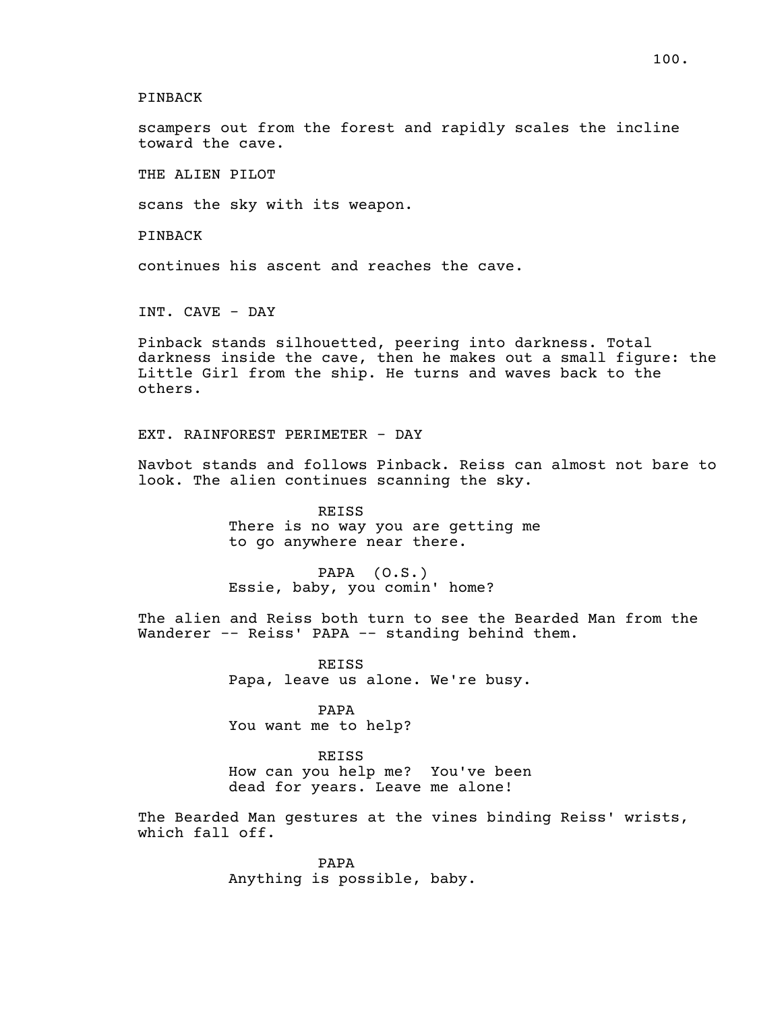PINBACK

scampers out from the forest and rapidly scales the incline toward the cave.

THE ALIEN PILOT

scans the sky with its weapon.

PINBACK

continues his ascent and reaches the cave.

INT. CAVE - DAY

Pinback stands silhouetted, peering into darkness. Total darkness inside the cave, then he makes out a small figure: the Little Girl from the ship. He turns and waves back to the others.

EXT. RAINFOREST PERIMETER - DAY

Navbot stands and follows Pinback. Reiss can almost not bare to look. The alien continues scanning the sky.

> REISS There is no way you are getting me to go anywhere near there.

PAPA (O.S.) Essie, baby, you comin' home?

The alien and Reiss both turn to see the Bearded Man from the Wanderer -- Reiss' PAPA -- standing behind them.

> REISS Papa, leave us alone. We're busy.

> > PAPA

You want me to help?

REISS How can you help me? You've been dead for years. Leave me alone!

The Bearded Man gestures at the vines binding Reiss' wrists, which fall off.

> PAPA Anything is possible, baby.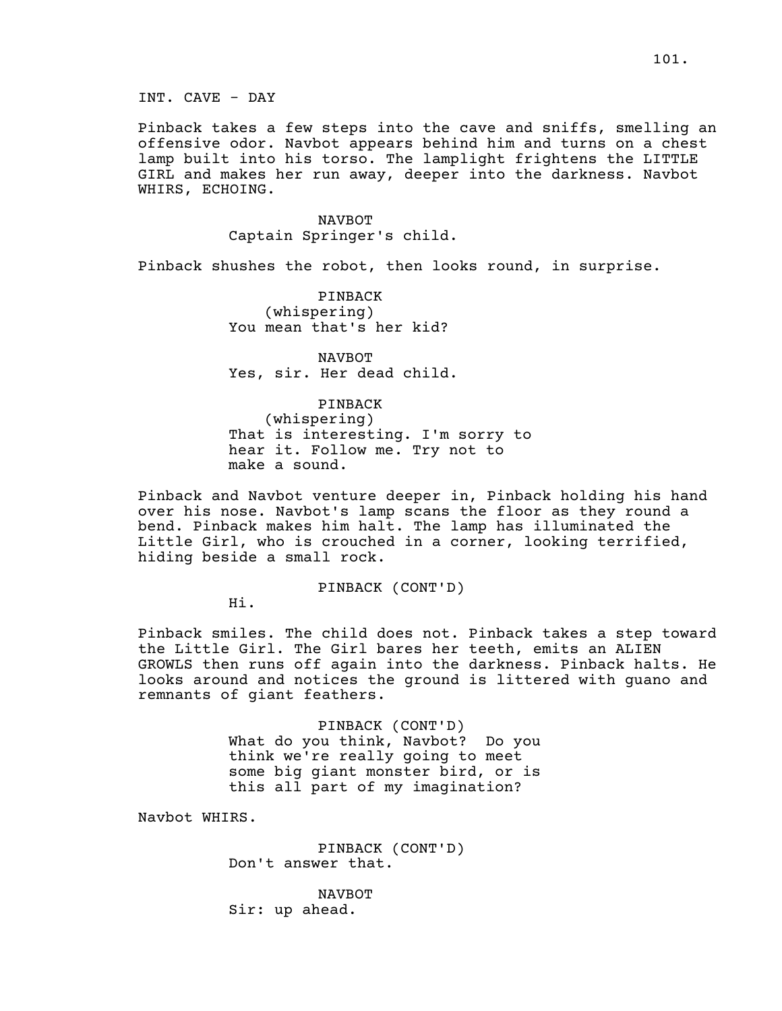INT. CAVE - DAY

Pinback takes a few steps into the cave and sniffs, smelling an offensive odor. Navbot appears behind him and turns on a chest lamp built into his torso. The lamplight frightens the LITTLE GIRL and makes her run away, deeper into the darkness. Navbot WHIRS, ECHOING.

# NAVBOT Captain Springer's child.

Pinback shushes the robot, then looks round, in surprise.

PINBACK (whispering) You mean that's her kid?

NAVBOT Yes, sir. Her dead child.

## PINBACK

(whispering) That is interesting. I'm sorry to hear it. Follow me. Try not to make a sound.

Pinback and Navbot venture deeper in, Pinback holding his hand over his nose. Navbot's lamp scans the floor as they round a bend. Pinback makes him halt. The lamp has illuminated the Little Girl, who is crouched in a corner, looking terrified, hiding beside a small rock.

PINBACK (CONT'D)

Hi.

Pinback smiles. The child does not. Pinback takes a step toward the Little Girl. The Girl bares her teeth, emits an ALIEN GROWLS then runs off again into the darkness. Pinback halts. He looks around and notices the ground is littered with guano and remnants of giant feathers.

> PINBACK (CONT'D) What do you think, Navbot? Do you think we're really going to meet some big giant monster bird, or is this all part of my imagination?

Navbot WHIRS.

PINBACK (CONT'D) Don't answer that.

NAVBOT Sir: up ahead.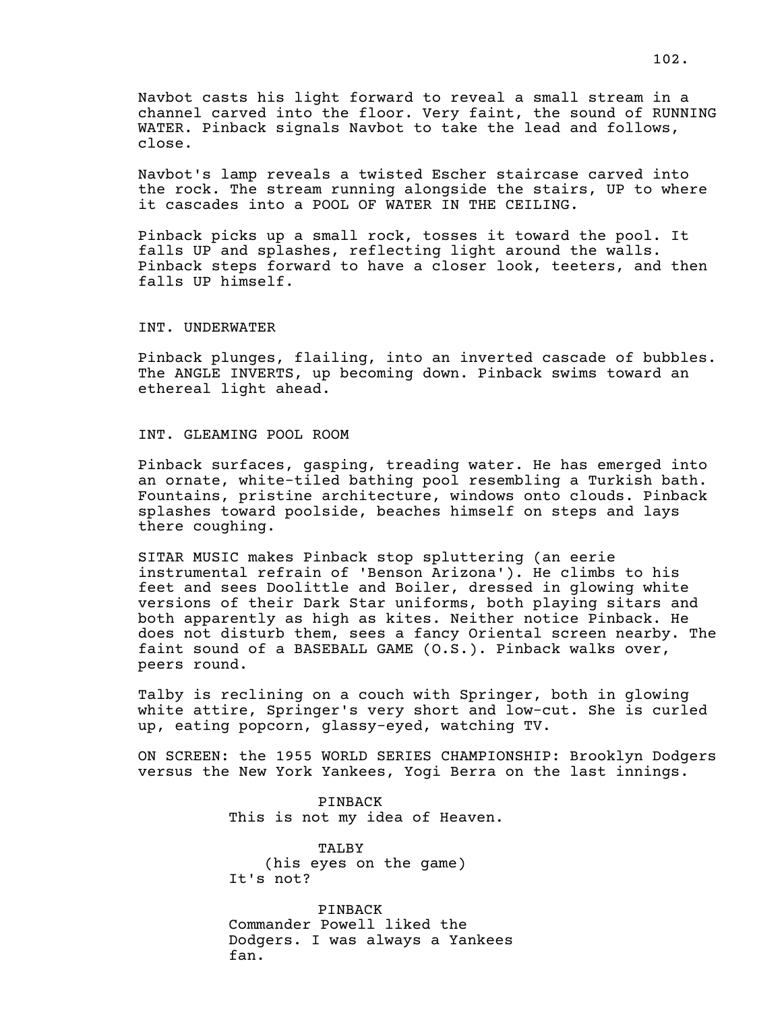Navbot casts his light forward to reveal a small stream in a channel carved into the floor. Very faint, the sound of RUNNING WATER. Pinback signals Navbot to take the lead and follows, close.

Navbot's lamp reveals a twisted Escher staircase carved into the rock. The stream running alongside the stairs, UP to where it cascades into a POOL OF WATER IN THE CEILING.

Pinback picks up a small rock, tosses it toward the pool. It falls UP and splashes, reflecting light around the walls. Pinback steps forward to have a closer look, teeters, and then falls UP himself.

#### INT. UNDERWATER

Pinback plunges, flailing, into an inverted cascade of bubbles. The ANGLE INVERTS, up becoming down. Pinback swims toward an ethereal light ahead.

## INT. GLEAMING POOL ROOM

Pinback surfaces, gasping, treading water. He has emerged into an ornate, white-tiled bathing pool resembling a Turkish bath. Fountains, pristine architecture, windows onto clouds. Pinback splashes toward poolside, beaches himself on steps and lays there coughing.

SITAR MUSIC makes Pinback stop spluttering (an eerie instrumental refrain of 'Benson Arizona'). He climbs to his feet and sees Doolittle and Boiler, dressed in glowing white versions of their Dark Star uniforms, both playing sitars and both apparently as high as kites. Neither notice Pinback. He does not disturb them, sees a fancy Oriental screen nearby. The faint sound of a BASEBALL GAME (O.S.). Pinback walks over, peers round.

Talby is reclining on a couch with Springer, both in glowing white attire, Springer's very short and low-cut. She is curled up, eating popcorn, glassy-eyed, watching TV.

ON SCREEN: the 1955 WORLD SERIES CHAMPIONSHIP: Brooklyn Dodgers versus the New York Yankees, Yogi Berra on the last innings.

> PINBACK This is not my idea of Heaven.

TALBY (his eyes on the game) It's not?

PINBACK Commander Powell liked the Dodgers. I was always a Yankees fan.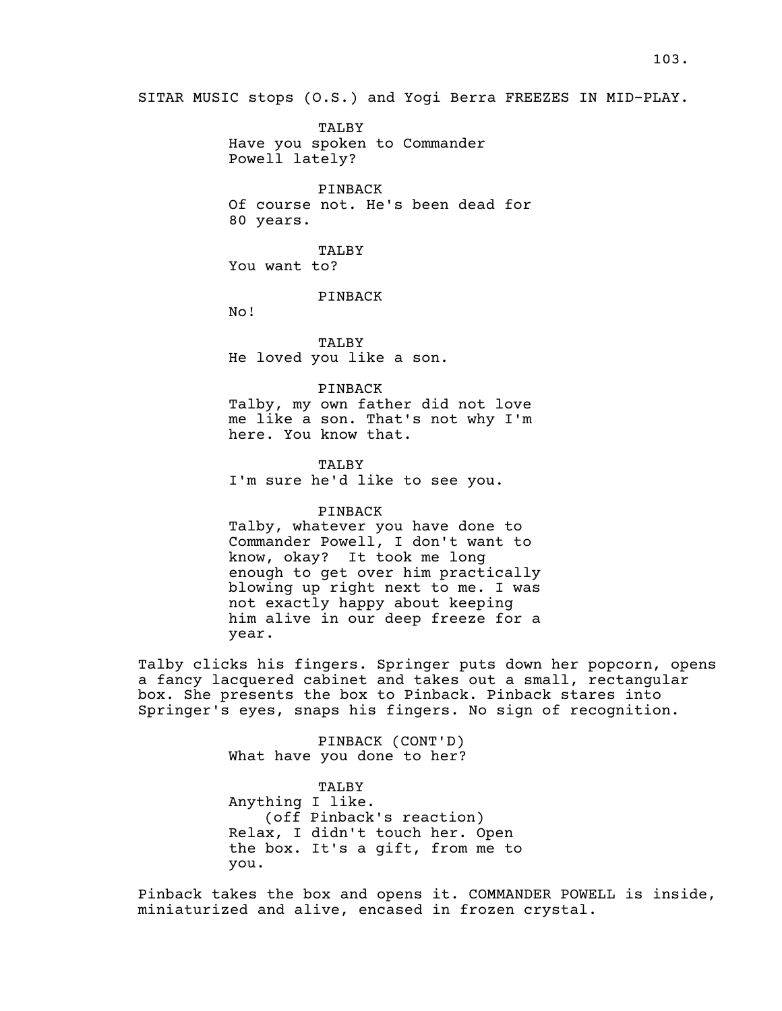SITAR MUSIC stops (O.S.) and Yogi Berra FREEZES IN MID-PLAY.

TALBY Have you spoken to Commander Powell lately?

PINBACK Of course not. He's been dead for 80 years.

TALBY You want to?

PINBACK

No!

TALBY He loved you like a son.

PINBACK

Talby, my own father did not love me like a son. That's not why I'm here. You know that.

TALBY I'm sure he'd like to see you.

#### PINBACK

Talby, whatever you have done to Commander Powell, I don't want to know, okay? It took me long enough to get over him practically blowing up right next to me. I was not exactly happy about keeping him alive in our deep freeze for a year.

Talby clicks his fingers. Springer puts down her popcorn, opens a fancy lacquered cabinet and takes out a small, rectangular box. She presents the box to Pinback. Pinback stares into Springer's eyes, snaps his fingers. No sign of recognition.

> PINBACK (CONT'D) What have you done to her?

TALBY Anything I like. (off Pinback's reaction) Relax, I didn't touch her. Open the box. It's a gift, from me to you.

Pinback takes the box and opens it. COMMANDER POWELL is inside, miniaturized and alive, encased in frozen crystal.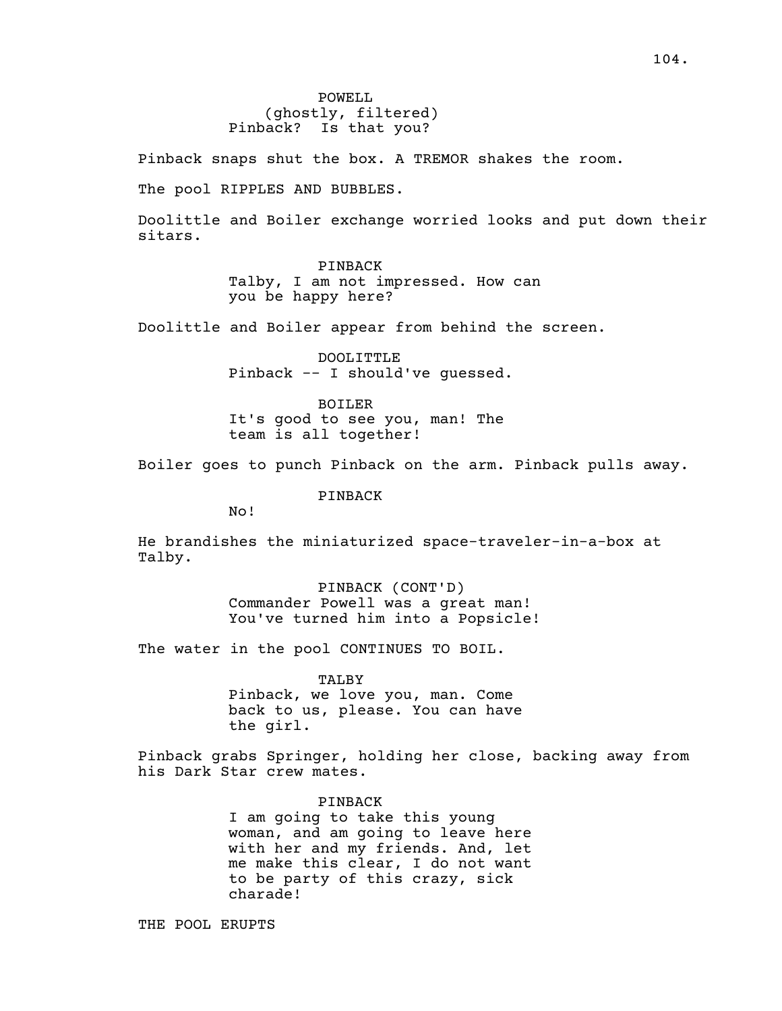POWELL (ghostly, filtered) Pinback? Is that you?

Pinback snaps shut the box. A TREMOR shakes the room.

The pool RIPPLES AND BUBBLES.

Doolittle and Boiler exchange worried looks and put down their sitars.

> PINBACK Talby, I am not impressed. How can you be happy here?

Doolittle and Boiler appear from behind the screen.

DOOLITTLE Pinback -- I should've guessed.

BOILER It's good to see you, man! The team is all together!

Boiler goes to punch Pinback on the arm. Pinback pulls away.

PINBACK

No!

He brandishes the miniaturized space-traveler-in-a-box at Talby.

> PINBACK (CONT'D) Commander Powell was a great man! You've turned him into a Popsicle!

The water in the pool CONTINUES TO BOIL.

TALBY Pinback, we love you, man. Come back to us, please. You can have the girl.

Pinback grabs Springer, holding her close, backing away from his Dark Star crew mates.

> PINBACK I am going to take this young woman, and am going to leave here with her and my friends. And, let me make this clear, I do not want to be party of this crazy, sick charade!

THE POOL ERUPTS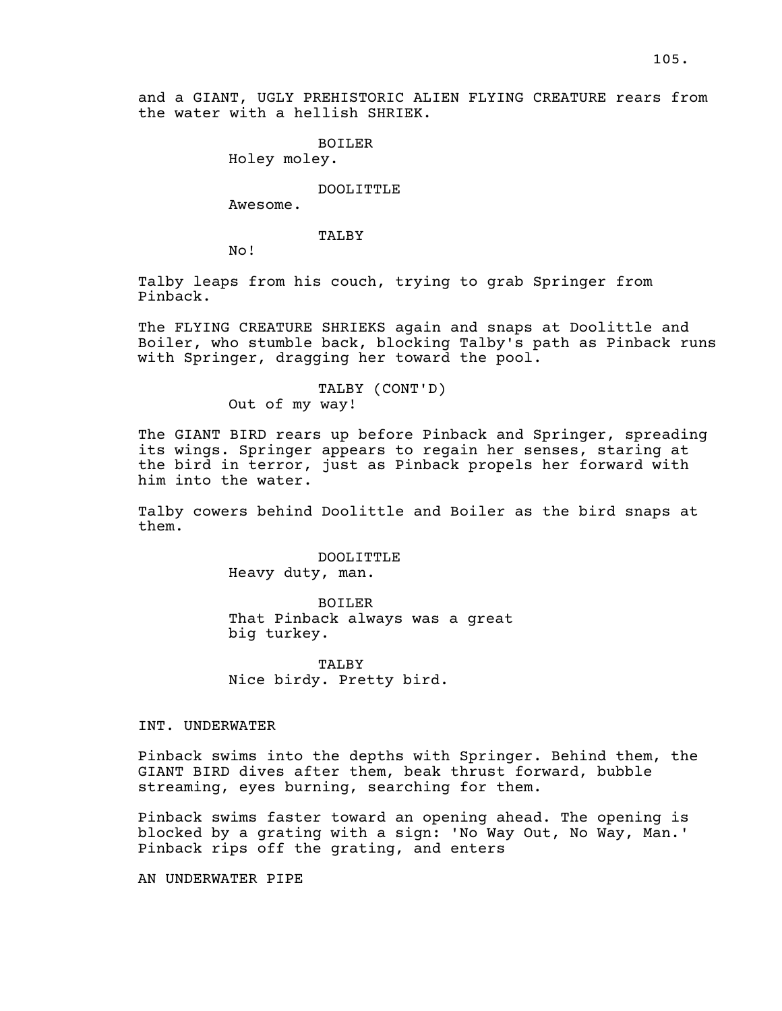and a GIANT, UGLY PREHISTORIC ALIEN FLYING CREATURE rears from the water with a hellish SHRIEK.

#### BOILER

Holey moley.

# DOOLITTLE

Awesome.

## TALBY

No!

Talby leaps from his couch, trying to grab Springer from Pinback.

The FLYING CREATURE SHRIEKS again and snaps at Doolittle and Boiler, who stumble back, blocking Talby's path as Pinback runs with Springer, dragging her toward the pool.

# TALBY (CONT'D) Out of my way!

The GIANT BIRD rears up before Pinback and Springer, spreading its wings. Springer appears to regain her senses, staring at the bird in terror, just as Pinback propels her forward with him into the water.

Talby cowers behind Doolittle and Boiler as the bird snaps at them.

> DOOLITTLE Heavy duty, man.

BOILER That Pinback always was a great big turkey.

TALBY Nice birdy. Pretty bird.

INT. UNDERWATER

Pinback swims into the depths with Springer. Behind them, the GIANT BIRD dives after them, beak thrust forward, bubble streaming, eyes burning, searching for them.

Pinback swims faster toward an opening ahead. The opening is blocked by a grating with a sign: 'No Way Out, No Way, Man.' Pinback rips off the grating, and enters

AN UNDERWATER PIPE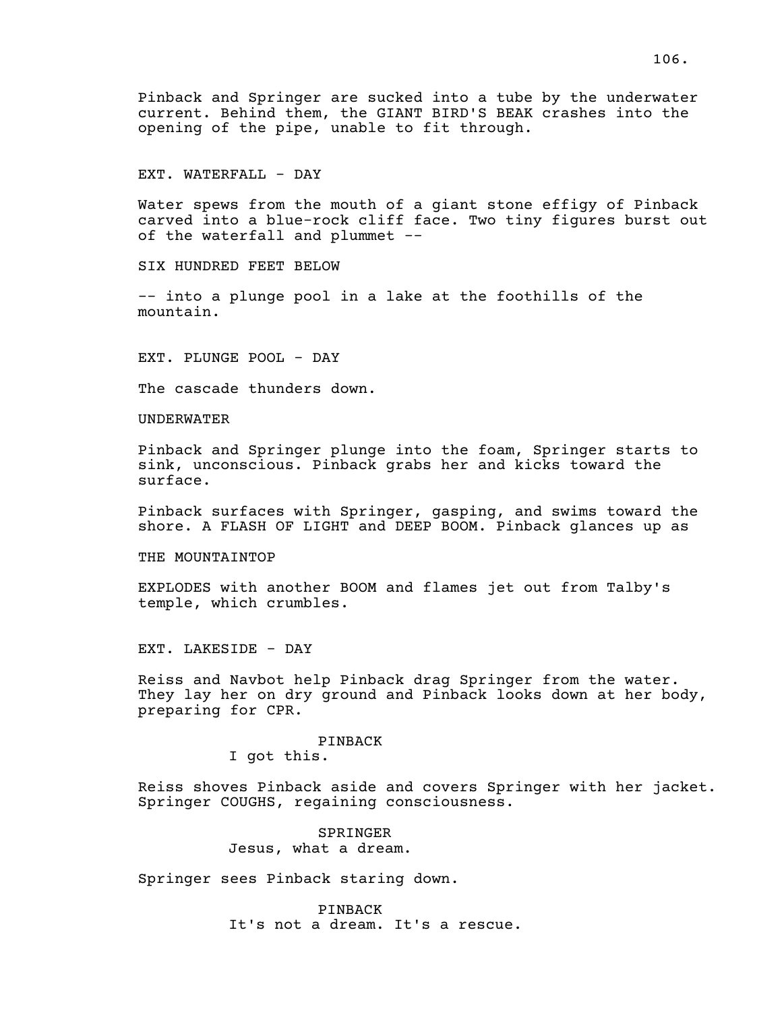Pinback and Springer are sucked into a tube by the underwater current. Behind them, the GIANT BIRD'S BEAK crashes into the opening of the pipe, unable to fit through.

# EXT. WATERFALL - DAY

Water spews from the mouth of a giant stone effigy of Pinback carved into a blue-rock cliff face. Two tiny figures burst out of the waterfall and plummet --

SIX HUNDRED FEET BELOW

-- into a plunge pool in a lake at the foothills of the mountain.

EXT. PLUNGE POOL - DAY

The cascade thunders down.

UNDERWATER

Pinback and Springer plunge into the foam, Springer starts to sink, unconscious. Pinback grabs her and kicks toward the surface.

Pinback surfaces with Springer, gasping, and swims toward the shore. A FLASH OF LIGHT and DEEP BOOM. Pinback glances up as

THE MOUNTAINTOP

EXPLODES with another BOOM and flames jet out from Talby's temple, which crumbles.

EXT. LAKESIDE - DAY

Reiss and Navbot help Pinback drag Springer from the water. They lay her on dry ground and Pinback looks down at her body, preparing for CPR.

#### PINBACK

I got this.

Reiss shoves Pinback aside and covers Springer with her jacket. Springer COUGHS, regaining consciousness.

> SPRINGER Jesus, what a dream.

Springer sees Pinback staring down.

PINBACK It's not a dream. It's a rescue.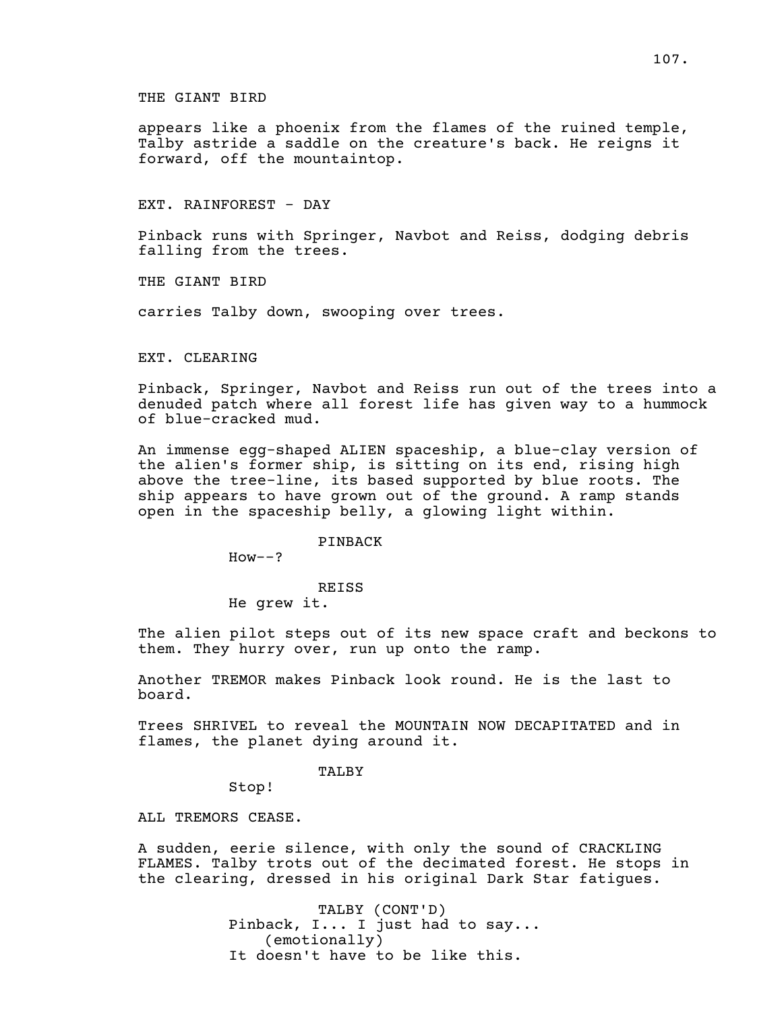## THE GIANT BIRD

appears like a phoenix from the flames of the ruined temple, Talby astride a saddle on the creature's back. He reigns it forward, off the mountaintop.

EXT. RAINFOREST - DAY

Pinback runs with Springer, Navbot and Reiss, dodging debris falling from the trees.

THE GIANT BIRD

carries Talby down, swooping over trees.

#### EXT. CLEARING

Pinback, Springer, Navbot and Reiss run out of the trees into a denuded patch where all forest life has given way to a hummock of blue-cracked mud.

An immense egg-shaped ALIEN spaceship, a blue-clay version of the alien's former ship, is sitting on its end, rising high above the tree-line, its based supported by blue roots. The ship appears to have grown out of the ground. A ramp stands open in the spaceship belly, a glowing light within.

#### PINBACK

 $How--?$ 

REISS He grew it.

The alien pilot steps out of its new space craft and beckons to them. They hurry over, run up onto the ramp.

Another TREMOR makes Pinback look round. He is the last to board.

Trees SHRIVEL to reveal the MOUNTAIN NOW DECAPITATED and in flames, the planet dying around it.

## TALBY

Stop!

ALL TREMORS CEASE.

A sudden, eerie silence, with only the sound of CRACKLING FLAMES. Talby trots out of the decimated forest. He stops in the clearing, dressed in his original Dark Star fatigues.

> TALBY (CONT'D) Pinback, I... I just had to say... (emotionally) It doesn't have to be like this.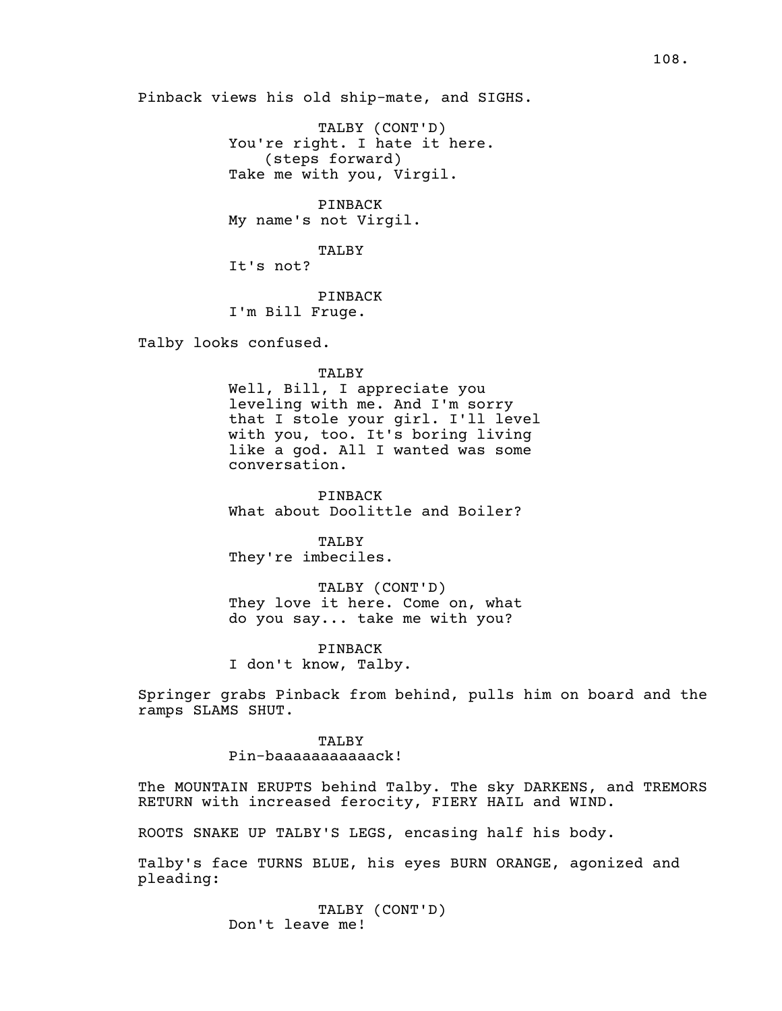Pinback views his old ship-mate, and SIGHS.

TALBY (CONT'D) You're right. I hate it here. (steps forward) Take me with you, Virgil.

PINBACK My name's not Virgil.

TALBY

It's not?

PINBACK I'm Bill Fruge.

Talby looks confused.

TALBY

Well, Bill, I appreciate you leveling with me. And I'm sorry that I stole your girl. I'll level with you, too. It's boring living like a god. All I wanted was some conversation.

PINBACK What about Doolittle and Boiler?

TALBY They're imbeciles.

TALBY (CONT'D) They love it here. Come on, what do you say... take me with you?

PINBACK I don't know, Talby.

Springer grabs Pinback from behind, pulls him on board and the ramps SLAMS SHUT.

> TALBY Pin-baaaaaaaaaaack!

The MOUNTAIN ERUPTS behind Talby. The sky DARKENS, and TREMORS RETURN with increased ferocity, FIERY HAIL and WIND.

ROOTS SNAKE UP TALBY'S LEGS, encasing half his body.

Talby's face TURNS BLUE, his eyes BURN ORANGE, agonized and pleading:

> TALBY (CONT'D) Don't leave me!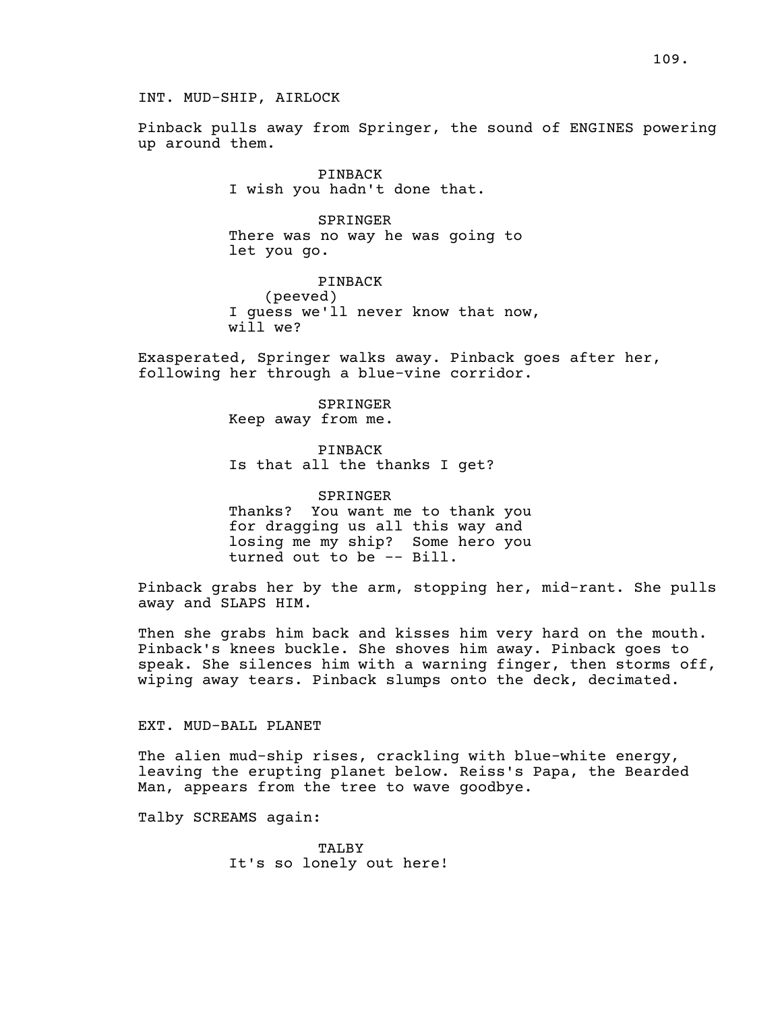Pinback pulls away from Springer, the sound of ENGINES powering up around them.

> PINBACK I wish you hadn't done that.

SPRINGER There was no way he was going to let you go.

PINBACK (peeved) I guess we'll never know that now, will we?

Exasperated, Springer walks away. Pinback goes after her, following her through a blue-vine corridor.

> SPRINGER Keep away from me.

PINBACK Is that all the thanks I get?

SPRINGER Thanks? You want me to thank you for dragging us all this way and losing me my ship? Some hero you turned out to be -- Bill.

Pinback grabs her by the arm, stopping her, mid-rant. She pulls away and SLAPS HIM.

Then she grabs him back and kisses him very hard on the mouth. Pinback's knees buckle. She shoves him away. Pinback goes to speak. She silences him with a warning finger, then storms off, wiping away tears. Pinback slumps onto the deck, decimated.

## EXT. MUD-BALL PLANET

The alien mud-ship rises, crackling with blue-white energy, leaving the erupting planet below. Reiss's Papa, the Bearded Man, appears from the tree to wave goodbye.

Talby SCREAMS again:

TALBY It's so lonely out here!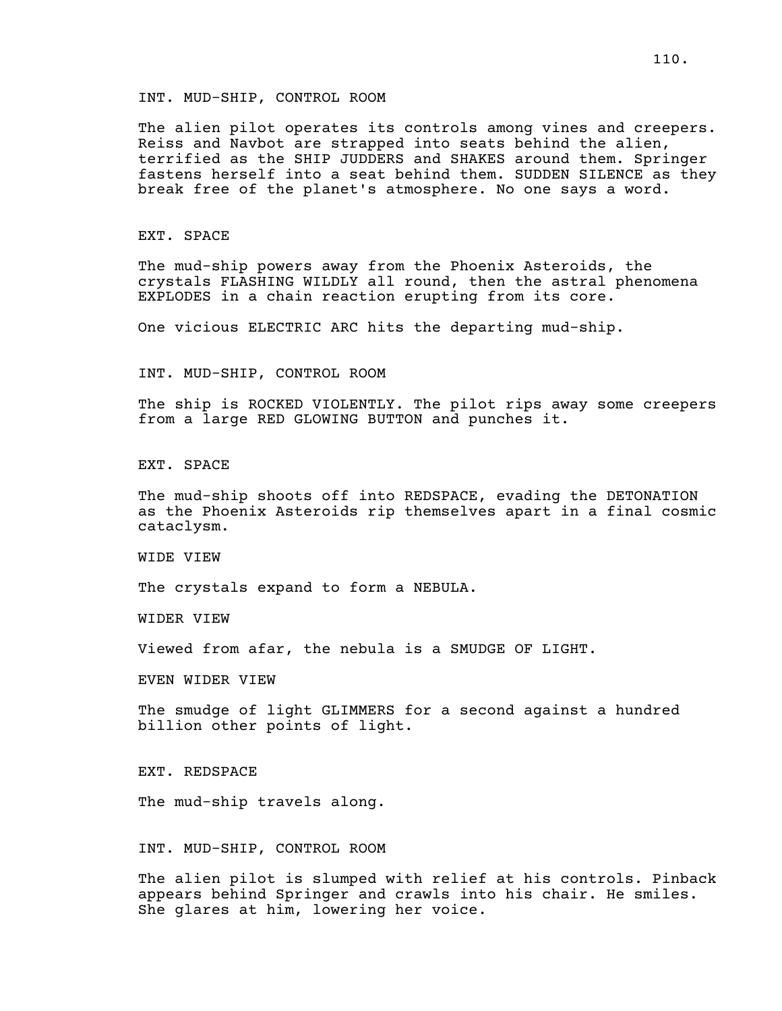## INT. MUD-SHIP, CONTROL ROOM

The alien pilot operates its controls among vines and creepers. Reiss and Navbot are strapped into seats behind the alien, terrified as the SHIP JUDDERS and SHAKES around them. Springer fastens herself into a seat behind them. SUDDEN SILENCE as they break free of the planet's atmosphere. No one says a word.

## EXT. SPACE

The mud-ship powers away from the Phoenix Asteroids, the crystals FLASHING WILDLY all round, then the astral phenomena EXPLODES in a chain reaction erupting from its core.

One vicious ELECTRIC ARC hits the departing mud-ship.

#### INT. MUD-SHIP, CONTROL ROOM

The ship is ROCKED VIOLENTLY. The pilot rips away some creepers from a large RED GLOWING BUTTON and punches it.

#### EXT. SPACE

The mud-ship shoots off into REDSPACE, evading the DETONATION as the Phoenix Asteroids rip themselves apart in a final cosmic cataclysm.

WIDE VIEW

The crystals expand to form a NEBULA.

WIDER VIEW

Viewed from afar, the nebula is a SMUDGE OF LIGHT.

EVEN WIDER VIEW

The smudge of light GLIMMERS for a second against a hundred billion other points of light.

EXT. REDSPACE

The mud-ship travels along.

# INT. MUD-SHIP, CONTROL ROOM

The alien pilot is slumped with relief at his controls. Pinback appears behind Springer and crawls into his chair. He smiles. She glares at him, lowering her voice.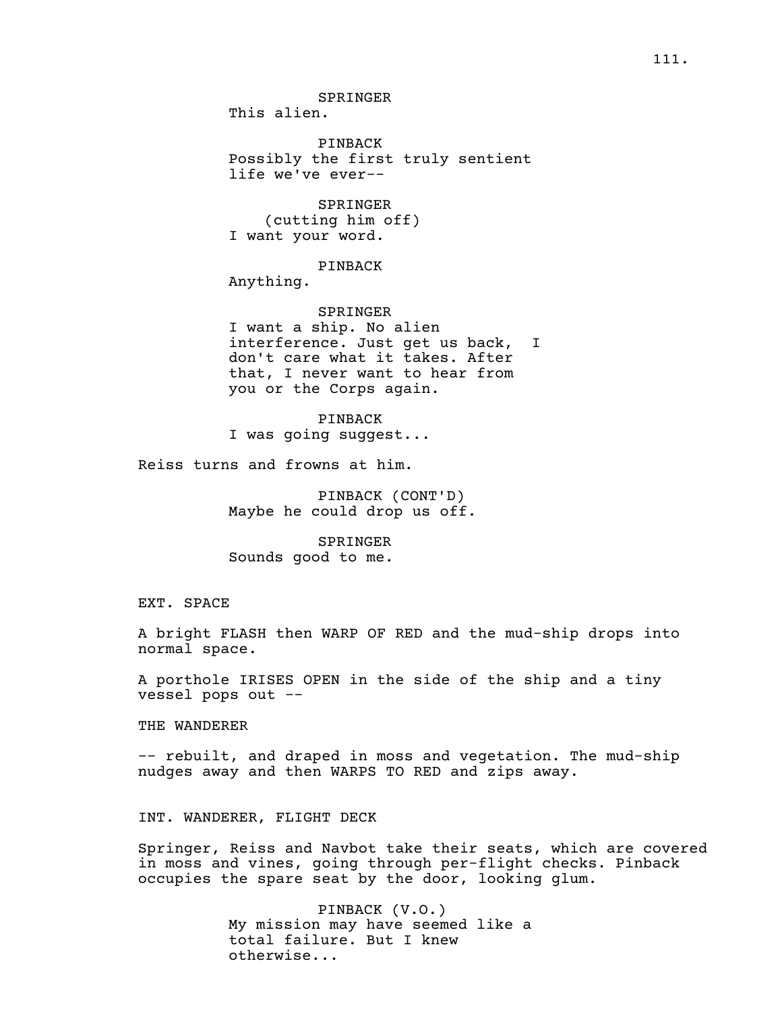SPRINGER

This alien.

PINBACK Possibly the first truly sentient life we've ever--

SPRINGER (cutting him off) I want your word.

PINBACK

Anything.

SPRINGER I want a ship. No alien interference. Just get us back, I don't care what it takes. After that, I never want to hear from you or the Corps again.

PINBACK I was going suggest...

Reiss turns and frowns at him.

PINBACK (CONT'D) Maybe he could drop us off.

SPRINGER Sounds good to me.

EXT. SPACE

A bright FLASH then WARP OF RED and the mud-ship drops into normal space.

A porthole IRISES OPEN in the side of the ship and a tiny vessel pops out --

THE WANDERER

-- rebuilt, and draped in moss and vegetation. The mud-ship nudges away and then WARPS TO RED and zips away.

INT. WANDERER, FLIGHT DECK

Springer, Reiss and Navbot take their seats, which are covered in moss and vines, going through per-flight checks. Pinback occupies the spare seat by the door, looking glum.

> PINBACK (V.O.) My mission may have seemed like a total failure. But I knew otherwise...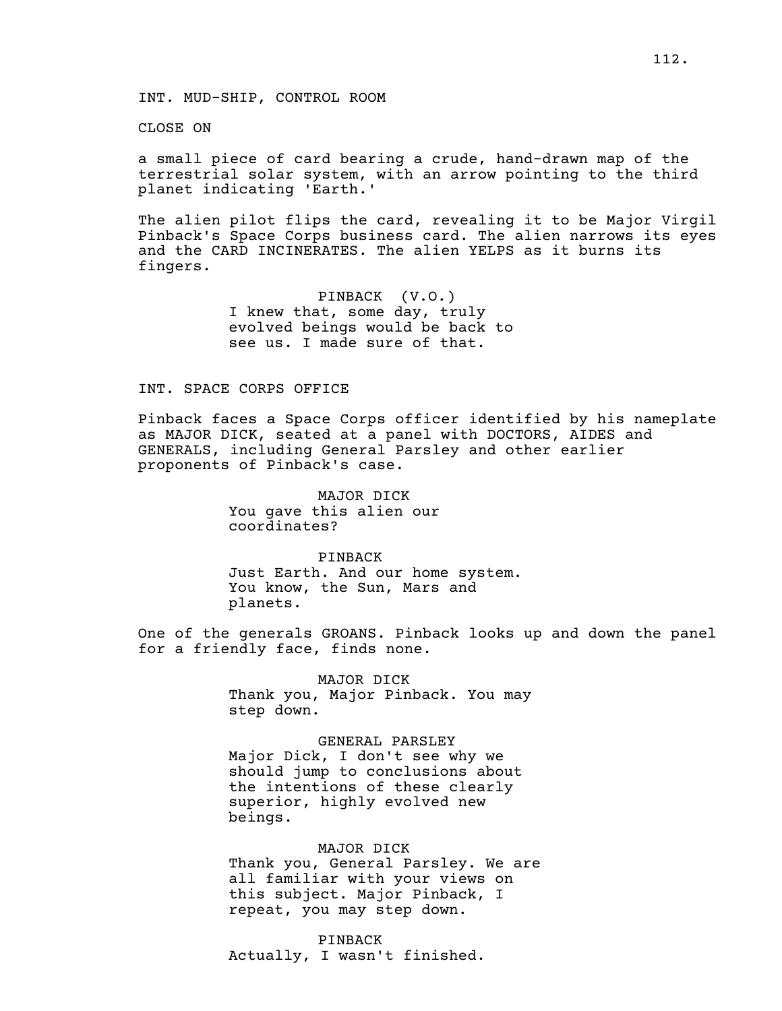INT. MUD-SHIP, CONTROL ROOM

CLOSE ON

a small piece of card bearing a crude, hand-drawn map of the terrestrial solar system, with an arrow pointing to the third planet indicating 'Earth.'

The alien pilot flips the card, revealing it to be Major Virgil Pinback's Space Corps business card. The alien narrows its eyes and the CARD INCINERATES. The alien YELPS as it burns its fingers.

> PINBACK (V.O.) I knew that, some day, truly evolved beings would be back to see us. I made sure of that.

### INT. SPACE CORPS OFFICE

Pinback faces a Space Corps officer identified by his nameplate as MAJOR DICK, seated at a panel with DOCTORS, AIDES and GENERALS, including General Parsley and other earlier proponents of Pinback's case.

> MAJOR DICK You gave this alien our coordinates?

PINBACK Just Earth. And our home system. You know, the Sun, Mars and planets.

One of the generals GROANS. Pinback looks up and down the panel for a friendly face, finds none.

> MAJOR DICK Thank you, Major Pinback. You may step down.

GENERAL PARSLEY Major Dick, I don't see why we should jump to conclusions about the intentions of these clearly superior, highly evolved new beings.

# MAJOR DICK

Thank you, General Parsley. We are all familiar with your views on this subject. Major Pinback, I repeat, you may step down.

# PINBACK

Actually, I wasn't finished.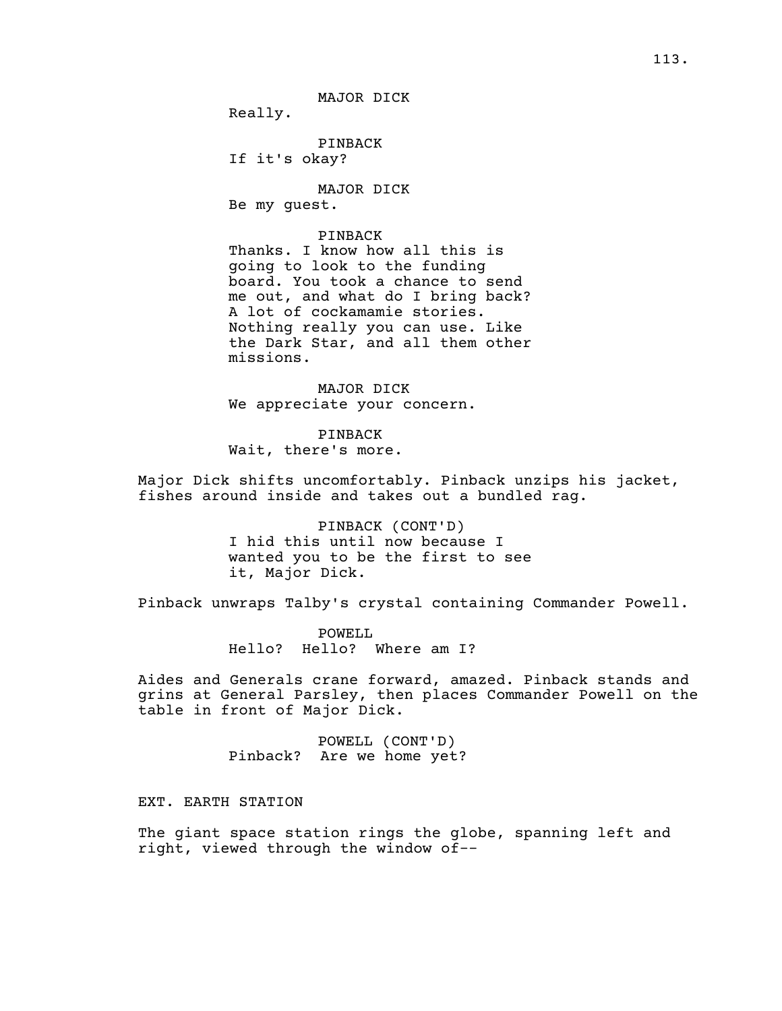MAJOR DICK

Really.

PINBACK

If it's okay?

MAJOR DICK Be my guest.

PINBACK

Thanks. I know how all this is going to look to the funding board. You took a chance to send me out, and what do I bring back? A lot of cockamamie stories. Nothing really you can use. Like the Dark Star, and all them other missions.

MAJOR DICK We appreciate your concern.

PINBACK

Wait, there's more.

Major Dick shifts uncomfortably. Pinback unzips his jacket, fishes around inside and takes out a bundled rag.

> PINBACK (CONT'D) I hid this until now because I wanted you to be the first to see it, Major Dick.

Pinback unwraps Talby's crystal containing Commander Powell.

POWELL Hello? Hello? Where am I?

Aides and Generals crane forward, amazed. Pinback stands and grins at General Parsley, then places Commander Powell on the table in front of Major Dick.

> POWELL (CONT'D) Pinback? Are we home yet?

EXT. EARTH STATION

The giant space station rings the globe, spanning left and right, viewed through the window of--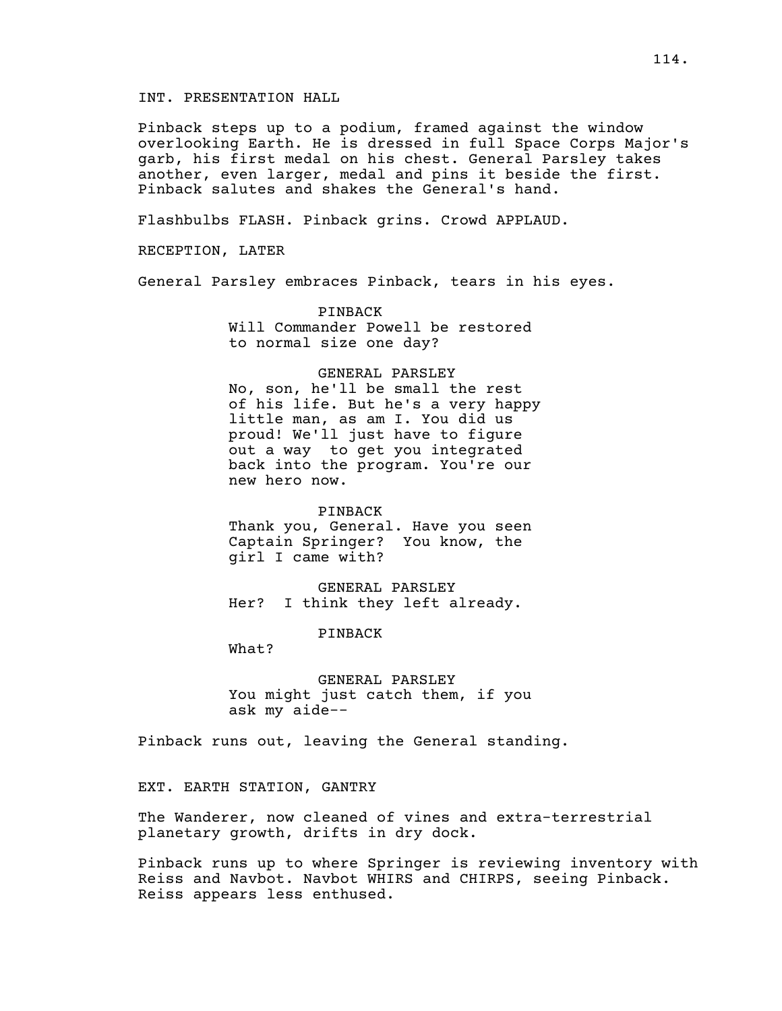## INT. PRESENTATION HALL

Pinback steps up to a podium, framed against the window overlooking Earth. He is dressed in full Space Corps Major's garb, his first medal on his chest. General Parsley takes another, even larger, medal and pins it beside the first. Pinback salutes and shakes the General's hand.

Flashbulbs FLASH. Pinback grins. Crowd APPLAUD.

RECEPTION, LATER

General Parsley embraces Pinback, tears in his eyes.

PINBACK Will Commander Powell be restored to normal size one day?

### GENERAL PARSLEY

No, son, he'll be small the rest of his life. But he's a very happy little man, as am I. You did us proud! We'll just have to figure out a way to get you integrated back into the program. You're our new hero now.

#### PINBACK

Thank you, General. Have you seen Captain Springer? You know, the girl I came with?

GENERAL PARSLEY Her? I think they left already.

PINBACK

What?

GENERAL PARSLEY You might just catch them, if you ask my aide--

Pinback runs out, leaving the General standing.

EXT. EARTH STATION, GANTRY

The Wanderer, now cleaned of vines and extra-terrestrial planetary growth, drifts in dry dock.

Pinback runs up to where Springer is reviewing inventory with Reiss and Navbot. Navbot WHIRS and CHIRPS, seeing Pinback. Reiss appears less enthused.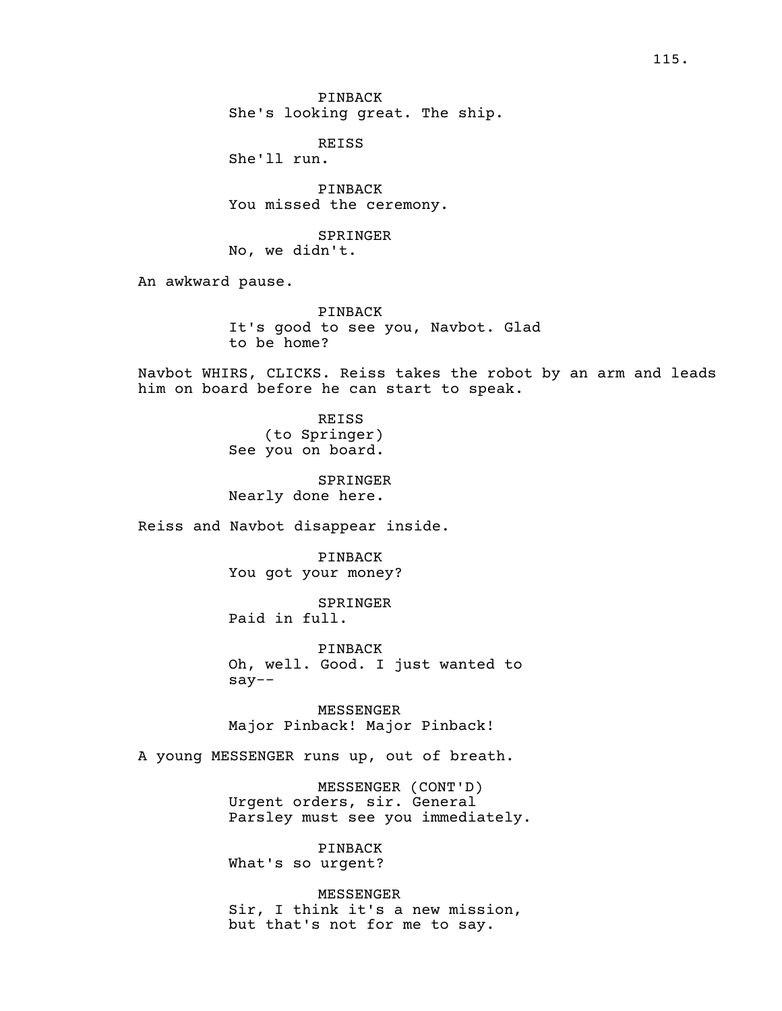PINBACK She's looking great. The ship.

REISS

She'll run.

PINBACK You missed the ceremony.

SPRINGER No, we didn't.

An awkward pause.

PINBACK It's good to see you, Navbot. Glad to be home?

Navbot WHIRS, CLICKS. Reiss takes the robot by an arm and leads him on board before he can start to speak.

> REISS (to Springer) See you on board.

SPRINGER Nearly done here.

Reiss and Navbot disappear inside.

PINBACK You got your money?

SPRINGER Paid in full.

PINBACK Oh, well. Good. I just wanted to say--

MESSENGER Major Pinback! Major Pinback!

A young MESSENGER runs up, out of breath.

MESSENGER (CONT'D) Urgent orders, sir. General Parsley must see you immediately.

PINBACK What's so urgent?

MESSENGER Sir, I think it's a new mission, but that's not for me to say.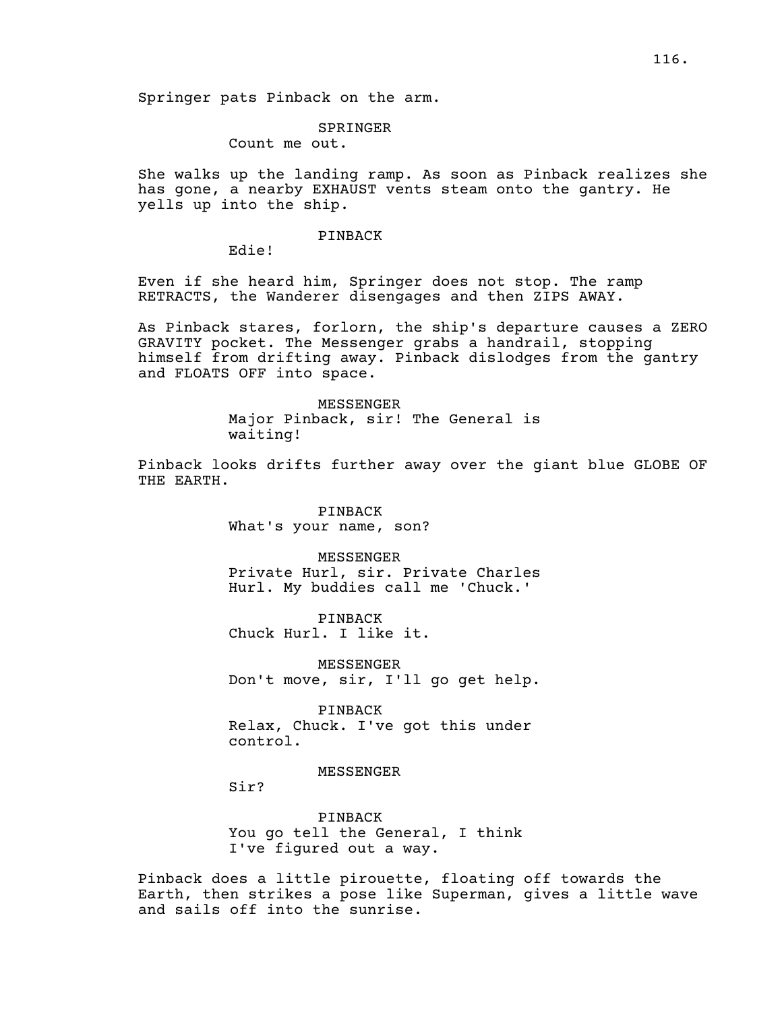#### SPRINGER

Count me out.

She walks up the landing ramp. As soon as Pinback realizes she has gone, a nearby EXHAUST vents steam onto the gantry. He yells up into the ship.

### PINBACK

Edie!

Even if she heard him, Springer does not stop. The ramp RETRACTS, the Wanderer disengages and then ZIPS AWAY.

As Pinback stares, forlorn, the ship's departure causes a ZERO GRAVITY pocket. The Messenger grabs a handrail, stopping himself from drifting away. Pinback dislodges from the gantry and FLOATS OFF into space.

> MESSENGER Major Pinback, sir! The General is waiting!

Pinback looks drifts further away over the giant blue GLOBE OF THE EARTH.

> PINBACK What's your name, son?

MESSENGER Private Hurl, sir. Private Charles Hurl. My buddies call me 'Chuck.'

PINBACK Chuck Hurl. I like it.

MESSENGER Don't move, sir, I'll go get help.

PINBACK Relax, Chuck. I've got this under control.

MESSENGER

Sir?

PINBACK You go tell the General, I think I've figured out a way.

Pinback does a little pirouette, floating off towards the Earth, then strikes a pose like Superman, gives a little wave and sails off into the sunrise.